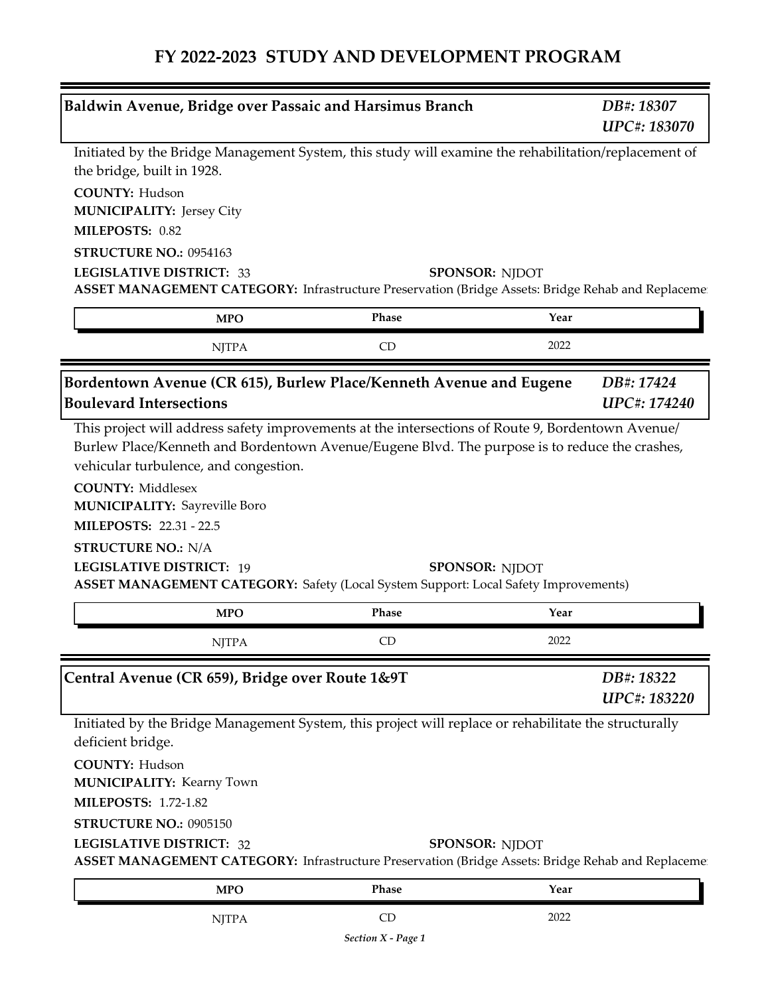| Baldwin Avenue, Bridge over Passaic and Harsimus Branch                                                                                                                                                                                                   |       |                       | DB#: 18307<br>UPC#: 183070 |
|-----------------------------------------------------------------------------------------------------------------------------------------------------------------------------------------------------------------------------------------------------------|-------|-----------------------|----------------------------|
| Initiated by the Bridge Management System, this study will examine the rehabilitation/replacement of<br>the bridge, built in 1928.                                                                                                                        |       |                       |                            |
| <b>COUNTY: Hudson</b><br><b>MUNICIPALITY: Jersey City</b>                                                                                                                                                                                                 |       |                       |                            |
| MILEPOSTS: 0.82                                                                                                                                                                                                                                           |       |                       |                            |
| STRUCTURE NO.: 0954163                                                                                                                                                                                                                                    |       |                       |                            |
| <b>LEGISLATIVE DISTRICT: 33</b><br>ASSET MANAGEMENT CATEGORY: Infrastructure Preservation (Bridge Assets: Bridge Rehab and Replaceme                                                                                                                      |       | <b>SPONSOR: NJDOT</b> |                            |
| <b>MPO</b>                                                                                                                                                                                                                                                | Phase | Year                  |                            |
| <b>NJTPA</b>                                                                                                                                                                                                                                              | CD    | 2022                  |                            |
| Bordentown Avenue (CR 615), Burlew Place/Kenneth Avenue and Eugene<br><b>Boulevard Intersections</b>                                                                                                                                                      |       |                       | DB#: 17424<br>UPC#: 174240 |
| <b>COUNTY: Middlesex</b><br><b>MUNICIPALITY: Sayreville Boro</b><br><b>MILEPOSTS: 22.31 - 22.5</b><br><b>STRUCTURE NO.: N/A</b><br><b>LEGISLATIVE DISTRICT: 19</b><br>ASSET MANAGEMENT CATEGORY: Safety (Local System Support: Local Safety Improvements) |       | <b>SPONSOR: NJDOT</b> |                            |
| <b>MPO</b>                                                                                                                                                                                                                                                | Phase | Year                  |                            |
| <b>NJTPA</b>                                                                                                                                                                                                                                              | CD    | 2022                  |                            |
| Central Avenue (CR 659), Bridge over Route 1&9T                                                                                                                                                                                                           |       |                       | DB#: 18322<br>UPC#: 183220 |
| Initiated by the Bridge Management System, this project will replace or rehabilitate the structurally<br>deficient bridge.                                                                                                                                |       |                       |                            |
| <b>COUNTY: Hudson</b><br><b>MUNICIPALITY: Kearny Town</b><br><b>MILEPOSTS: 1.72-1.82</b>                                                                                                                                                                  |       |                       |                            |
| STRUCTURE NO.: 0905150                                                                                                                                                                                                                                    |       |                       |                            |
| <b>LEGISLATIVE DISTRICT: 32</b><br><b>ASSET MANAGEMENT CATEGORY:</b> Infrastructure Preservation (Bridge Assets: Bridge Rehab and Replaceme                                                                                                               |       | <b>SPONSOR: NJDOT</b> |                            |
| <b>MPO</b>                                                                                                                                                                                                                                                | Phase | Year                  |                            |
|                                                                                                                                                                                                                                                           |       |                       |                            |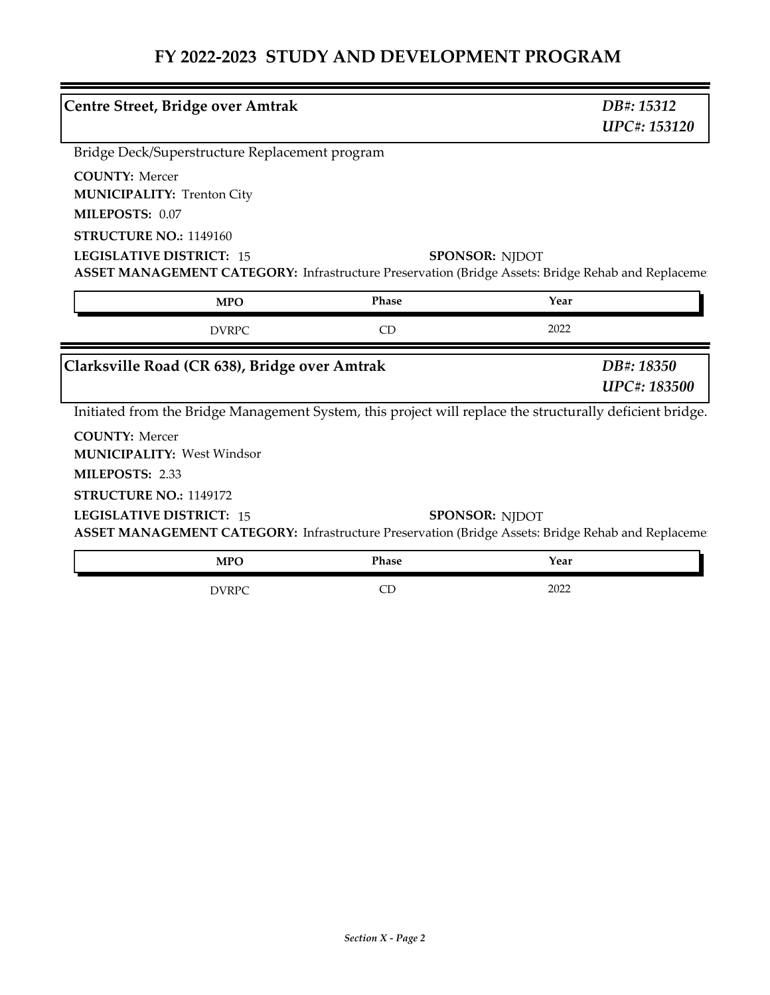| <b>Centre Street, Bridge over Amtrak</b>                                                                                                                        |              | DB#: 15312<br><b>UPC#: 153120</b> |
|-----------------------------------------------------------------------------------------------------------------------------------------------------------------|--------------|-----------------------------------|
| Bridge Deck/Superstructure Replacement program                                                                                                                  |              |                                   |
| <b>COUNTY: Mercer</b><br><b>MUNICIPALITY: Trenton City</b><br>MILEPOSTS: 0.07                                                                                   |              |                                   |
| STRUCTURE NO.: 1149160<br><b>LEGISLATIVE DISTRICT: 15</b><br>ASSET MANAGEMENT CATEGORY: Infrastructure Preservation (Bridge Assets: Bridge Rehab and Replacemen |              | <b>SPONSOR: NJDOT</b>             |
| <b>MPO</b>                                                                                                                                                      | <b>Phase</b> | Year                              |
| <b>DVRPC</b>                                                                                                                                                    | CD           | 2022                              |
|                                                                                                                                                                 |              |                                   |
|                                                                                                                                                                 |              | DB#: 18350<br><b>UPC#: 183500</b> |
| Clarksville Road (CR 638), Bridge over Amtrak<br>Initiated from the Bridge Management System, this project will replace the structurally deficient bridge.      |              |                                   |
| <b>COUNTY: Mercer</b><br><b>MUNICIPALITY: West Windsor</b><br>MILEPOSTS: 2.33                                                                                   |              |                                   |
| STRUCTURE NO.: 1149172<br><b>LEGISLATIVE DISTRICT: 15</b><br>ASSET MANAGEMENT CATEGORY: Infrastructure Preservation (Bridge Assets: Bridge Rehab and Replaceme: |              | <b>SPONSOR: NJDOT</b>             |
| <b>MPO</b>                                                                                                                                                      | Phase        | Year                              |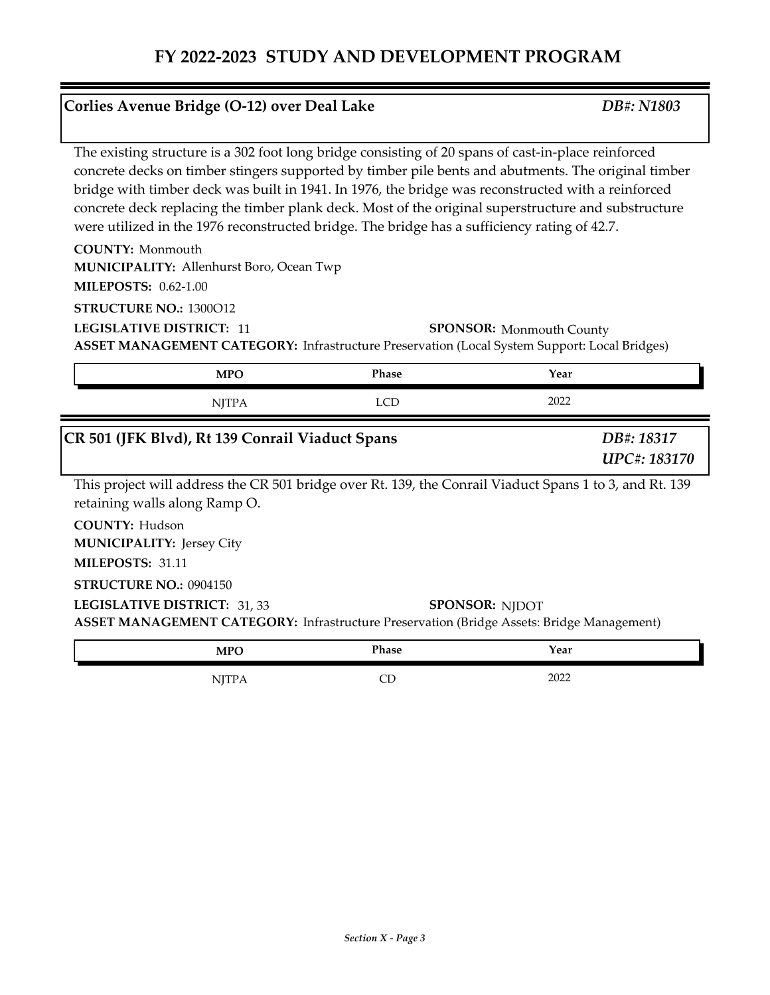#### **Corlies Avenue Bridge (O-12) over Deal Lake** *DB#: N1803*

The existing structure is a 302 foot long bridge consisting of 20 spans of cast-in-place reinforced concrete decks on timber stingers supported by timber pile bents and abutments. The original timber bridge with timber deck was built in 1941. In 1976, the bridge was reconstructed with a reinforced concrete deck replacing the timber plank deck. Most of the original superstructure and substructure were utilized in the 1976 reconstructed bridge. The bridge has a sufficiency rating of 42.7.

**COUNTY:** Monmouth

Allenhurst Boro, Ocean Twp **MUNICIPALITY:**

**MILEPOSTS:** 0.62-1.00

**STRUCTURE NO.:** 1300O12

**LEGISLATIVE DISTRICT:** 11

**SPONSOR:** Monmouth County

**ASSET MANAGEMENT CATEGORY:** Infrastructure Preservation (Local System Support: Local Bridges)

| <b>MPO</b>                                                                                                                                                        | <b>Phase</b> | Year                              |
|-------------------------------------------------------------------------------------------------------------------------------------------------------------------|--------------|-----------------------------------|
| NJTPA                                                                                                                                                             | <b>LCD</b>   | 2022                              |
| CR 501 (JFK Blvd), Rt 139 Conrail Viaduct Spans                                                                                                                   |              | DB#: 18317<br><b>UPC#: 183170</b> |
| This project will address the CR 501 bridge over Rt. 139, the Conrail Viaduct Spans 1 to 3, and Rt. 139<br>retaining walls along Ramp O.                          |              |                                   |
| <b>COUNTY: Hudson</b><br><b>MUNICIPALITY: Jersey City</b><br>MILEPOSTS: 31.11                                                                                     |              |                                   |
| <b>STRUCTURE NO.: 0904150</b><br>LEGISLATIVE DISTRICT: 31, 33<br><b>ASSET MANAGEMENT CATEGORY:</b> Infrastructure Preservation (Bridge Assets: Bridge Management) |              | <b>SPONSOR: NJDOT</b>             |
| <b>MPO</b>                                                                                                                                                        | <b>Phase</b> | Year                              |

| .<br>$\mathbf{v}$ | r nase | rear |  |
|-------------------|--------|------|--|
|                   |        | ∩ר∩ר |  |
|                   | ◡      | ZUZZ |  |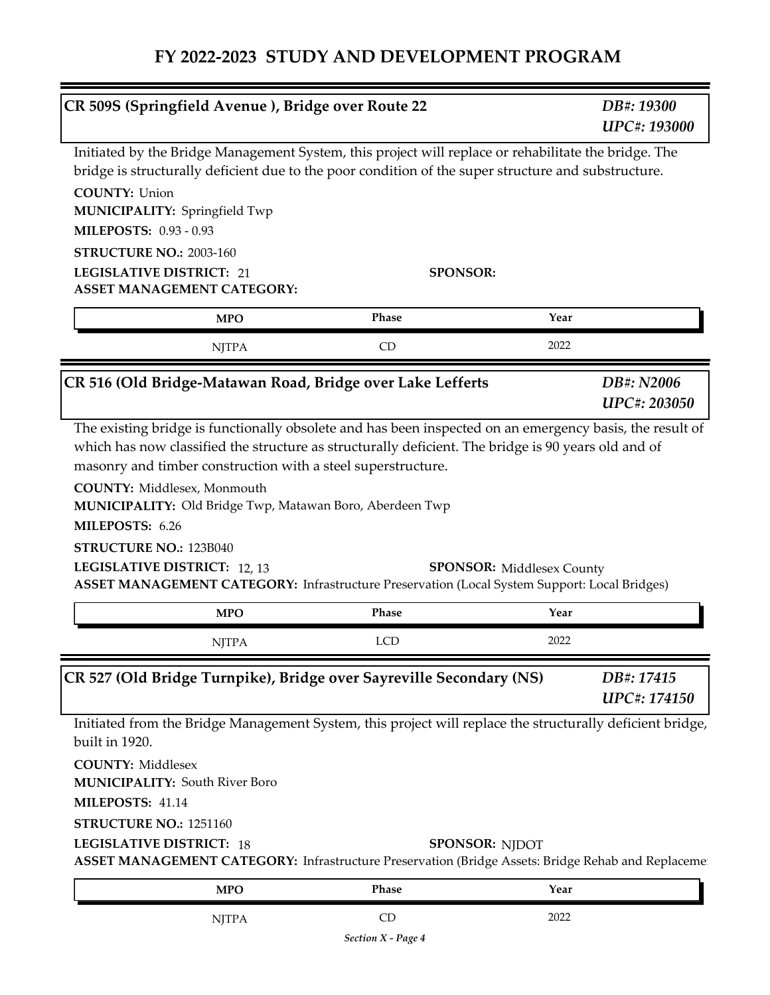| CR 509S (Springfield Avenue), Bridge over Route 22                                                                                                                                 |                                                                                                                                                                                                             | DB#: 19300<br><b>UPC#: 193000</b> |
|------------------------------------------------------------------------------------------------------------------------------------------------------------------------------------|-------------------------------------------------------------------------------------------------------------------------------------------------------------------------------------------------------------|-----------------------------------|
|                                                                                                                                                                                    | Initiated by the Bridge Management System, this project will replace or rehabilitate the bridge. The<br>bridge is structurally deficient due to the poor condition of the super structure and substructure. |                                   |
| <b>COUNTY: Union</b><br>MUNICIPALITY: Springfield Twp<br><b>MILEPOSTS: 0.93 - 0.93</b>                                                                                             |                                                                                                                                                                                                             |                                   |
| <b>STRUCTURE NO.: 2003-160</b>                                                                                                                                                     |                                                                                                                                                                                                             |                                   |
| <b>LEGISLATIVE DISTRICT: 21</b>                                                                                                                                                    | <b>SPONSOR:</b>                                                                                                                                                                                             |                                   |
| <b>ASSET MANAGEMENT CATEGORY:</b>                                                                                                                                                  |                                                                                                                                                                                                             |                                   |
| <b>MPO</b>                                                                                                                                                                         | Phase                                                                                                                                                                                                       | Year                              |
| <b>NJTPA</b>                                                                                                                                                                       | CD                                                                                                                                                                                                          | 2022                              |
|                                                                                                                                                                                    | CR 516 (Old Bridge-Matawan Road, Bridge over Lake Lefferts                                                                                                                                                  | DB#: N2006<br><b>UPC#: 203050</b> |
| <b>COUNTY:</b> Middlesex, Monmouth                                                                                                                                                 | masonry and timber construction with a steel superstructure.                                                                                                                                                |                                   |
| MILEPOSTS: 6.26<br><b>STRUCTURE NO.: 123B040</b><br>LEGISLATIVE DISTRICT: 12, 13                                                                                                   | MUNICIPALITY: Old Bridge Twp, Matawan Boro, Aberdeen Twp<br><b>ASSET MANAGEMENT CATEGORY:</b> Infrastructure Preservation (Local System Support: Local Bridges)                                             | <b>SPONSOR:</b> Middlesex County  |
| <b>MPO</b>                                                                                                                                                                         | Phase                                                                                                                                                                                                       | Year                              |
| <b>NJTPA</b>                                                                                                                                                                       | LCD                                                                                                                                                                                                         | 2022                              |
|                                                                                                                                                                                    | CR 527 (Old Bridge Turnpike), Bridge over Sayreville Secondary (NS)                                                                                                                                         | DB#: 17415<br><b>UPC#: 174150</b> |
|                                                                                                                                                                                    | Initiated from the Bridge Management System, this project will replace the structurally deficient bridge,                                                                                                   |                                   |
|                                                                                                                                                                                    |                                                                                                                                                                                                             |                                   |
|                                                                                                                                                                                    |                                                                                                                                                                                                             |                                   |
|                                                                                                                                                                                    | ASSET MANAGEMENT CATEGORY: Infrastructure Preservation (Bridge Assets: Bridge Rehab and Replaceme                                                                                                           | <b>SPONSOR: NJDOT</b>             |
| built in 1920.<br><b>COUNTY: Middlesex</b><br><b>MUNICIPALITY: South River Boro</b><br>MILEPOSTS: 41.14<br>STRUCTURE NO.: 1251160<br><b>LEGISLATIVE DISTRICT: 18</b><br><b>MPO</b> | Phase                                                                                                                                                                                                       | Year                              |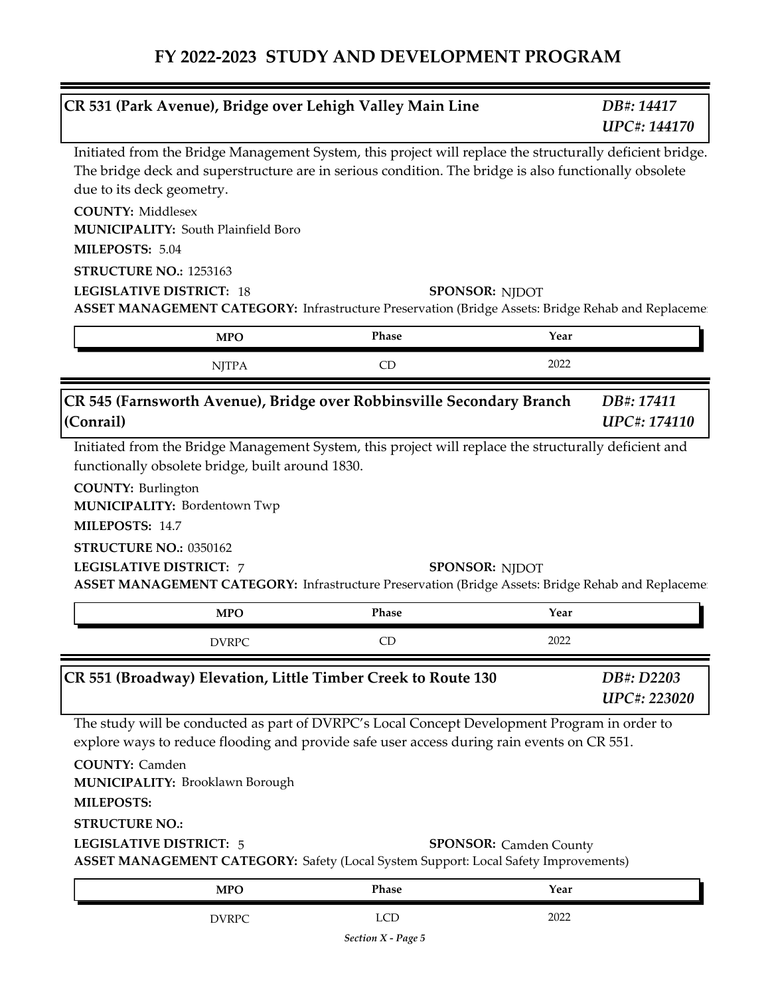|                                                                                                                                                 |                                            | CR 531 (Park Avenue), Bridge over Lehigh Valley Main Line                                                                                                                                                                                                                                |                               | DB#: 14417<br><b>UPC#: 144170</b> |
|-------------------------------------------------------------------------------------------------------------------------------------------------|--------------------------------------------|------------------------------------------------------------------------------------------------------------------------------------------------------------------------------------------------------------------------------------------------------------------------------------------|-------------------------------|-----------------------------------|
| due to its deck geometry.<br><b>COUNTY: Middlesex</b><br>MILEPOSTS: 5.04<br>STRUCTURE NO.: 1253163<br><b>LEGISLATIVE DISTRICT: 18</b>           | <b>MUNICIPALITY: South Plainfield Boro</b> | Initiated from the Bridge Management System, this project will replace the structurally deficient bridge.<br>The bridge deck and superstructure are in serious condition. The bridge is also functionally obsolete                                                                       | <b>SPONSOR: NJDOT</b>         |                                   |
|                                                                                                                                                 | <b>MPO</b>                                 | ASSET MANAGEMENT CATEGORY: Infrastructure Preservation (Bridge Assets: Bridge Rehab and Replaceme<br>Phase                                                                                                                                                                               | Year                          |                                   |
|                                                                                                                                                 | <b>NJTPA</b>                               | CD                                                                                                                                                                                                                                                                                       | 2022                          |                                   |
| (Conrail)                                                                                                                                       |                                            | CR 545 (Farnsworth Avenue), Bridge over Robbinsville Secondary Branch                                                                                                                                                                                                                    |                               | DB#: 17411<br><b>UPC#: 174110</b> |
| <b>COUNTY: Burlington</b><br><b>MUNICIPALITY: Bordentown Twp</b><br>MILEPOSTS: 14.7<br>STRUCTURE NO.: 0350162<br><b>LEGISLATIVE DISTRICT: 7</b> |                                            | ASSET MANAGEMENT CATEGORY: Infrastructure Preservation (Bridge Assets: Bridge Rehab and Replaceme                                                                                                                                                                                        | <b>SPONSOR: NJDOT</b>         |                                   |
|                                                                                                                                                 | <b>MPO</b>                                 | Phase                                                                                                                                                                                                                                                                                    | Year                          |                                   |
|                                                                                                                                                 | <b>DVRPC</b>                               | CD                                                                                                                                                                                                                                                                                       | 2022                          |                                   |
|                                                                                                                                                 |                                            | CR 551 (Broadway) Elevation, Little Timber Creek to Route 130                                                                                                                                                                                                                            |                               | DB#: D2203<br><b>UPC#: 223020</b> |
| <b>COUNTY: Camden</b><br>MILEPOSTS:<br><b>STRUCTURE NO.:</b><br><b>LEGISLATIVE DISTRICT: 5</b>                                                  | <b>MUNICIPALITY: Brooklawn Borough</b>     | The study will be conducted as part of DVRPC's Local Concept Development Program in order to<br>explore ways to reduce flooding and provide safe user access during rain events on CR 551.<br><b>ASSET MANAGEMENT CATEGORY:</b> Safety (Local System Support: Local Safety Improvements) | <b>SPONSOR:</b> Camden County |                                   |
|                                                                                                                                                 | <b>MPO</b>                                 | Phase                                                                                                                                                                                                                                                                                    | Year                          |                                   |
|                                                                                                                                                 | <b>DVRPC</b>                               | <b>LCD</b>                                                                                                                                                                                                                                                                               | 2022                          |                                   |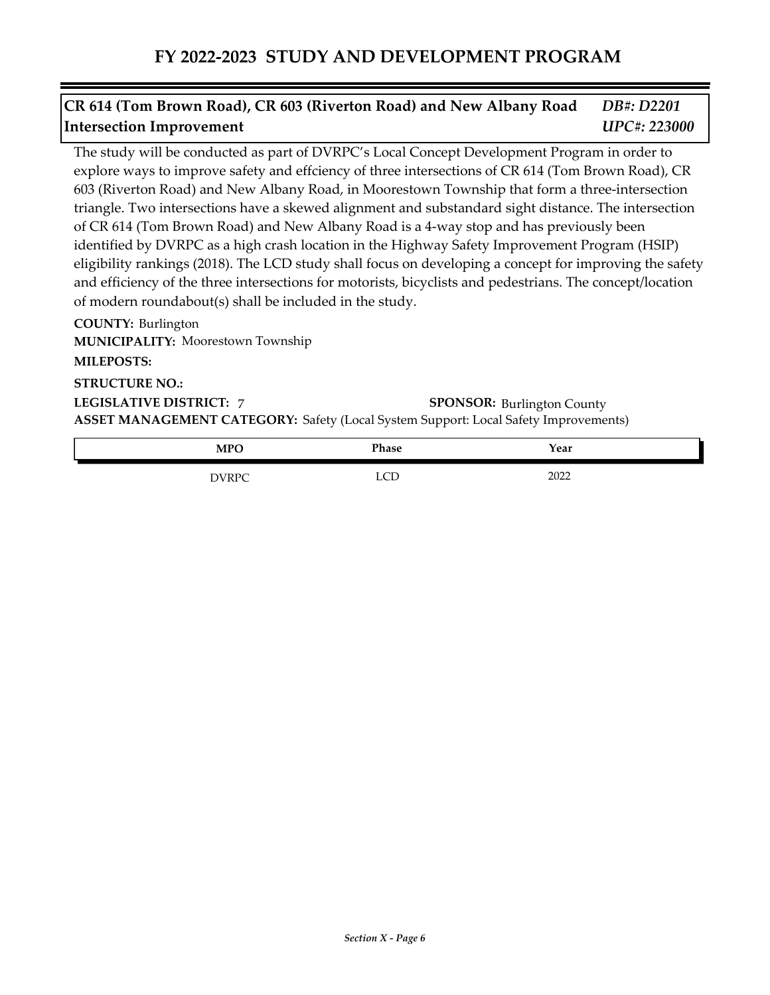#### *DB#: D2201 UPC#: 223000* **CR 614 (Tom Brown Road), CR 603 (Riverton Road) and New Albany Road Intersection Improvement**

The study will be conducted as part of DVRPC's Local Concept Development Program in order to explore ways to improve safety and effciency of three intersections of CR 614 (Tom Brown Road), CR 603 (Riverton Road) and New Albany Road, in Moorestown Township that form a three-intersection triangle. Two intersections have a skewed alignment and substandard sight distance. The intersection of CR 614 (Tom Brown Road) and New Albany Road is a 4-way stop and has previously been identified by DVRPC as a high crash location in the Highway Safety Improvement Program (HSIP) eligibility rankings (2018). The LCD study shall focus on developing a concept for improving the safety and efficiency of the three intersections for motorists, bicyclists and pedestrians. The concept/location of modern roundabout(s) shall be included in the study.

**COUNTY:** Burlington **LEGISLATIVE DISTRICT:** 7**MILEPOSTS: STRUCTURE NO.: MUNICIPALITY: Moorestown Township ASSET MANAGEMENT CATEGORY:** Safety (Local System Support: Local Safety Improvements) **SPONSOR: Burlington County** 

| лрс<br><b>TATT</b>         | Phase | Year |  |
|----------------------------|-------|------|--|
| <b>NURPC</b><br>___<br>$-$ | ---   | 2022 |  |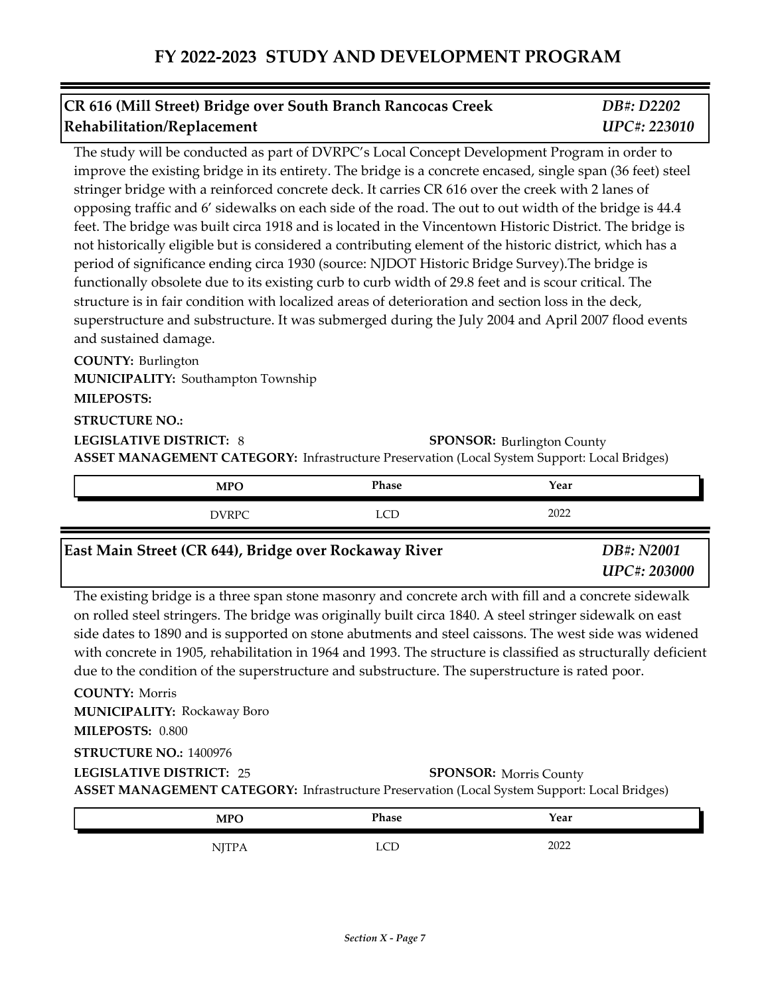| CR 616 (Mill Street) Bridge over South Branch Rancocas Creek | DB#: D2202          |
|--------------------------------------------------------------|---------------------|
| Rehabilitation/Replacement                                   | <b>UPC#: 223010</b> |

The study will be conducted as part of DVRPC's Local Concept Development Program in order to improve the existing bridge in its entirety. The bridge is a concrete encased, single span (36 feet) steel stringer bridge with a reinforced concrete deck. It carries CR 616 over the creek with 2 lanes of opposing traffic and 6' sidewalks on each side of the road. The out to out width of the bridge is 44.4 feet. The bridge was built circa 1918 and is located in the Vincentown Historic District. The bridge is not historically eligible but is considered a contributing element of the historic district, which has a period of significance ending circa 1930 (source: NJDOT Historic Bridge Survey).The bridge is functionally obsolete due to its existing curb to curb width of 29.8 feet and is scour critical. The structure is in fair condition with localized areas of deterioration and section loss in the deck, superstructure and substructure. It was submerged during the July 2004 and April 2007 flood events and sustained damage.

**COUNTY:** Burlington **LEGISLATIVE DISTRICT:** 8 **MILEPOSTS: STRUCTURE NO.: MUNICIPALITY: Southampton Township ASSET MANAGEMENT CATEGORY:** Infrastructure Preservation (Local System Support: Local Bridges) **SPONSOR: Burlington County** 

| <b>MPO</b> | Phase         | Year |
|------------|---------------|------|
| NIPPC      | $\sim$<br>--- | 2022 |

| East Main Street (CR 644), Bridge over Rockaway River                                                 | DB#: N2001<br><b>UPC#: 203000</b> |
|-------------------------------------------------------------------------------------------------------|-----------------------------------|
| The existing bridge is a three span stone masonry and concrete arch with fill and a concrete sidewalk |                                   |

The existing bridge is a three span stone masonry and concrete arch with fill and a concrete on rolled steel stringers. The bridge was originally built circa 1840. A steel stringer sidewalk on east side dates to 1890 and is supported on stone abutments and steel caissons. The west side was widened with concrete in 1905, rehabilitation in 1964 and 1993. The structure is classified as structurally deficient due to the condition of the superstructure and substructure. The superstructure is rated poor.

**COUNTY:** Morris **LEGISLATIVE DISTRICT:** 25**MILEPOSTS:** 0.800 **STRUCTURE NO.:** 1400976 **MUNICIPALITY: Rockaway Boro ASSET MANAGEMENT CATEGORY:** Infrastructure Preservation (Local System Support: Local Bridges) **SPONSOR: Morris County** 

| <b>MPO</b>                        | Phase     | Year        |  |
|-----------------------------------|-----------|-------------|--|
| . 1.1<br>$\overline{\phantom{a}}$ | <u>__</u> | ററാ<br>ZUZZ |  |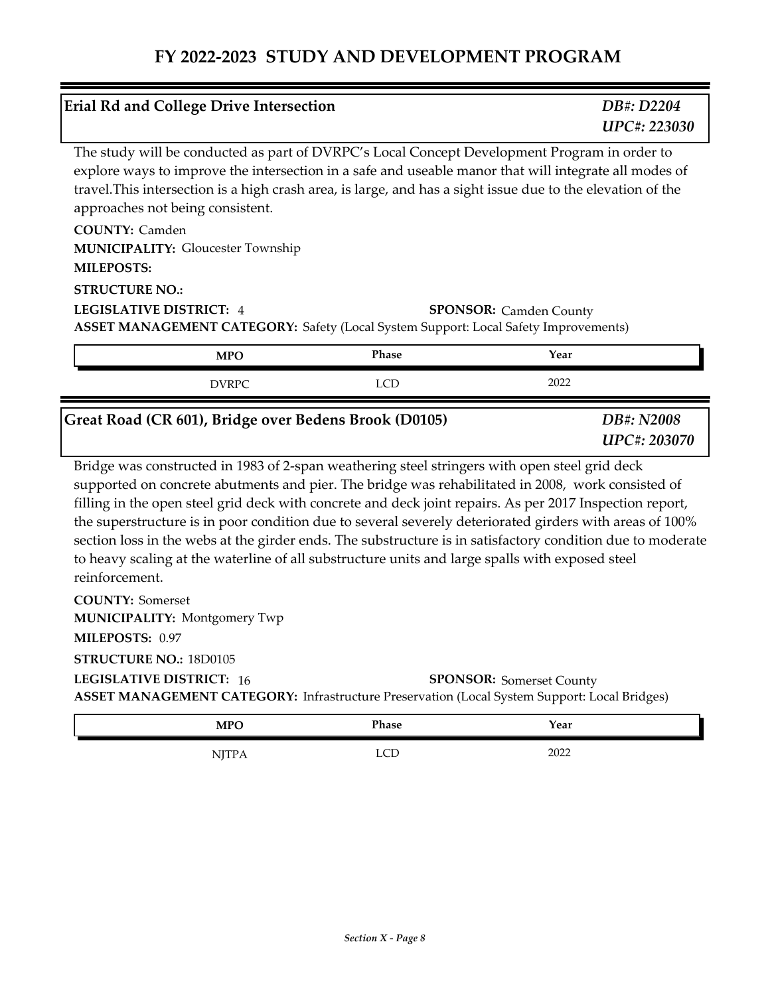|                                                         | <b>Erial Rd and College Drive Intersection</b> |                                                                                                                                                                                                  | DB#: D2204<br>UPC#: 223030                                                                                                                                                                                                                                                                                               |
|---------------------------------------------------------|------------------------------------------------|--------------------------------------------------------------------------------------------------------------------------------------------------------------------------------------------------|--------------------------------------------------------------------------------------------------------------------------------------------------------------------------------------------------------------------------------------------------------------------------------------------------------------------------|
|                                                         | approaches not being consistent.               | The study will be conducted as part of DVRPC's Local Concept Development Program in order to                                                                                                     | explore ways to improve the intersection in a safe and useable manor that will integrate all modes of<br>travel. This intersection is a high crash area, is large, and has a sight issue due to the elevation of the                                                                                                     |
| <b>COUNTY: Camden</b><br><b>MILEPOSTS:</b>              | <b>MUNICIPALITY: Gloucester Township</b>       |                                                                                                                                                                                                  |                                                                                                                                                                                                                                                                                                                          |
| <b>STRUCTURE NO.:</b><br><b>LEGISLATIVE DISTRICT: 4</b> |                                                | <b>ASSET MANAGEMENT CATEGORY:</b> Safety (Local System Support: Local Safety Improvements)                                                                                                       | <b>SPONSOR:</b> Camden County                                                                                                                                                                                                                                                                                            |
|                                                         | <b>MPO</b>                                     | <b>Phase</b>                                                                                                                                                                                     | Year                                                                                                                                                                                                                                                                                                                     |
|                                                         | <b>DVRPC</b>                                   | LCD                                                                                                                                                                                              | 2022                                                                                                                                                                                                                                                                                                                     |
|                                                         |                                                |                                                                                                                                                                                                  |                                                                                                                                                                                                                                                                                                                          |
|                                                         |                                                | Great Road (CR 601), Bridge over Bedens Brook (D0105)                                                                                                                                            | DB#: N2008<br><b>UPC#: 203070</b>                                                                                                                                                                                                                                                                                        |
| reinforcement.                                          |                                                | Bridge was constructed in 1983 of 2-span weathering steel stringers with open steel grid deck<br>to heavy scaling at the waterline of all substructure units and large spalls with exposed steel | supported on concrete abutments and pier. The bridge was rehabilitated in 2008, work consisted of<br>filling in the open steel grid deck with concrete and deck joint repairs. As per 2017 Inspection report,<br>the superstructure is in poor condition due to several severely deteriorated girders with areas of 100% |
| <b>COUNTY: Somerset</b>                                 | <b>MUNICIPALITY: Montgomery Twp</b>            |                                                                                                                                                                                                  | section loss in the webs at the girder ends. The substructure is in satisfactory condition due to moderate                                                                                                                                                                                                               |
| MILEPOSTS: 0.97                                         |                                                |                                                                                                                                                                                                  |                                                                                                                                                                                                                                                                                                                          |
| STRUCTURE NO.: 18D0105                                  |                                                |                                                                                                                                                                                                  |                                                                                                                                                                                                                                                                                                                          |
| <b>LEGISLATIVE DISTRICT: 16</b>                         |                                                | ASSET MANAGEMENT CATEGORY: Infrastructure Preservation (Local System Support: Local Bridges)                                                                                                     | <b>SPONSOR:</b> Somerset County                                                                                                                                                                                                                                                                                          |

| <b>MPO</b>             | Phase       | Year |
|------------------------|-------------|------|
| 1 <b>1 1 1 1 1 1 1</b> | $\sim$<br>ឹ | 2022 |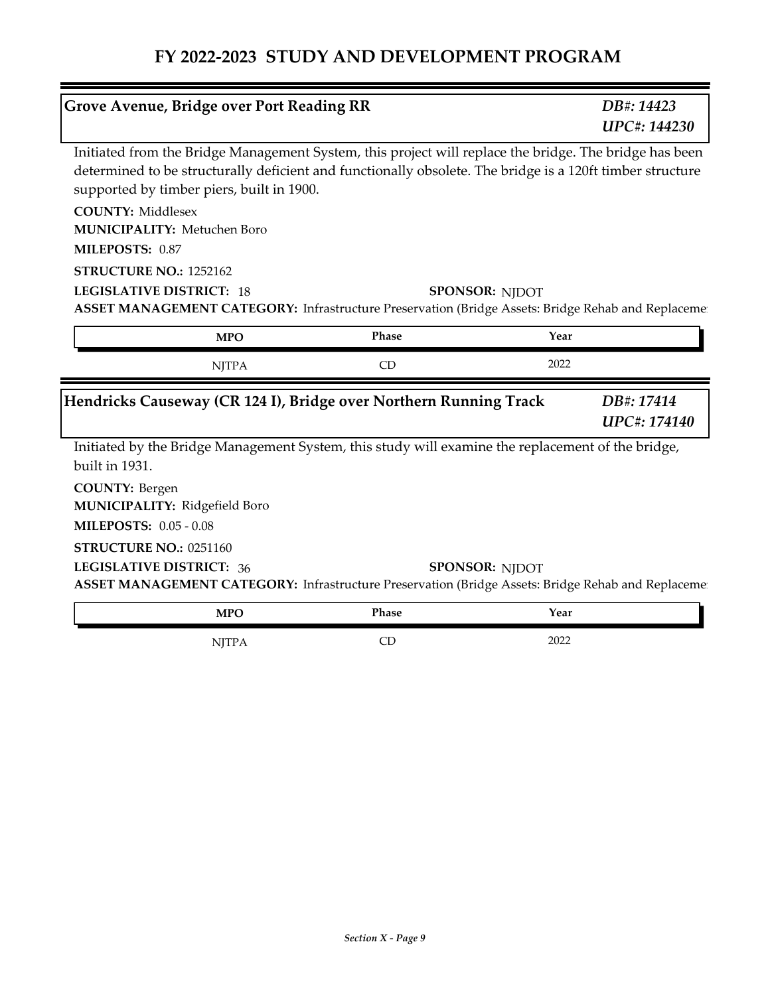|                                                                                         | Grove Avenue, Bridge over Port Reading RR |                                                                   | DB#: 14423<br>UPC#: 144230                                                                                                                                                                                          |
|-----------------------------------------------------------------------------------------|-------------------------------------------|-------------------------------------------------------------------|---------------------------------------------------------------------------------------------------------------------------------------------------------------------------------------------------------------------|
|                                                                                         | supported by timber piers, built in 1900. |                                                                   | Initiated from the Bridge Management System, this project will replace the bridge. The bridge has been<br>determined to be structurally deficient and functionally obsolete. The bridge is a 120ft timber structure |
| <b>COUNTY: Middlesex</b><br><b>MUNICIPALITY: Metuchen Boro</b><br>MILEPOSTS: 0.87       |                                           |                                                                   |                                                                                                                                                                                                                     |
| STRUCTURE NO.: 1252162<br><b>LEGISLATIVE DISTRICT: 18</b>                               |                                           |                                                                   | <b>SPONSOR: NJDOT</b><br>ASSET MANAGEMENT CATEGORY: Infrastructure Preservation (Bridge Assets: Bridge Rehab and Replaceme                                                                                          |
|                                                                                         | <b>MPO</b>                                | Phase                                                             | Year                                                                                                                                                                                                                |
|                                                                                         | <b>NJTPA</b>                              | CD                                                                | 2022                                                                                                                                                                                                                |
|                                                                                         |                                           | Hendricks Causeway (CR 124 I), Bridge over Northern Running Track | DB#: 17414<br><b>UPC#: 174140</b>                                                                                                                                                                                   |
| built in 1931.                                                                          |                                           |                                                                   | Initiated by the Bridge Management System, this study will examine the replacement of the bridge,                                                                                                                   |
| <b>COUNTY: Bergen</b><br>MUNICIPALITY: Ridgefield Boro<br><b>MILEPOSTS: 0.05 - 0.08</b> |                                           |                                                                   |                                                                                                                                                                                                                     |
| STRUCTURE NO.: 0251160<br><b>LEGISLATIVE DISTRICT: 36</b>                               |                                           |                                                                   | <b>SPONSOR: NJDOT</b><br>ASSET MANAGEMENT CATEGORY: Infrastructure Preservation (Bridge Assets: Bridge Rehab and Replaceme                                                                                          |
|                                                                                         | <b>MPO</b>                                | Phase                                                             | Year                                                                                                                                                                                                                |
|                                                                                         |                                           |                                                                   |                                                                                                                                                                                                                     |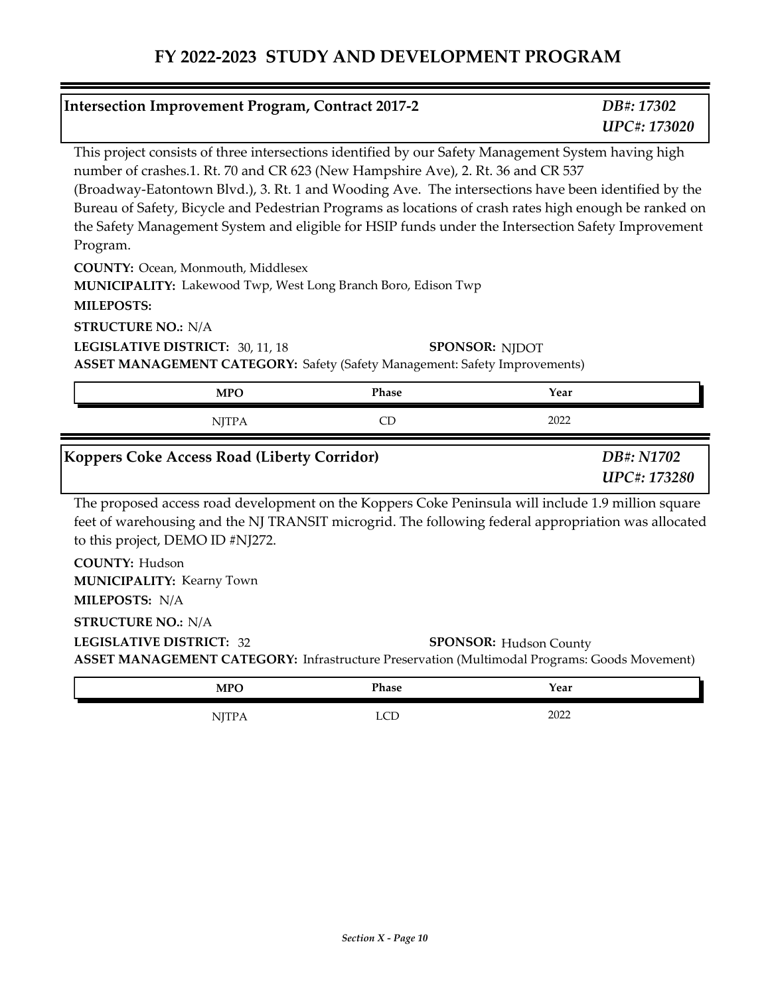| <b>Intersection Improvement Program, Contract 2017-2</b>                                                                                                                                                                                                                                                                                                                                                                                                                                                                                                                                                                          |              |       |                                                                                                    | DB#: 17302<br>UPC#: 173020        |
|-----------------------------------------------------------------------------------------------------------------------------------------------------------------------------------------------------------------------------------------------------------------------------------------------------------------------------------------------------------------------------------------------------------------------------------------------------------------------------------------------------------------------------------------------------------------------------------------------------------------------------------|--------------|-------|----------------------------------------------------------------------------------------------------|-----------------------------------|
| This project consists of three intersections identified by our Safety Management System having high<br>number of crashes.1. Rt. 70 and CR 623 (New Hampshire Ave), 2. Rt. 36 and CR 537<br>(Broadway-Eatontown Blvd.), 3. Rt. 1 and Wooding Ave. The intersections have been identified by the<br>Bureau of Safety, Bicycle and Pedestrian Programs as locations of crash rates high enough be ranked on<br>the Safety Management System and eligible for HSIP funds under the Intersection Safety Improvement<br>Program.<br>COUNTY: Ocean, Monmouth, Middlesex<br>MUNICIPALITY: Lakewood Twp, West Long Branch Boro, Edison Twp |              |       |                                                                                                    |                                   |
| <b>MILEPOSTS:</b>                                                                                                                                                                                                                                                                                                                                                                                                                                                                                                                                                                                                                 |              |       |                                                                                                    |                                   |
| <b>STRUCTURE NO.: N/A</b>                                                                                                                                                                                                                                                                                                                                                                                                                                                                                                                                                                                                         |              |       |                                                                                                    |                                   |
| LEGISLATIVE DISTRICT: 30, 11, 18<br><b>ASSET MANAGEMENT CATEGORY: Safety (Safety Management: Safety Improvements)</b>                                                                                                                                                                                                                                                                                                                                                                                                                                                                                                             |              |       | <b>SPONSOR: NJDOT</b>                                                                              |                                   |
|                                                                                                                                                                                                                                                                                                                                                                                                                                                                                                                                                                                                                                   | <b>MPO</b>   | Phase | Year                                                                                               |                                   |
|                                                                                                                                                                                                                                                                                                                                                                                                                                                                                                                                                                                                                                   | <b>NJTPA</b> | CD    | 2022                                                                                               |                                   |
| Koppers Coke Access Road (Liberty Corridor)                                                                                                                                                                                                                                                                                                                                                                                                                                                                                                                                                                                       |              |       |                                                                                                    | DB#: N1702<br><b>UPC#: 173280</b> |
|                                                                                                                                                                                                                                                                                                                                                                                                                                                                                                                                                                                                                                   |              |       |                                                                                                    |                                   |
| feet of warehousing and the NJ TRANSIT microgrid. The following federal appropriation was allocated<br>to this project, DEMO ID #NJ272.                                                                                                                                                                                                                                                                                                                                                                                                                                                                                           |              |       | The proposed access road development on the Koppers Coke Peninsula will include 1.9 million square |                                   |
| <b>COUNTY: Hudson</b>                                                                                                                                                                                                                                                                                                                                                                                                                                                                                                                                                                                                             |              |       |                                                                                                    |                                   |
| <b>MUNICIPALITY: Kearny Town</b><br>MILEPOSTS: N/A                                                                                                                                                                                                                                                                                                                                                                                                                                                                                                                                                                                |              |       |                                                                                                    |                                   |
| <b>STRUCTURE NO.: N/A</b>                                                                                                                                                                                                                                                                                                                                                                                                                                                                                                                                                                                                         |              |       |                                                                                                    |                                   |
| <b>LEGISLATIVE DISTRICT: 32</b><br><b>ASSET MANAGEMENT CATEGORY:</b> Infrastructure Preservation (Multimodal Programs: Goods Movement)                                                                                                                                                                                                                                                                                                                                                                                                                                                                                            |              |       | <b>SPONSOR: Hudson County</b>                                                                      |                                   |
|                                                                                                                                                                                                                                                                                                                                                                                                                                                                                                                                                                                                                                   | <b>MPO</b>   | Phase | Year                                                                                               |                                   |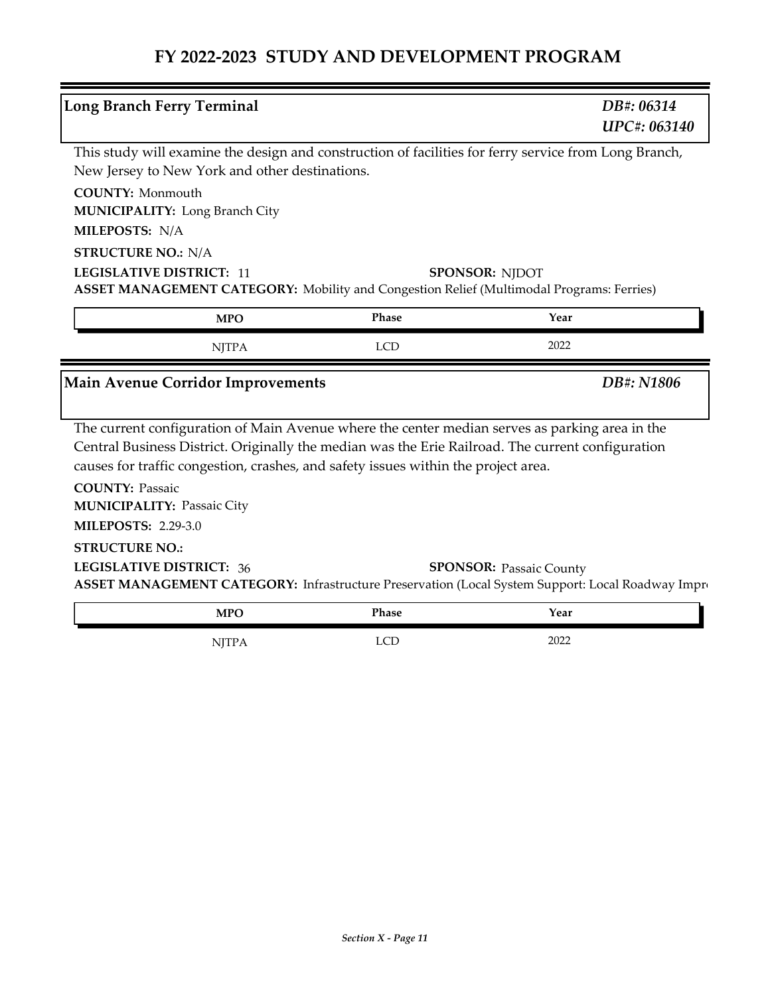| <b>Long Branch Ferry Terminal</b>              |              |                                                                                    | DB#: 06314<br><b>UPC#: 063140</b>                                                                                                   |
|------------------------------------------------|--------------|------------------------------------------------------------------------------------|-------------------------------------------------------------------------------------------------------------------------------------|
|                                                |              |                                                                                    | This study will examine the design and construction of facilities for ferry service from Long Branch,                               |
| New Jersey to New York and other destinations. |              |                                                                                    |                                                                                                                                     |
| <b>COUNTY: Monmouth</b>                        |              |                                                                                    |                                                                                                                                     |
| <b>MUNICIPALITY: Long Branch City</b>          |              |                                                                                    |                                                                                                                                     |
| MILEPOSTS: N/A                                 |              |                                                                                    |                                                                                                                                     |
| <b>STRUCTURE NO.: N/A</b>                      |              |                                                                                    |                                                                                                                                     |
| <b>LEGISLATIVE DISTRICT: 11</b>                |              |                                                                                    | <b>SPONSOR: NJDOT</b>                                                                                                               |
|                                                |              |                                                                                    | <b>ASSET MANAGEMENT CATEGORY:</b> Mobility and Congestion Relief (Multimodal Programs: Ferries)                                     |
|                                                | <b>MPO</b>   | Phase                                                                              | Year                                                                                                                                |
|                                                |              |                                                                                    |                                                                                                                                     |
|                                                | <b>NJTPA</b> | <b>LCD</b>                                                                         | 2022                                                                                                                                |
|                                                |              |                                                                                    |                                                                                                                                     |
| <b>Main Avenue Corridor Improvements</b>       |              |                                                                                    | DB#: N1806                                                                                                                          |
|                                                |              |                                                                                    |                                                                                                                                     |
|                                                |              |                                                                                    | The current configuration of Main Avenue where the center median serves as parking area in the                                      |
|                                                |              | causes for traffic congestion, crashes, and safety issues within the project area. | Central Business District. Originally the median was the Erie Railroad. The current configuration                                   |
| <b>COUNTY: Passaic</b>                         |              |                                                                                    |                                                                                                                                     |
| <b>MUNICIPALITY: Passaic City</b>              |              |                                                                                    |                                                                                                                                     |
| <b>MILEPOSTS: 2.29-3.0</b>                     |              |                                                                                    |                                                                                                                                     |
| <b>STRUCTURE NO.:</b>                          |              |                                                                                    |                                                                                                                                     |
| <b>LEGISLATIVE DISTRICT: 36</b>                |              |                                                                                    |                                                                                                                                     |
|                                                |              |                                                                                    | <b>SPONSOR: Passaic County</b><br>ASSET MANAGEMENT CATEGORY: Infrastructure Preservation (Local System Support: Local Roadway Impro |

NJTPA LCD 2022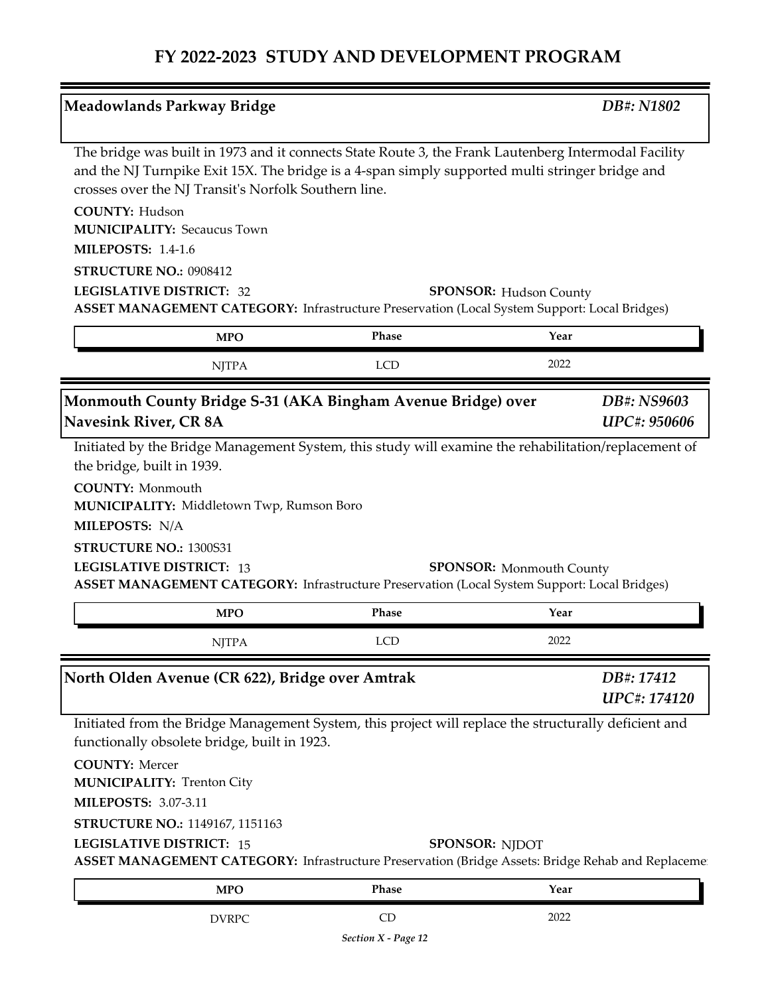| <b>Meadowlands Parkway Bridge</b>                                                        |                                                                                                                                                                                                         | DB#: N1802                         |
|------------------------------------------------------------------------------------------|---------------------------------------------------------------------------------------------------------------------------------------------------------------------------------------------------------|------------------------------------|
| crosses over the NJ Transit's Norfolk Southern line.                                     | The bridge was built in 1973 and it connects State Route 3, the Frank Lautenberg Intermodal Facility<br>and the NJ Turnpike Exit 15X. The bridge is a 4-span simply supported multi stringer bridge and |                                    |
| <b>COUNTY: Hudson</b><br><b>MUNICIPALITY: Secaucus Town</b><br><b>MILEPOSTS: 1.4-1.6</b> |                                                                                                                                                                                                         |                                    |
| STRUCTURE NO.: 0908412                                                                   |                                                                                                                                                                                                         |                                    |
| <b>LEGISLATIVE DISTRICT: 32</b>                                                          | <b>SPONSOR:</b> Hudson County<br>ASSET MANAGEMENT CATEGORY: Infrastructure Preservation (Local System Support: Local Bridges)                                                                           |                                    |
| <b>MPO</b>                                                                               | Phase                                                                                                                                                                                                   | Year                               |
| <b>NJTPA</b>                                                                             | <b>LCD</b>                                                                                                                                                                                              | 2022                               |
| Monmouth County Bridge S-31 (AKA Bingham Avenue Bridge) over<br>Navesink River, CR 8A    |                                                                                                                                                                                                         | DB#: NS9603<br><b>UPC#: 950606</b> |
|                                                                                          | Initiated by the Bridge Management System, this study will examine the rehabilitation/replacement of                                                                                                    |                                    |
| the bridge, built in 1939.                                                               |                                                                                                                                                                                                         |                                    |
| <b>COUNTY: Monmouth</b><br>MUNICIPALITY: Middletown Twp, Rumson Boro                     |                                                                                                                                                                                                         |                                    |
| MILEPOSTS: N/A                                                                           |                                                                                                                                                                                                         |                                    |
| STRUCTURE NO.: 1300S31<br><b>LEGISLATIVE DISTRICT: 13</b>                                | <b>SPONSOR:</b> Monmouth County<br><b>ASSET MANAGEMENT CATEGORY:</b> Infrastructure Preservation (Local System Support: Local Bridges)                                                                  |                                    |
| <b>MPO</b>                                                                               | Phase                                                                                                                                                                                                   | Year                               |
| <b>NJTPA</b>                                                                             | <b>LCD</b>                                                                                                                                                                                              | 2022                               |
| North Olden Avenue (CR 622), Bridge over Amtrak                                          |                                                                                                                                                                                                         | DB#: 17412<br>UPC#: 174120         |
| functionally obsolete bridge, built in 1923.                                             | Initiated from the Bridge Management System, this project will replace the structurally deficient and                                                                                                   |                                    |
| <b>COUNTY: Mercer</b><br><b>MUNICIPALITY: Trenton City</b>                               |                                                                                                                                                                                                         |                                    |
| <b>MILEPOSTS: 3.07-3.11</b>                                                              |                                                                                                                                                                                                         |                                    |
| STRUCTURE NO.: 1149167, 1151163<br><b>LEGISLATIVE DISTRICT: 15</b>                       | <b>SPONSOR: NJDOT</b><br>ASSET MANAGEMENT CATEGORY: Infrastructure Preservation (Bridge Assets: Bridge Rehab and Replacemen                                                                             |                                    |

DVRPC CD 2022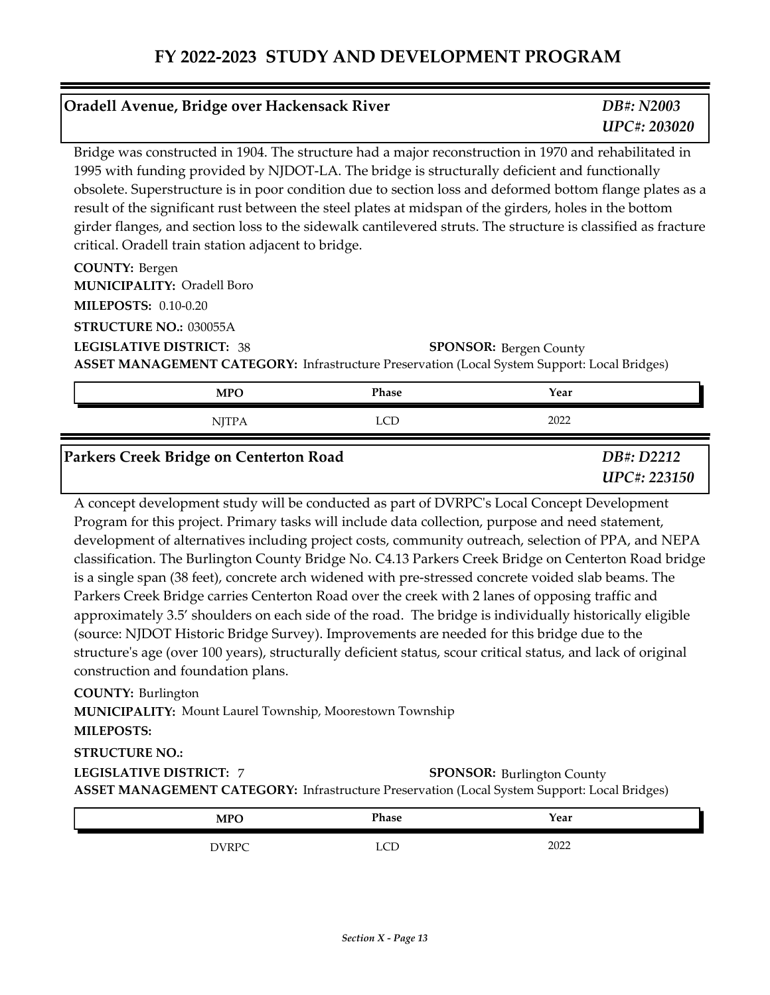| Oradell Avenue, Bridge over Hackensack River                                                                                                                                                                                                                                                                                                                                                                                                                                                                                                                                                         |            | DB#: N2003<br><b>UPC#: 203020</b> |
|------------------------------------------------------------------------------------------------------------------------------------------------------------------------------------------------------------------------------------------------------------------------------------------------------------------------------------------------------------------------------------------------------------------------------------------------------------------------------------------------------------------------------------------------------------------------------------------------------|------------|-----------------------------------|
| Bridge was constructed in 1904. The structure had a major reconstruction in 1970 and rehabilitated in<br>1995 with funding provided by NJDOT-LA. The bridge is structurally deficient and functionally<br>obsolete. Superstructure is in poor condition due to section loss and deformed bottom flange plates as a<br>result of the significant rust between the steel plates at midspan of the girders, holes in the bottom<br>girder flanges, and section loss to the sidewalk cantilevered struts. The structure is classified as fracture<br>critical. Oradell train station adjacent to bridge. |            |                                   |
| <b>COUNTY: Bergen</b><br><b>MUNICIPALITY: Oradell Boro</b><br><b>MILEPOSTS: 0.10-0.20</b>                                                                                                                                                                                                                                                                                                                                                                                                                                                                                                            |            |                                   |
| <b>STRUCTURE NO.: 030055A</b><br><b>LEGISLATIVE DISTRICT: 38</b><br>ASSET MANAGEMENT CATEGORY: Infrastructure Preservation (Local System Support: Local Bridges)                                                                                                                                                                                                                                                                                                                                                                                                                                     |            | <b>SPONSOR: Bergen County</b>     |
| <b>MPO</b>                                                                                                                                                                                                                                                                                                                                                                                                                                                                                                                                                                                           | Phase      | Year                              |
| <b>NJTPA</b>                                                                                                                                                                                                                                                                                                                                                                                                                                                                                                                                                                                         | <b>LCD</b> | 2022                              |
| Parkers Creek Bridge on Centerton Road                                                                                                                                                                                                                                                                                                                                                                                                                                                                                                                                                               |            | DB#: D2212<br><b>UPC#: 223150</b> |
| A concept development study will be conducted as part of DVRPC's Local Concept Development<br>Program for this project. Primary tasks will include data collection, purpose and need statement,<br>development of alternatives including project costs, community outreach, selection of PPA, and NEPA<br>classification. The Burlington County Bridge No. C4.13 Parkers Creek Bridge on Centerton Road bridge<br>is a single span (38 feet), concrete arch widened with pre-stressed concrete voided slab beams. The                                                                                |            |                                   |

Parkers Creek Bridge carries Centerton Road over the creek with 2 lanes of opposing traffic and approximately 3.5' shoulders on each side of the road. The bridge is individually historically eligible (source: NJDOT Historic Bridge Survey). Improvements are needed for this bridge due to the structure's age (over 100 years), structurally deficient status, scour critical status, and lack of original construction and foundation plans.

#### **COUNTY:** Burlington

**MUNICIPALITY: Mount Laurel Township, Moorestown Township** 

#### **MILEPOSTS:**

#### **STRUCTURE NO.:**

**LEGISLATIVE DISTRICT:** 7**ASSET MANAGEMENT CATEGORY:** Infrastructure Preservation (Local System Support: Local Bridges) **SPONSOR: Burlington County** 

| <b>MPO</b>   | <b>Phase</b>    | Year |  |
|--------------|-----------------|------|--|
| <b>DVRPC</b> | $\sqrt{2}$<br>ឹ | 2022 |  |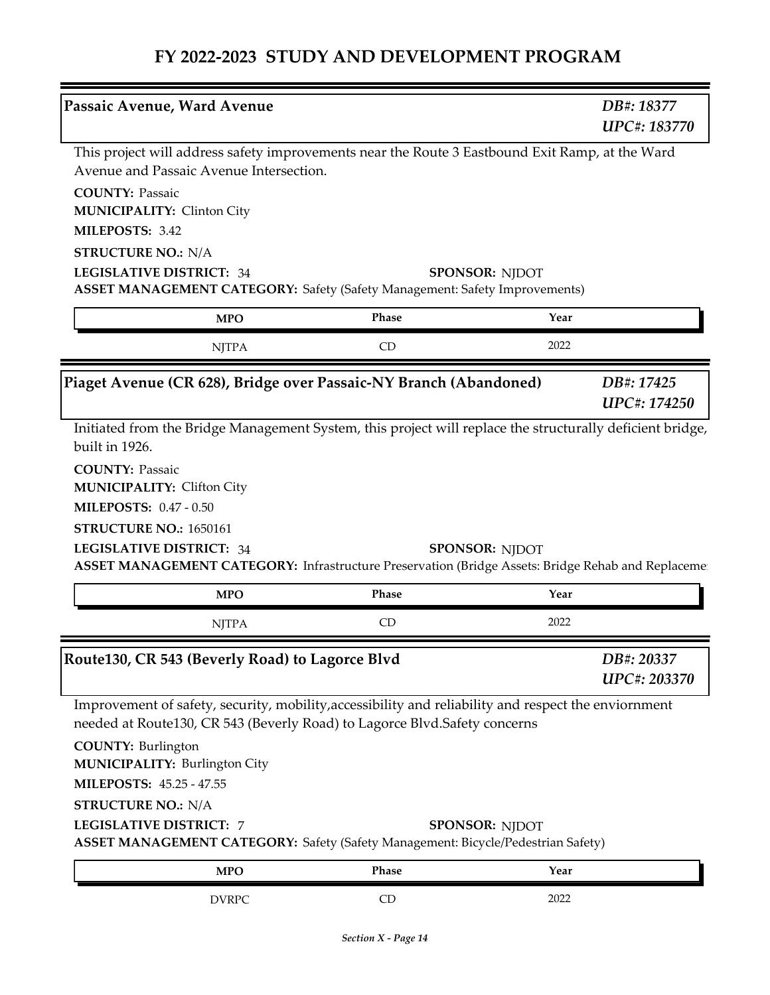| Passaic Avenue, Ward Avenue                                                                                            |                                                                                                                             | DB#: 18377                 |
|------------------------------------------------------------------------------------------------------------------------|-----------------------------------------------------------------------------------------------------------------------------|----------------------------|
|                                                                                                                        |                                                                                                                             | <b>UPC#: 183770</b>        |
| Avenue and Passaic Avenue Intersection.                                                                                | This project will address safety improvements near the Route 3 Eastbound Exit Ramp, at the Ward                             |                            |
| <b>COUNTY: Passaic</b>                                                                                                 |                                                                                                                             |                            |
| <b>MUNICIPALITY: Clinton City</b>                                                                                      |                                                                                                                             |                            |
| MILEPOSTS: 3.42                                                                                                        |                                                                                                                             |                            |
| <b>STRUCTURE NO.: N/A</b>                                                                                              |                                                                                                                             |                            |
| <b>LEGISLATIVE DISTRICT: 34</b>                                                                                        | <b>SPONSOR: NJDOT</b><br><b>ASSET MANAGEMENT CATEGORY:</b> Safety (Safety Management: Safety Improvements)                  |                            |
| <b>MPO</b>                                                                                                             | Phase                                                                                                                       | Year                       |
| <b>NJTPA</b>                                                                                                           | CD                                                                                                                          | 2022                       |
|                                                                                                                        | Piaget Avenue (CR 628), Bridge over Passaic-NY Branch (Abandoned)                                                           | DB#: 17425                 |
|                                                                                                                        |                                                                                                                             | <b>UPC#: 174250</b>        |
| <b>COUNTY: Passaic</b><br><b>MUNICIPALITY: Clifton City</b><br><b>MILEPOSTS: 0.47 - 0.50</b><br>STRUCTURE NO.: 1650161 |                                                                                                                             |                            |
| <b>LEGISLATIVE DISTRICT: 34</b>                                                                                        | <b>SPONSOR: NJDOT</b><br>ASSET MANAGEMENT CATEGORY: Infrastructure Preservation (Bridge Assets: Bridge Rehab and Replacemen |                            |
| <b>MPO</b>                                                                                                             | Phase                                                                                                                       | Year                       |
| <b>NJTPA</b>                                                                                                           | CD                                                                                                                          | 2022                       |
|                                                                                                                        |                                                                                                                             |                            |
| Route130, CR 543 (Beverly Road) to Lagorce Blvd                                                                        |                                                                                                                             | DB#: 20337<br>UPC#: 203370 |
|                                                                                                                        | Improvement of safety, security, mobility, accessibility and reliability and respect the enviornment                        |                            |
|                                                                                                                        | needed at Route130, CR 543 (Beverly Road) to Lagorce Blvd.Safety concerns                                                   |                            |
| <b>COUNTY: Burlington</b><br><b>MUNICIPALITY: Burlington City</b>                                                      |                                                                                                                             |                            |
| MILEPOSTS: 45.25 - 47.55                                                                                               |                                                                                                                             |                            |
| <b>STRUCTURE NO.: N/A</b>                                                                                              |                                                                                                                             |                            |
| <b>LEGISLATIVE DISTRICT: 7</b>                                                                                         | <b>SPONSOR: NJDOT</b><br><b>ASSET MANAGEMENT CATEGORY:</b> Safety (Safety Management: Bicycle/Pedestrian Safety)            |                            |
| <b>MPO</b>                                                                                                             | Phase                                                                                                                       | Year                       |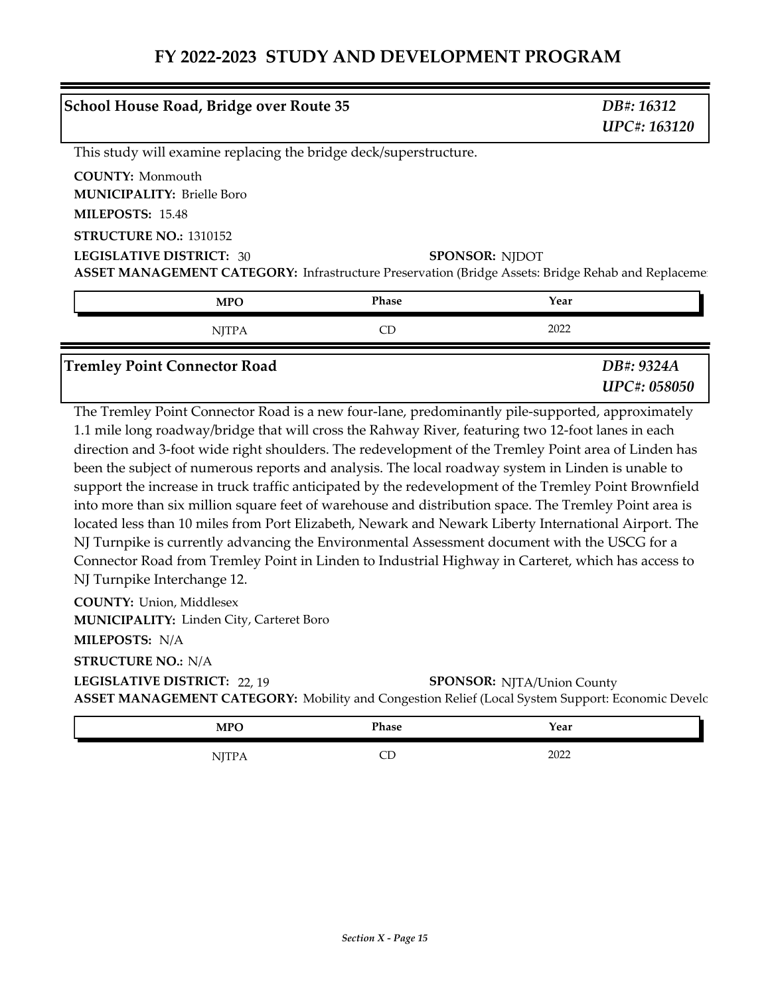|                                                                                  | <b>School House Road, Bridge over Route 35</b> |                                                                   | DB#: 16312<br><b>UPC#: 163120</b>                                                                                            |
|----------------------------------------------------------------------------------|------------------------------------------------|-------------------------------------------------------------------|------------------------------------------------------------------------------------------------------------------------------|
|                                                                                  |                                                | This study will examine replacing the bridge deck/superstructure. |                                                                                                                              |
| <b>COUNTY:</b> Monmouth<br><b>MUNICIPALITY: Brielle Boro</b><br>MILEPOSTS: 15.48 |                                                |                                                                   |                                                                                                                              |
| <b>STRUCTURE NO.: 1310152</b>                                                    |                                                |                                                                   |                                                                                                                              |
| <b>LEGISLATIVE DISTRICT: 30</b>                                                  |                                                |                                                                   | <b>SPONSOR: NIDOT</b><br>ASSET MANAGEMENT CATEGORY: Infrastructure Preservation (Bridge Assets: Bridge Rehab and Replacement |
|                                                                                  | <b>MPO</b>                                     | Phase                                                             | Year                                                                                                                         |

| <b>NITPA</b>                        | 2022                       |  |
|-------------------------------------|----------------------------|--|
| <b>Tremley Point Connector Road</b> | DB#: 9324A<br>UPC#: 058050 |  |

The Tremley Point Connector Road is a new four-lane, predominantly pile-supported, approximately 1.1 mile long roadway/bridge that will cross the Rahway River, featuring two 12-foot lanes in each direction and 3-foot wide right shoulders. The redevelopment of the Tremley Point area of Linden has been the subject of numerous reports and analysis. The local roadway system in Linden is unable to support the increase in truck traffic anticipated by the redevelopment of the Tremley Point Brownfield into more than six million square feet of warehouse and distribution space. The Tremley Point area is located less than 10 miles from Port Elizabeth, Newark and Newark Liberty International Airport. The NJ Turnpike is currently advancing the Environmental Assessment document with the USCG for a Connector Road from Tremley Point in Linden to Industrial Highway in Carteret, which has access to NJ Turnpike Interchange 12.

**COUNTY:** Union, Middlesex **MUNICIPALITY: Linden City, Carteret Boro** 

**MILEPOSTS:** N/A

**STRUCTURE NO.:** N/A

**LEGISLATIVE DISTRICT:** 22, 19

**SPONSOR: NJTA/Union County** 

**ASSET MANAGEMENT CATEGORY:** Mobility and Congestion Relief (Local System Support: Economic Development)

| <b>MPO</b>        | Phase   | Year |
|-------------------|---------|------|
| TTTD<br>, , , , , | ~~<br>◡ | 2022 |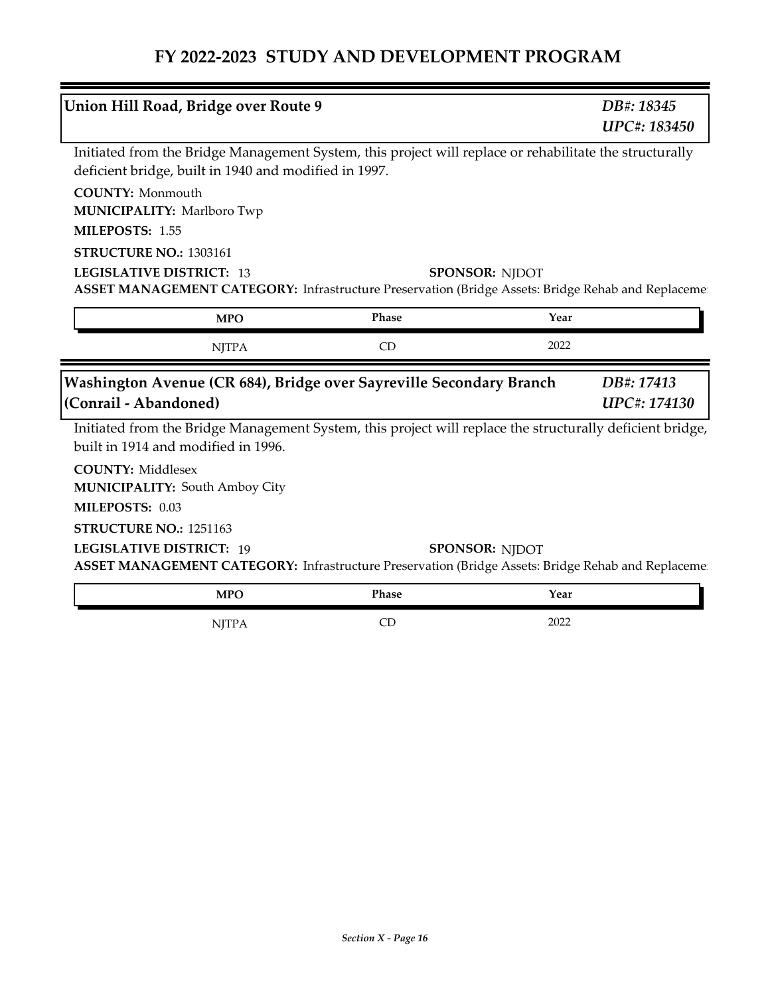|                                   | Union Hill Road, Bridge over Route 9                  |                                                                     | DB#: 18345<br>UPC#: 183450                                                                                                  |  |
|-----------------------------------|-------------------------------------------------------|---------------------------------------------------------------------|-----------------------------------------------------------------------------------------------------------------------------|--|
|                                   | deficient bridge, built in 1940 and modified in 1997. |                                                                     | Initiated from the Bridge Management System, this project will replace or rehabilitate the structurally                     |  |
| <b>COUNTY: Monmouth</b>           |                                                       |                                                                     |                                                                                                                             |  |
| <b>MUNICIPALITY: Marlboro Twp</b> |                                                       |                                                                     |                                                                                                                             |  |
| MILEPOSTS: 1.55                   |                                                       |                                                                     |                                                                                                                             |  |
| STRUCTURE NO.: 1303161            |                                                       |                                                                     |                                                                                                                             |  |
| <b>LEGISLATIVE DISTRICT: 13</b>   |                                                       |                                                                     | <b>SPONSOR: NJDOT</b><br>ASSET MANAGEMENT CATEGORY: Infrastructure Preservation (Bridge Assets: Bridge Rehab and Replacemen |  |
|                                   | <b>MPO</b>                                            | <b>Phase</b>                                                        | Year                                                                                                                        |  |
|                                   | <b>NJTPA</b>                                          | CD                                                                  | 2022                                                                                                                        |  |
|                                   |                                                       |                                                                     |                                                                                                                             |  |
|                                   |                                                       | Washington Avenue (CR 684), Bridge over Sayreville Secondary Branch | DB#: 17413                                                                                                                  |  |
|                                   |                                                       |                                                                     | UPC#: 174130                                                                                                                |  |
|                                   | built in 1914 and modified in 1996.                   |                                                                     | Initiated from the Bridge Management System, this project will replace the structurally deficient bridge,                   |  |
| <b>COUNTY: Middlesex</b>          |                                                       |                                                                     |                                                                                                                             |  |
|                                   | <b>MUNICIPALITY: South Amboy City</b>                 |                                                                     |                                                                                                                             |  |
| MILEPOSTS: 0.03                   |                                                       |                                                                     |                                                                                                                             |  |
| STRUCTURE NO.: 1251163            |                                                       |                                                                     |                                                                                                                             |  |
| <b>LEGISLATIVE DISTRICT: 19</b>   |                                                       |                                                                     | <b>SPONSOR: NJDOT</b>                                                                                                       |  |
| (Conrail - Abandoned)             |                                                       |                                                                     | ASSET MANAGEMENT CATEGORY: Infrastructure Preservation (Bridge Assets: Bridge Rehab and Replaceme                           |  |
|                                   | <b>MPO</b>                                            | Phase                                                               | Year                                                                                                                        |  |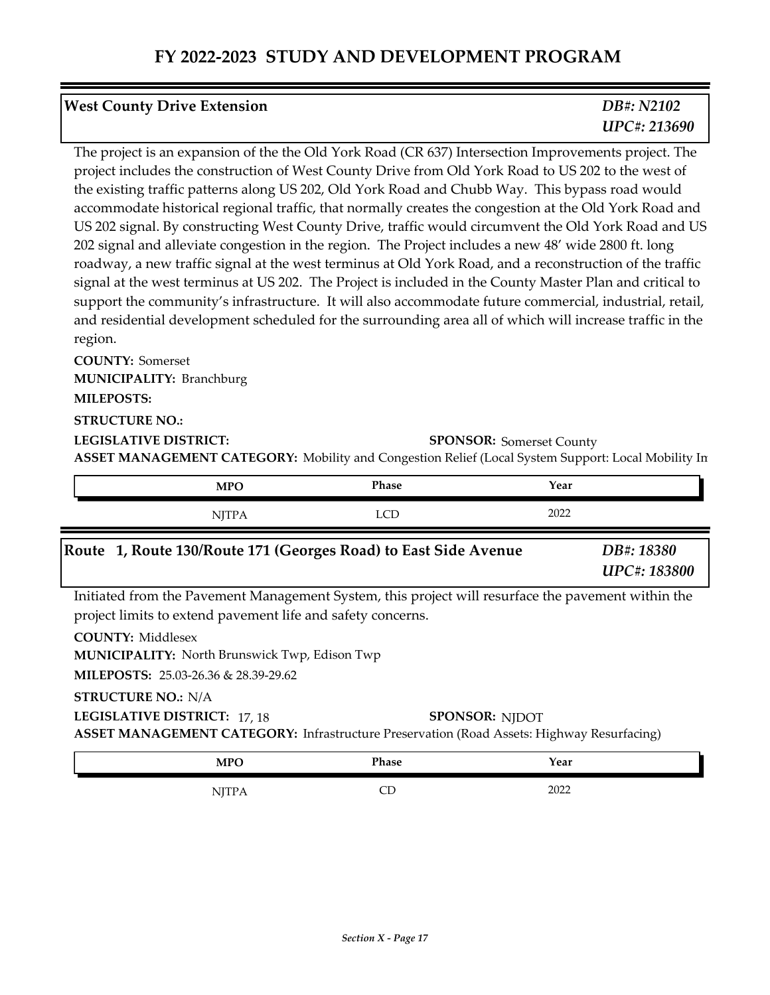| <b>West County Drive Extension</b> | DB#: N2102          |
|------------------------------------|---------------------|
|                                    | <b>UPC#: 213690</b> |
|                                    |                     |

The project is an expansion of the the Old York Road (CR 637) Intersection Improvements project. The project includes the construction of West County Drive from Old York Road to US 202 to the west of the existing traffic patterns along US 202, Old York Road and Chubb Way. This bypass road would accommodate historical regional traffic, that normally creates the congestion at the Old York Road and US 202 signal. By constructing West County Drive, traffic would circumvent the Old York Road and US 202 signal and alleviate congestion in the region. The Project includes a new 48' wide 2800 ft. long roadway, a new traffic signal at the west terminus at Old York Road, and a reconstruction of the traffic signal at the west terminus at US 202. The Project is included in the County Master Plan and critical to support the community's infrastructure. It will also accommodate future commercial, industrial, retail, and residential development scheduled for the surrounding area all of which will increase traffic in the region.

**ASSET MANAGEMENT CATEGORY:** Mobility and Congestion Relief (Local System Support: Local Mobility In **COUNTY:** Somerset **LEGISLATIVE DISTRICT: MILEPOSTS: STRUCTURE NO.: MUNICIPALITY: Branchburg SPONSOR: Somerset County** 

| Phase<br><b>MPC</b> | Year |
|---------------------|------|
| $\sim$<br>---<br>   | 2022 |

#### *DB#: 18380 UPC#: 183800* **Route 1, Route 130/Route 171 (Georges Road) to East Side Avenue**

Initiated from the Pavement Management System, this project will resurface the pavement within the project limits to extend pavement life and safety concerns.

**COUNTY:** Middlesex

**MUNICIPALITY:** North Brunswick Twp, Edison Twp

**MILEPOSTS:** 25.03-26.36 & 28.39-29.62

**LEGISLATIVE DISTRICT:** 17, 18

**STRUCTURE NO.:** N/A

**SPONSOR: NJDOT** 

**ASSET MANAGEMENT CATEGORY:** Infrastructure Preservation (Road Assets: Highway Resurfacing)

| <b>MPO</b>                        | Phase | Year |  |
|-----------------------------------|-------|------|--|
| TTTD<br>$11 \Delta$<br><b>1 W</b> | ᄕ     | 2022 |  |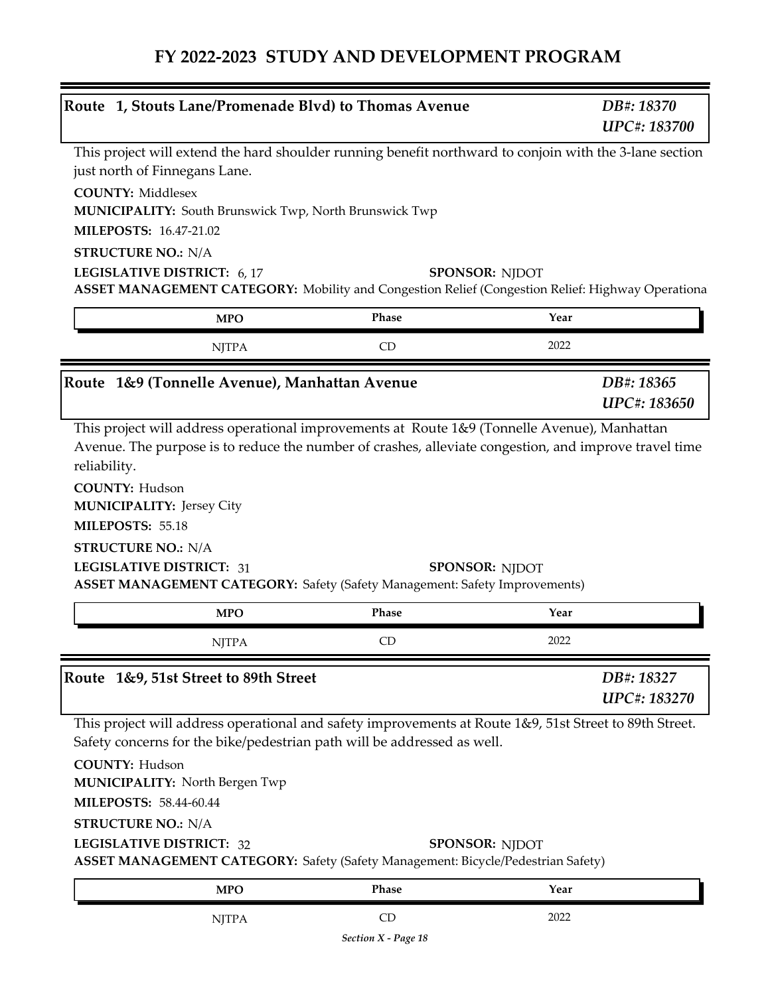| Route 1, Stouts Lane/Promenade Blvd) to Thomas Avenue                                                                                                                                                     |           | DB#: 18370<br>UPC#: 183700        |
|-----------------------------------------------------------------------------------------------------------------------------------------------------------------------------------------------------------|-----------|-----------------------------------|
| This project will extend the hard shoulder running benefit northward to conjoin with the 3-lane section<br>just north of Finnegans Lane.                                                                  |           |                                   |
| <b>COUNTY: Middlesex</b><br>MUNICIPALITY: South Brunswick Twp, North Brunswick Twp                                                                                                                        |           |                                   |
| <b>MILEPOSTS: 16.47-21.02</b>                                                                                                                                                                             |           |                                   |
| <b>STRUCTURE NO.: N/A</b>                                                                                                                                                                                 |           |                                   |
| LEGISLATIVE DISTRICT: 6, 17<br>ASSET MANAGEMENT CATEGORY: Mobility and Congestion Relief (Congestion Relief: Highway Operationa                                                                           |           | <b>SPONSOR: NJDOT</b>             |
| <b>MPO</b>                                                                                                                                                                                                | Phase     | Year                              |
| <b>NJTPA</b>                                                                                                                                                                                              | CD        | 2022                              |
| Route 1&9 (Tonnelle Avenue), Manhattan Avenue                                                                                                                                                             |           | DB#: 18365<br><b>UPC#: 183650</b> |
| <b>MUNICIPALITY: Jersey City</b><br>MILEPOSTS: 55.18<br><b>STRUCTURE NO.: N/A</b><br><b>LEGISLATIVE DISTRICT: 31</b><br><b>ASSET MANAGEMENT CATEGORY: Safety (Safety Management: Safety Improvements)</b> |           | <b>SPONSOR: NJDOT</b>             |
| <b>MPO</b>                                                                                                                                                                                                | Phase     | Year                              |
| <b>NJTPA</b>                                                                                                                                                                                              | CD        | 2022                              |
| Route 1&9, 51st Street to 89th Street                                                                                                                                                                     |           | DB#: 18327                        |
|                                                                                                                                                                                                           |           | <b>UPC#: 183270</b>               |
| This project will address operational and safety improvements at Route 1&9, 51st Street to 89th Street.<br>Safety concerns for the bike/pedestrian path will be addressed as well.                        |           |                                   |
| <b>COUNTY: Hudson</b><br><b>MUNICIPALITY: North Bergen Twp</b>                                                                                                                                            |           |                                   |
| <b>MILEPOSTS: 58.44-60.44</b>                                                                                                                                                                             |           |                                   |
| <b>STRUCTURE NO.: N/A</b>                                                                                                                                                                                 |           |                                   |
| <b>LEGISLATIVE DISTRICT: 32</b><br><b>ASSET MANAGEMENT CATEGORY:</b> Safety (Safety Management: Bicycle/Pedestrian Safety)                                                                                |           | <b>SPONSOR: NJDOT</b>             |
| <b>MPO</b>                                                                                                                                                                                                | Phase     | Year                              |
| <b>NJTPA</b>                                                                                                                                                                                              | <b>CD</b> | 2022                              |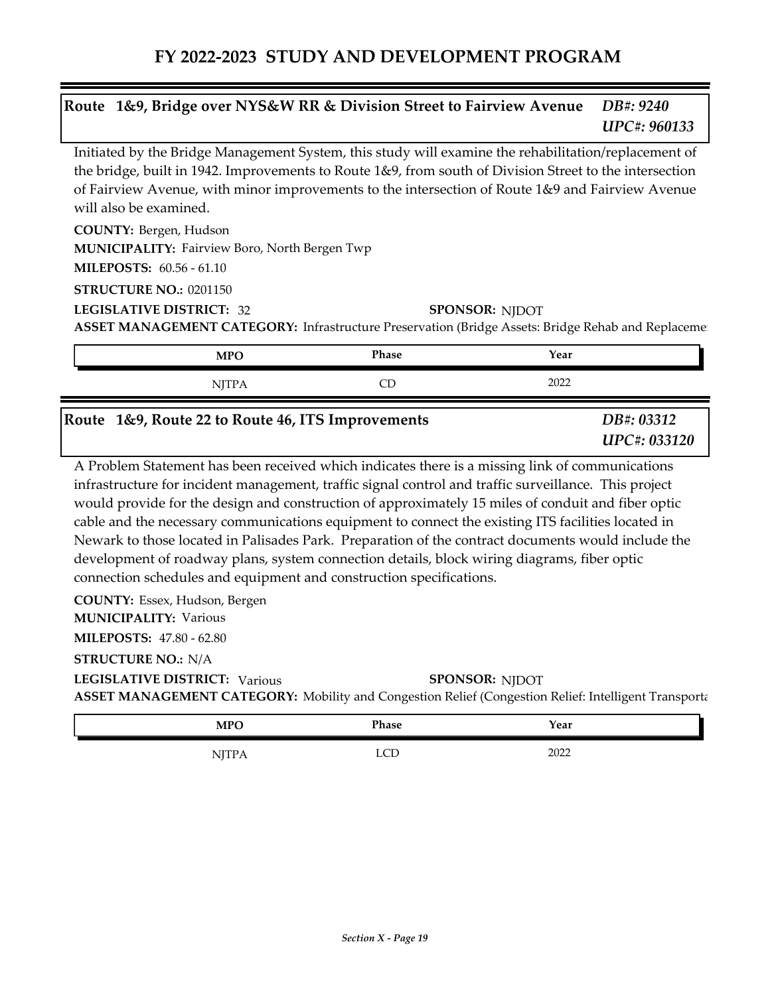#### *DB#: 9240 UPC#: 960133* **Route 1&9, Bridge over NYS&W RR & Division Street to Fairview Avenue**

Initiated by the Bridge Management System, this study will examine the rehabilitation/replacement of the bridge, built in 1942. Improvements to Route 1&9, from south of Division Street to the intersection of Fairview Avenue, with minor improvements to the intersection of Route 1&9 and Fairview Avenue will also be examined.

**COUNTY:** Bergen, Hudson

**MUNICIPALITY: Fairview Boro, North Bergen Twp** 

**MILEPOSTS:** 60.56 - 61.10

**STRUCTURE NO.:** 0201150

**LEGISLATIVE DISTRICT:** 32

**ASSET MANAGEMENT CATEGORY:** Infrastructure Preservation (Bridge Assets: Bridge Rehab and Replaceme **SPONSOR: NJDOT** 

| <b>MPO</b>   | <b>Phase</b> | Year |
|--------------|--------------|------|
| <b>NJTPA</b> |              | 2022 |

#### **Route 1&9, Route 22 to Route 46, ITS Improvements**

*DB#: 03312 UPC#: 033120*

A Problem Statement has been received which indicates there is a missing link of communications infrastructure for incident management, traffic signal control and traffic surveillance. This project would provide for the design and construction of approximately 15 miles of conduit and fiber optic cable and the necessary communications equipment to connect the existing ITS facilities located in Newark to those located in Palisades Park. Preparation of the contract documents would include the development of roadway plans, system connection details, block wiring diagrams, fiber optic connection schedules and equipment and construction specifications.

**COUNTY:** Essex, Hudson, Bergen **MILEPOSTS:** 47.80 - 62.80 **MUNICIPALITY: Various** 

**STRUCTURE NO.:** N/A

**ASSET MANAGEMENT CATEGORY:** Mobility and Congestion Relief (Congestion Relief: Intelligent Transportation Systems) **LEGISLATIVE DISTRICT:** Various**SPONSOR: NJDOT** 

| MPC<br>TATT<br>- | Phase | Year               |
|------------------|-------|--------------------|
|                  | ---   | ററാ<br><b>ZUZZ</b> |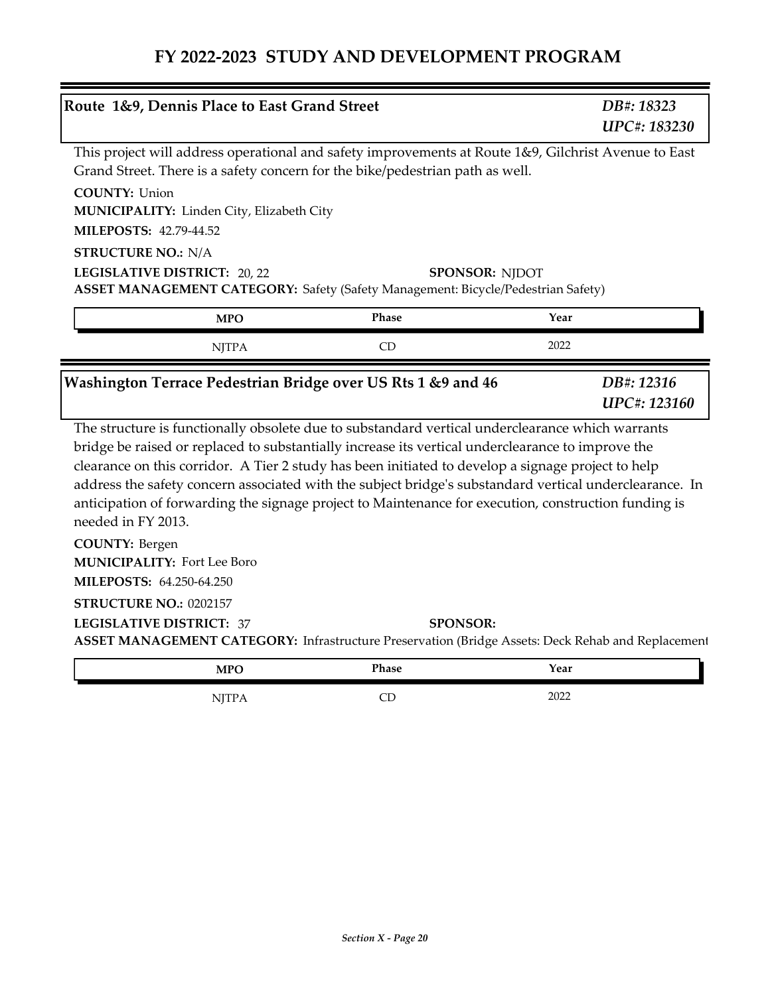|                                                                                         | Route 1&9, Dennis Place to East Grand Street |                                                                                  | DB#: 18323<br>UPC#: 183230                                                                                                                                                                                                                                                                                                                                                                                                                                                                                                     |
|-----------------------------------------------------------------------------------------|----------------------------------------------|----------------------------------------------------------------------------------|--------------------------------------------------------------------------------------------------------------------------------------------------------------------------------------------------------------------------------------------------------------------------------------------------------------------------------------------------------------------------------------------------------------------------------------------------------------------------------------------------------------------------------|
|                                                                                         |                                              | Grand Street. There is a safety concern for the bike/pedestrian path as well.    | This project will address operational and safety improvements at Route 1&9, Gilchrist Avenue to East                                                                                                                                                                                                                                                                                                                                                                                                                           |
| <b>COUNTY: Union</b>                                                                    | MUNICIPALITY: Linden City, Elizabeth City    |                                                                                  |                                                                                                                                                                                                                                                                                                                                                                                                                                                                                                                                |
| MILEPOSTS: 42.79-44.52                                                                  |                                              |                                                                                  |                                                                                                                                                                                                                                                                                                                                                                                                                                                                                                                                |
| <b>STRUCTURE NO.: N/A</b>                                                               | LEGISLATIVE DISTRICT: 20, 22                 | ASSET MANAGEMENT CATEGORY: Safety (Safety Management: Bicycle/Pedestrian Safety) | <b>SPONSOR: NJDOT</b>                                                                                                                                                                                                                                                                                                                                                                                                                                                                                                          |
|                                                                                         | <b>MPO</b>                                   | Phase                                                                            | Year                                                                                                                                                                                                                                                                                                                                                                                                                                                                                                                           |
|                                                                                         | <b>NJTPA</b>                                 | CD                                                                               | 2022                                                                                                                                                                                                                                                                                                                                                                                                                                                                                                                           |
|                                                                                         |                                              | Washington Terrace Pedestrian Bridge over US Rts 1 &9 and 46                     | DB#: 12316<br>UPC#: 123160                                                                                                                                                                                                                                                                                                                                                                                                                                                                                                     |
| needed in FY 2013.                                                                      |                                              |                                                                                  | The structure is functionally obsolete due to substandard vertical underclearance which warrants<br>bridge be raised or replaced to substantially increase its vertical underclearance to improve the<br>clearance on this corridor. A Tier 2 study has been initiated to develop a signage project to help<br>address the safety concern associated with the subject bridge's substandard vertical underclearance. In<br>anticipation of forwarding the signage project to Maintenance for execution, construction funding is |
| <b>COUNTY: Bergen</b><br><b>MUNICIPALITY: Fort Lee Boro</b><br>MILEPOSTS: 64.250-64.250 |                                              |                                                                                  |                                                                                                                                                                                                                                                                                                                                                                                                                                                                                                                                |
| STRUCTURE NO.: 0202157<br><b>LEGISLATIVE DISTRICT: 37</b>                               |                                              | <b>SPONSOR:</b>                                                                  | ASSET MANAGEMENT CATEGORY: Infrastructure Preservation (Bridge Assets: Deck Rehab and Replacement                                                                                                                                                                                                                                                                                                                                                                                                                              |
|                                                                                         |                                              |                                                                                  |                                                                                                                                                                                                                                                                                                                                                                                                                                                                                                                                |

| MPC<br><b>IVIL O</b>         | Phase | Year |  |
|------------------------------|-------|------|--|
| <br>$\overline{\phantom{a}}$ | ؎     | 2022 |  |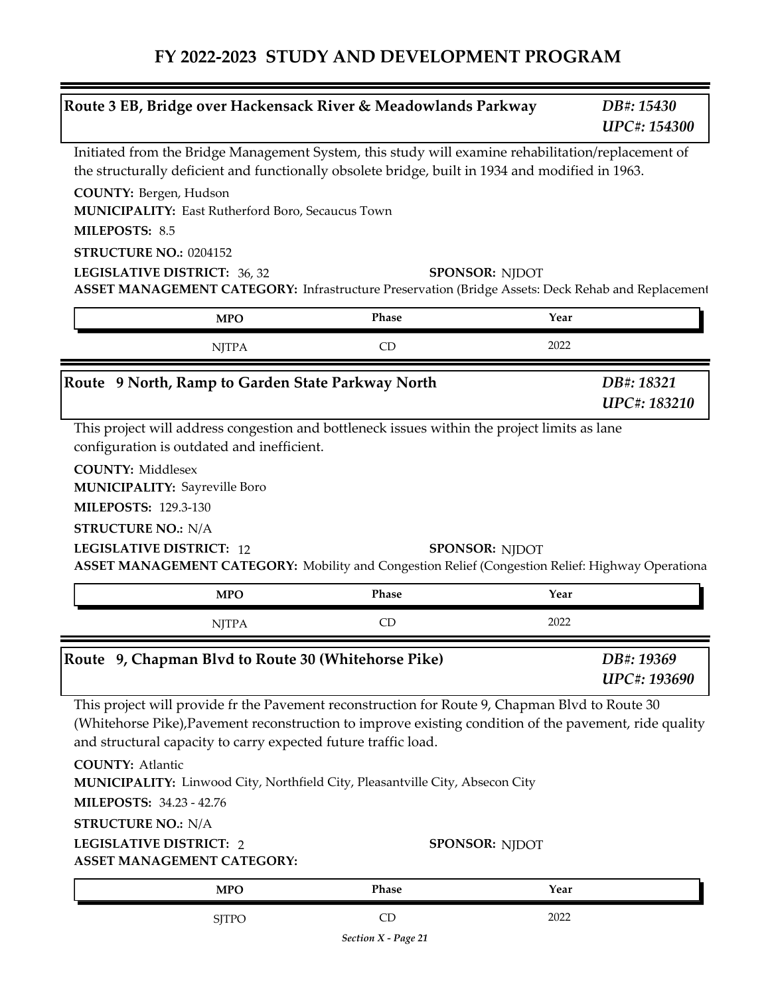| Route 3 EB, Bridge over Hackensack River & Meadowlands Parkway                                                                                                                                                                                        |                                | DB#: 15430<br><b>UPC#: 154300</b> |
|-------------------------------------------------------------------------------------------------------------------------------------------------------------------------------------------------------------------------------------------------------|--------------------------------|-----------------------------------|
| Initiated from the Bridge Management System, this study will examine rehabilitation/replacement of                                                                                                                                                    |                                |                                   |
| the structurally deficient and functionally obsolete bridge, built in 1934 and modified in 1963.                                                                                                                                                      |                                |                                   |
| COUNTY: Bergen, Hudson<br>MUNICIPALITY: East Rutherford Boro, Secaucus Town                                                                                                                                                                           |                                |                                   |
| MILEPOSTS: 8.5                                                                                                                                                                                                                                        |                                |                                   |
| STRUCTURE NO.: 0204152                                                                                                                                                                                                                                |                                |                                   |
| LEGISLATIVE DISTRICT: 36, 32                                                                                                                                                                                                                          | <b>SPONSOR: NJDOT</b>          |                                   |
| ASSET MANAGEMENT CATEGORY: Infrastructure Preservation (Bridge Assets: Deck Rehab and Replacement                                                                                                                                                     |                                |                                   |
| <b>MPO</b>                                                                                                                                                                                                                                            | Phase                          | Year                              |
| <b>NJTPA</b>                                                                                                                                                                                                                                          | CD                             | 2022                              |
| Route 9 North, Ramp to Garden State Parkway North                                                                                                                                                                                                     |                                | DB#: 18321                        |
|                                                                                                                                                                                                                                                       |                                | UPC#: 183210                      |
| <b>COUNTY: Middlesex</b>                                                                                                                                                                                                                              |                                |                                   |
| <b>MUNICIPALITY: Sayreville Boro</b><br><b>MILEPOSTS: 129.3-130</b><br><b>STRUCTURE NO.: N/A</b><br><b>LEGISLATIVE DISTRICT: 12</b><br>ASSET MANAGEMENT CATEGORY: Mobility and Congestion Relief (Congestion Relief: Highway Operationa<br><b>MPO</b> | <b>SPONSOR: NJDOT</b><br>Phase | Year                              |
| <b>NJTPA</b>                                                                                                                                                                                                                                          | CD                             | 2022                              |
| Route 9, Chapman Blvd to Route 30 (Whitehorse Pike)                                                                                                                                                                                                   |                                | DB#: 19369<br>UPC#: 193690        |
| This project will provide fr the Pavement reconstruction for Route 9, Chapman Blvd to Route 30<br>(Whitehorse Pike), Pavement reconstruction to improve existing condition of the pavement, ride quality                                              |                                |                                   |
| and structural capacity to carry expected future traffic load.<br><b>COUNTY: Atlantic</b><br>MUNICIPALITY: Linwood City, Northfield City, Pleasantville City, Absecon City<br>MILEPOSTS: 34.23 - 42.76                                                |                                |                                   |
| <b>STRUCTURE NO.: N/A</b>                                                                                                                                                                                                                             |                                |                                   |
| <b>LEGISLATIVE DISTRICT: 2</b><br>ASSET MANAGEMENT CATEGORY:                                                                                                                                                                                          | <b>SPONSOR: NJDOT</b>          |                                   |
|                                                                                                                                                                                                                                                       | Phase                          | Year                              |
| <b>MPO</b><br><b>SJTPO</b>                                                                                                                                                                                                                            | <b>CD</b>                      | 2022                              |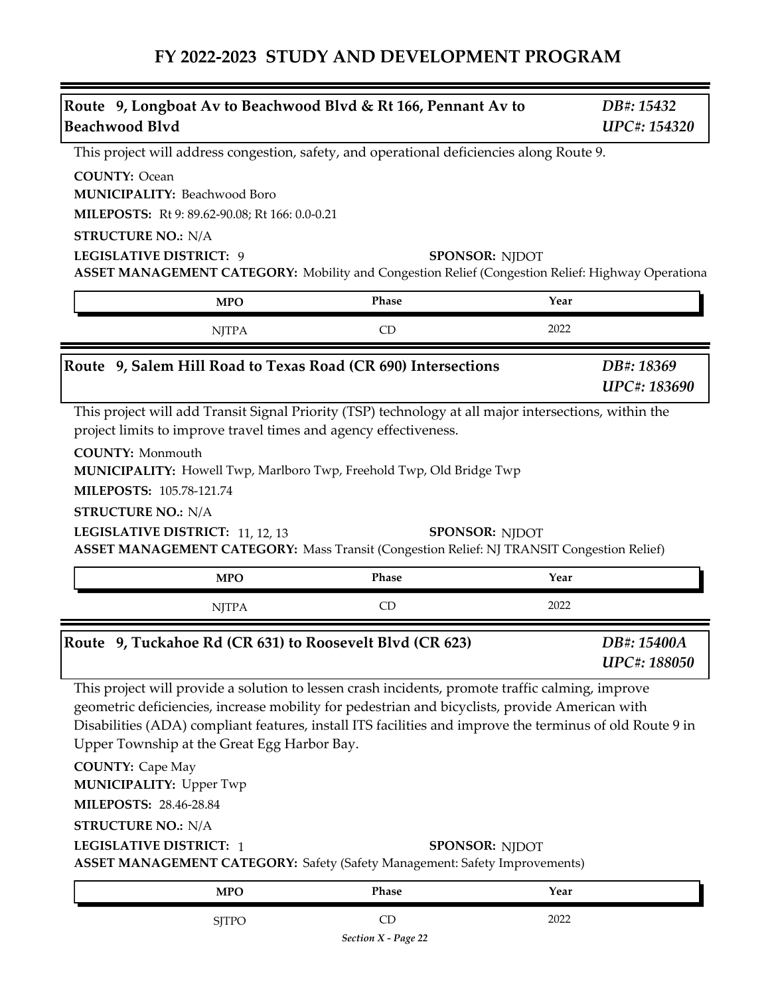| Route 9, Longboat Av to Beachwood Blvd & Rt 166, Pennant Av to<br><b>Beachwood Blvd</b>                                                                                                                                                                                                                                                                                                                                                                                                                                                                                                                  |                           | DB#: 15432<br><b>UPC#: 154320</b>  |
|----------------------------------------------------------------------------------------------------------------------------------------------------------------------------------------------------------------------------------------------------------------------------------------------------------------------------------------------------------------------------------------------------------------------------------------------------------------------------------------------------------------------------------------------------------------------------------------------------------|---------------------------|------------------------------------|
| This project will address congestion, safety, and operational deficiencies along Route 9.                                                                                                                                                                                                                                                                                                                                                                                                                                                                                                                |                           |                                    |
| <b>COUNTY: Ocean</b><br><b>MUNICIPALITY: Beachwood Boro</b><br>MILEPOSTS: Rt 9: 89.62-90.08; Rt 166: 0.0-0.21<br><b>STRUCTURE NO.: N/A</b>                                                                                                                                                                                                                                                                                                                                                                                                                                                               |                           |                                    |
| <b>LEGISLATIVE DISTRICT: 9</b>                                                                                                                                                                                                                                                                                                                                                                                                                                                                                                                                                                           | <b>SPONSOR: NIDOT</b>     |                                    |
| ASSET MANAGEMENT CATEGORY: Mobility and Congestion Relief (Congestion Relief: Highway Operationa                                                                                                                                                                                                                                                                                                                                                                                                                                                                                                         |                           |                                    |
| <b>MPO</b>                                                                                                                                                                                                                                                                                                                                                                                                                                                                                                                                                                                               | Phase                     | Year                               |
| <b>NJTPA</b>                                                                                                                                                                                                                                                                                                                                                                                                                                                                                                                                                                                             | CD                        | 2022                               |
| Route 9, Salem Hill Road to Texas Road (CR 690) Intersections                                                                                                                                                                                                                                                                                                                                                                                                                                                                                                                                            |                           | DB#: 18369<br>UPC#: 183690         |
| <b>COUNTY: Monmouth</b><br>MUNICIPALITY: Howell Twp, Marlboro Twp, Freehold Twp, Old Bridge Twp<br>MILEPOSTS: 105.78-121.74<br><b>STRUCTURE NO.: N/A</b><br>LEGISLATIVE DISTRICT: 11, 12, 13<br><b>ASSET MANAGEMENT CATEGORY:</b> Mass Transit (Congestion Relief: NJ TRANSIT Congestion Relief)                                                                                                                                                                                                                                                                                                         | <b>SPONSOR: NJDOT</b>     |                                    |
| <b>MPO</b>                                                                                                                                                                                                                                                                                                                                                                                                                                                                                                                                                                                               | Phase                     | Year                               |
| <b>NJTPA</b>                                                                                                                                                                                                                                                                                                                                                                                                                                                                                                                                                                                             | <b>CD</b>                 | 2022                               |
| Route 9, Tuckahoe Rd (CR 631) to Roosevelt Blvd (CR 623)                                                                                                                                                                                                                                                                                                                                                                                                                                                                                                                                                 |                           | DB#: 15400A<br><b>UPC#: 188050</b> |
| This project will provide a solution to lessen crash incidents, promote traffic calming, improve<br>geometric deficiencies, increase mobility for pedestrian and bicyclists, provide American with<br>Disabilities (ADA) compliant features, install ITS facilities and improve the terminus of old Route 9 in<br>Upper Township at the Great Egg Harbor Bay.<br><b>COUNTY: Cape May</b><br><b>MUNICIPALITY: Upper Twp</b><br>MILEPOSTS: 28.46-28.84<br><b>STRUCTURE NO.: N/A</b><br><b>LEGISLATIVE DISTRICT: 1</b><br><b>ASSET MANAGEMENT CATEGORY:</b> Safety (Safety Management: Safety Improvements) | <b>SPONSOR: NJDOT</b>     |                                    |
| <b>MPO</b>                                                                                                                                                                                                                                                                                                                                                                                                                                                                                                                                                                                               | Phase                     | Year                               |
| <b>SJTPO</b>                                                                                                                                                                                                                                                                                                                                                                                                                                                                                                                                                                                             | CD<br>Section X - Page 22 | 2022                               |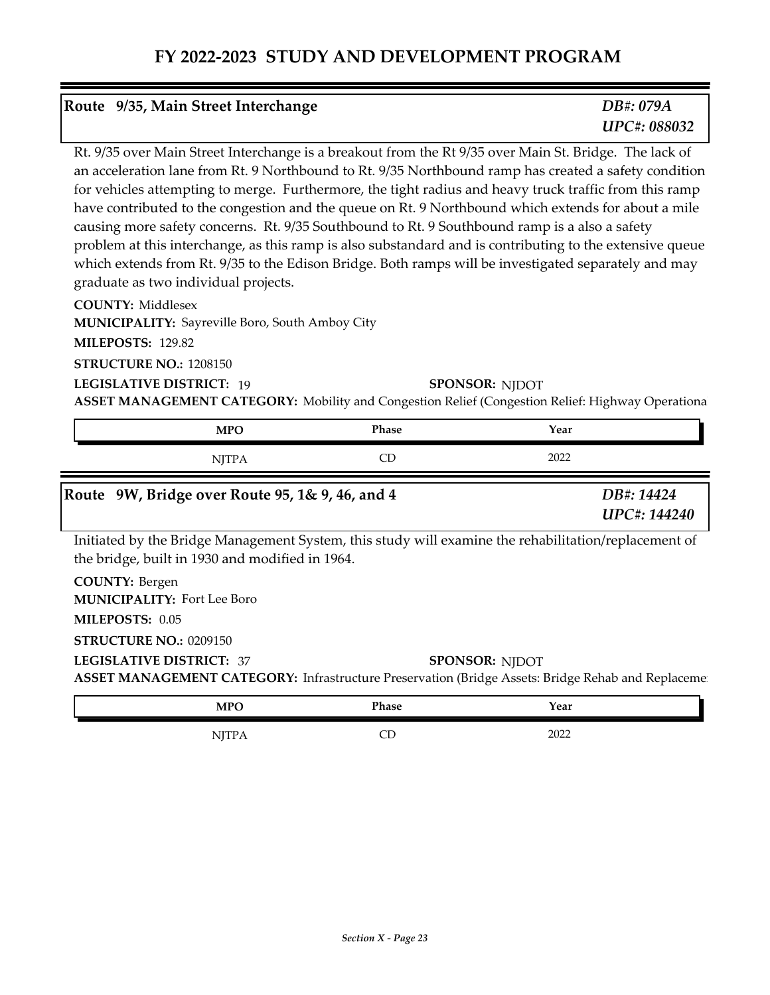| Route 9/35, Main Street Interchange                                                                                                                                                                                                                               | DB#: 079A           |
|-------------------------------------------------------------------------------------------------------------------------------------------------------------------------------------------------------------------------------------------------------------------|---------------------|
|                                                                                                                                                                                                                                                                   | <b>UPC#: 088032</b> |
| $\mathbf{D} \in \mathcal{O}/\mathcal{O}$ . The contract of the contract of the contract of the contract $\mathbf{D} \in \mathcal{O}/\mathcal{O}$ is contracted to the contract of the contracted of the contracted of the contracted of the contracted of the con |                     |

Rt. 9/35 over Main Street Interchange is a breakout from the Rt 9/35 over Main St. Bridge. The lack of an acceleration lane from Rt. 9 Northbound to Rt. 9/35 Northbound ramp has created a safety condition for vehicles attempting to merge. Furthermore, the tight radius and heavy truck traffic from this ramp have contributed to the congestion and the queue on Rt. 9 Northbound which extends for about a mile causing more safety concerns. Rt. 9/35 Southbound to Rt. 9 Southbound ramp is a also a safety problem at this interchange, as this ramp is also substandard and is contributing to the extensive queue which extends from Rt. 9/35 to the Edison Bridge. Both ramps will be investigated separately and may graduate as two individual projects.

**COUNTY:** Middlesex

**MUNICIPALITY:** Sayreville Boro, South Amboy City

**MILEPOSTS:** 129.82

**STRUCTURE NO.:** 1208150

**LEGISLATIVE DISTRICT:** 19

**SPONSOR: NJDOT** 

**ASSET MANAGEMENT CATEGORY:** Mobility and Congestion Relief (Congestion Relief: Highway Operationa

|                                                 | <b>MPO</b>   | <b>Phase</b> | Year |
|-------------------------------------------------|--------------|--------------|------|
|                                                 | <b>NITPA</b> |              | 2022 |
| Route 9W, Bridge over Route 95, 1& 9, 46, and 4 |              | DB#: 14424   |      |

Initiated by the Bridge Management System, this study will examine the rehabilitation/replacement of the bridge, built in 1930 and modified in 1964.

**COUNTY:** Bergen

**MUNICIPALITY: Fort Lee Boro** 

**MILEPOSTS:** 0.05

#### **STRUCTURE NO.:** 0209150

#### **LEGISLATIVE DISTRICT:** 37

**SPONSOR: NJDOT** 

*UPC#: 144240*

**ASSET MANAGEMENT CATEGORY:** Infrastructure Preservation (Bridge Assets: Bridge Rehab and Replaceme

| <b>MPO</b>  | Phase   | Year |
|-------------|---------|------|
| 111T<br>. . | ~~<br>◡ | 2022 |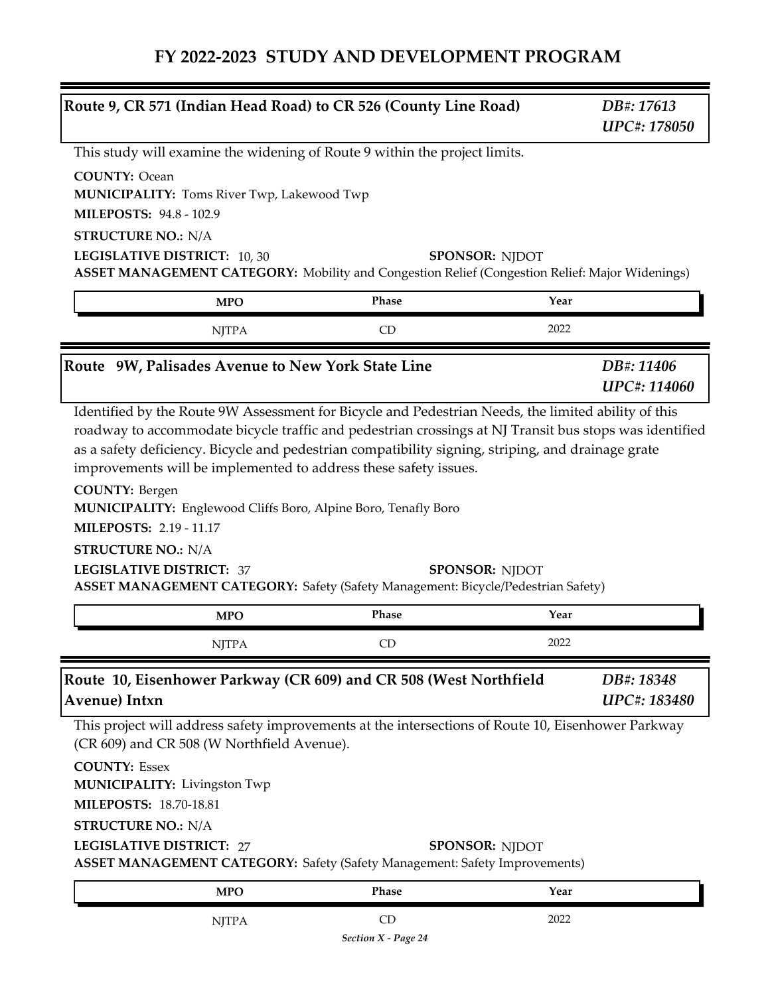| Route 9, CR 571 (Indian Head Road) to CR 526 (County Line Road)                                                                                                                                                                                                                                                                                                 |                       |      | DB#: 17613<br><b>UPC#: 178050</b> |
|-----------------------------------------------------------------------------------------------------------------------------------------------------------------------------------------------------------------------------------------------------------------------------------------------------------------------------------------------------------------|-----------------------|------|-----------------------------------|
| This study will examine the widening of Route 9 within the project limits.                                                                                                                                                                                                                                                                                      |                       |      |                                   |
| <b>COUNTY: Ocean</b><br><b>MUNICIPALITY: Toms River Twp, Lakewood Twp</b><br><b>MILEPOSTS: 94.8 - 102.9</b>                                                                                                                                                                                                                                                     |                       |      |                                   |
| <b>STRUCTURE NO.: N/A</b>                                                                                                                                                                                                                                                                                                                                       |                       |      |                                   |
| LEGISLATIVE DISTRICT: 10, 30<br><b>ASSET MANAGEMENT CATEGORY:</b> Mobility and Congestion Relief (Congestion Relief: Major Widenings)                                                                                                                                                                                                                           | <b>SPONSOR: NJDOT</b> |      |                                   |
| <b>MPO</b>                                                                                                                                                                                                                                                                                                                                                      | Phase                 | Year |                                   |
| <b>NJTPA</b>                                                                                                                                                                                                                                                                                                                                                    | CD                    | 2022 |                                   |
| Route 9W, Palisades Avenue to New York State Line                                                                                                                                                                                                                                                                                                               |                       |      | DB#: 11406<br><b>UPC#: 114060</b> |
| improvements will be implemented to address these safety issues.<br><b>COUNTY: Bergen</b><br><b>MUNICIPALITY:</b> Englewood Cliffs Boro, Alpine Boro, Tenafly Boro<br><b>MILEPOSTS: 2.19 - 11.17</b><br><b>STRUCTURE NO.: N/A</b><br><b>LEGISLATIVE DISTRICT: 37</b><br><b>ASSET MANAGEMENT CATEGORY:</b> Safety (Safety Management: Bicycle/Pedestrian Safety) | <b>SPONSOR: NJDOT</b> |      |                                   |
| <b>MPO</b>                                                                                                                                                                                                                                                                                                                                                      | Phase                 | Year |                                   |
| <b>NJTPA</b>                                                                                                                                                                                                                                                                                                                                                    | CD                    | 2022 |                                   |
| Route 10, Eisenhower Parkway (CR 609) and CR 508 (West Northfield<br>Avenue) Intxn                                                                                                                                                                                                                                                                              |                       |      | DB#: 18348<br><b>UPC#: 183480</b> |
| This project will address safety improvements at the intersections of Route 10, Eisenhower Parkway                                                                                                                                                                                                                                                              |                       |      |                                   |
| (CR 609) and CR 508 (W Northfield Avenue).                                                                                                                                                                                                                                                                                                                      |                       |      |                                   |
| <b>COUNTY: Essex</b><br><b>MUNICIPALITY: Livingston Twp</b>                                                                                                                                                                                                                                                                                                     |                       |      |                                   |
| <b>MILEPOSTS: 18.70-18.81</b>                                                                                                                                                                                                                                                                                                                                   |                       |      |                                   |
| <b>STRUCTURE NO.: N/A</b><br><b>LEGISLATIVE DISTRICT: 27</b>                                                                                                                                                                                                                                                                                                    | <b>SPONSOR: NJDOT</b> |      |                                   |
| <b>ASSET MANAGEMENT CATEGORY:</b> Safety (Safety Management: Safety Improvements)<br><b>MPO</b>                                                                                                                                                                                                                                                                 | Phase                 | Year |                                   |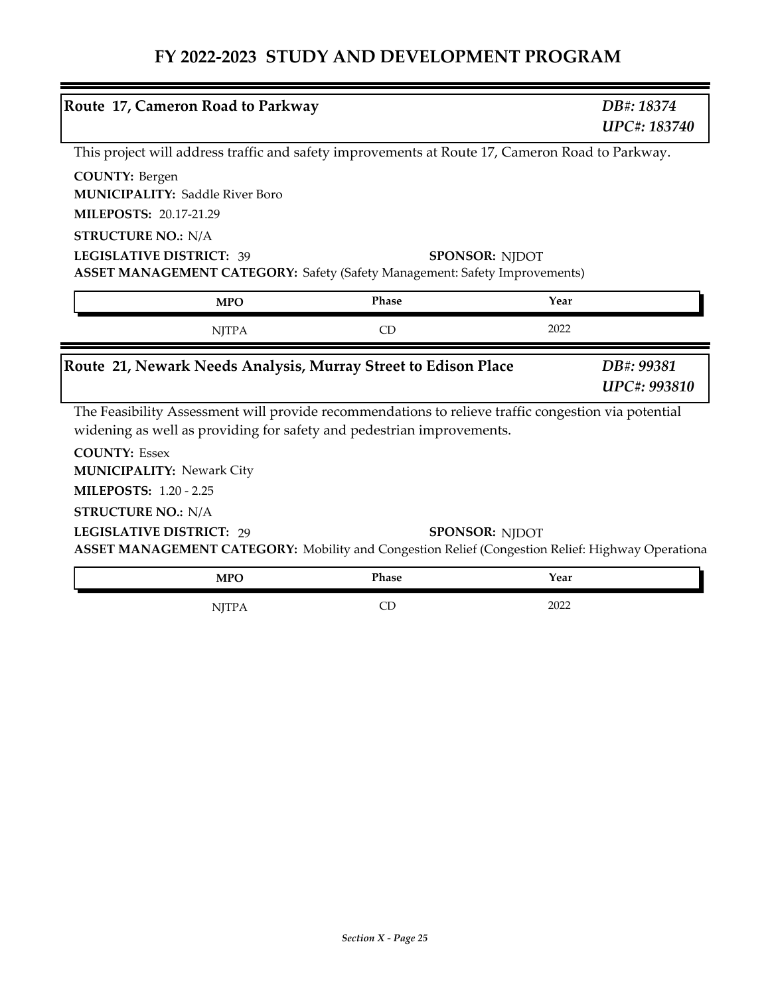| Route 17, Cameron Road to Parkway                                                                                                                                |                                                                | DB#: 18374<br><b>UPC#: 183740</b> |
|------------------------------------------------------------------------------------------------------------------------------------------------------------------|----------------------------------------------------------------|-----------------------------------|
| This project will address traffic and safety improvements at Route 17, Cameron Road to Parkway.                                                                  |                                                                |                                   |
| <b>COUNTY: Bergen</b><br><b>MUNICIPALITY: Saddle River Boro</b><br>MILEPOSTS: 20.17-21.29                                                                        |                                                                |                                   |
| <b>STRUCTURE NO.: N/A</b><br><b>LEGISLATIVE DISTRICT: 39</b><br><b>ASSET MANAGEMENT CATEGORY: Safety (Safety Management: Safety Improvements)</b>                | <b>SPONSOR: NJDOT</b>                                          |                                   |
| <b>MPO</b>                                                                                                                                                       | Phase                                                          | Year                              |
| <b>NJTPA</b>                                                                                                                                                     | CD                                                             | 2022                              |
|                                                                                                                                                                  | Route 21, Newark Needs Analysis, Murray Street to Edison Place | DB#: 99381                        |
|                                                                                                                                                                  |                                                                | <b>UPC#: 993810</b>               |
| The Feasibility Assessment will provide recommendations to relieve traffic congestion via potential                                                              |                                                                |                                   |
| widening as well as providing for safety and pedestrian improvements.<br><b>COUNTY: Essex</b><br><b>MUNICIPALITY: Newark City</b>                                |                                                                |                                   |
| <b>MILEPOSTS: 1.20 - 2.25</b>                                                                                                                                    |                                                                |                                   |
| <b>STRUCTURE NO.: N/A</b><br><b>LEGISLATIVE DISTRICT: 29</b><br>ASSET MANAGEMENT CATEGORY: Mobility and Congestion Relief (Congestion Relief: Highway Operationa | <b>SPONSOR: NJDOT</b>                                          |                                   |
| <b>MPO</b>                                                                                                                                                       | Phase                                                          | Year                              |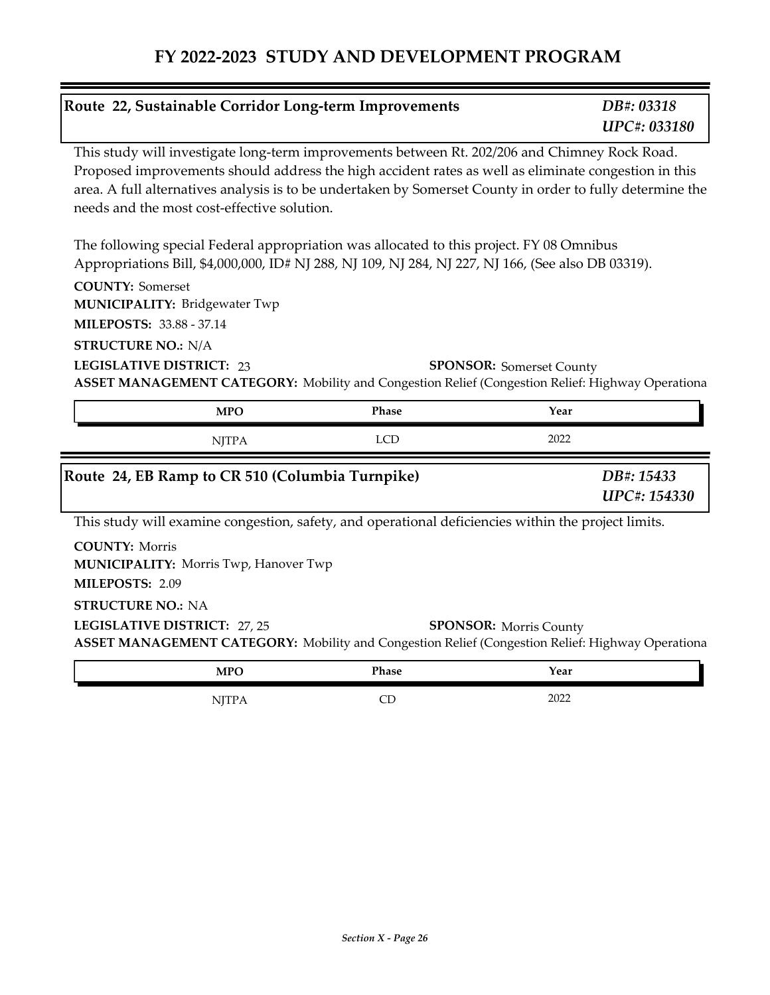| This study will investigate long-term improvements between Rt. 202/206 and Chimney Rock Road.<br>Proposed improvements should address the high accident rates as well as eliminate congestion in this<br>area. A full alternatives analysis is to be undertaken by Somerset County in order to fully determine the<br>The following special Federal appropriation was allocated to this project. FY 08 Omnibus<br>Appropriations Bill, \$4,000,000, ID# NJ 288, NJ 109, NJ 284, NJ 227, NJ 166, (See also DB 03319).<br><b>SPONSOR:</b> Somerset County<br>ASSET MANAGEMENT CATEGORY: Mobility and Congestion Relief (Congestion Relief: Highway Operationa<br>Phase<br><b>MPO</b><br>Year<br>2022<br><b>LCD</b><br><b>NJTPA</b><br>Route 24, EB Ramp to CR 510 (Columbia Turnpike)<br>This study will examine congestion, safety, and operational deficiencies within the project limits.<br><b>SPONSOR: Morris County</b><br>ASSET MANAGEMENT CATEGORY: Mobility and Congestion Relief (Congestion Relief: Highway Operationa<br>Phase<br>Year<br><b>MPO</b> | Route 22, Sustainable Corridor Long-term Improvements                                              | DB#: 03318<br><b>UPC#: 033180</b> |
|----------------------------------------------------------------------------------------------------------------------------------------------------------------------------------------------------------------------------------------------------------------------------------------------------------------------------------------------------------------------------------------------------------------------------------------------------------------------------------------------------------------------------------------------------------------------------------------------------------------------------------------------------------------------------------------------------------------------------------------------------------------------------------------------------------------------------------------------------------------------------------------------------------------------------------------------------------------------------------------------------------------------------------------------------------------|----------------------------------------------------------------------------------------------------|-----------------------------------|
|                                                                                                                                                                                                                                                                                                                                                                                                                                                                                                                                                                                                                                                                                                                                                                                                                                                                                                                                                                                                                                                                | needs and the most cost-effective solution.                                                        |                                   |
|                                                                                                                                                                                                                                                                                                                                                                                                                                                                                                                                                                                                                                                                                                                                                                                                                                                                                                                                                                                                                                                                |                                                                                                    |                                   |
|                                                                                                                                                                                                                                                                                                                                                                                                                                                                                                                                                                                                                                                                                                                                                                                                                                                                                                                                                                                                                                                                | <b>COUNTY: Somerset</b><br><b>MUNICIPALITY: Bridgewater Twp</b><br><b>MILEPOSTS: 33.88 - 37.14</b> |                                   |
|                                                                                                                                                                                                                                                                                                                                                                                                                                                                                                                                                                                                                                                                                                                                                                                                                                                                                                                                                                                                                                                                | <b>STRUCTURE NO.: N/A</b><br><b>LEGISLATIVE DISTRICT: 23</b>                                       |                                   |
|                                                                                                                                                                                                                                                                                                                                                                                                                                                                                                                                                                                                                                                                                                                                                                                                                                                                                                                                                                                                                                                                |                                                                                                    |                                   |
|                                                                                                                                                                                                                                                                                                                                                                                                                                                                                                                                                                                                                                                                                                                                                                                                                                                                                                                                                                                                                                                                |                                                                                                    | DB#: 15433<br>UPC#: 154330        |
|                                                                                                                                                                                                                                                                                                                                                                                                                                                                                                                                                                                                                                                                                                                                                                                                                                                                                                                                                                                                                                                                |                                                                                                    |                                   |
|                                                                                                                                                                                                                                                                                                                                                                                                                                                                                                                                                                                                                                                                                                                                                                                                                                                                                                                                                                                                                                                                | <b>COUNTY: Morris</b><br><b>MUNICIPALITY: Morris Twp, Hanover Twp</b><br>MILEPOSTS: 2.09           |                                   |
|                                                                                                                                                                                                                                                                                                                                                                                                                                                                                                                                                                                                                                                                                                                                                                                                                                                                                                                                                                                                                                                                | <b>STRUCTURE NO.: NA</b><br>LEGISLATIVE DISTRICT: 27, 25                                           |                                   |
|                                                                                                                                                                                                                                                                                                                                                                                                                                                                                                                                                                                                                                                                                                                                                                                                                                                                                                                                                                                                                                                                |                                                                                                    |                                   |
| 2022<br>CD<br><b>NJTPA</b>                                                                                                                                                                                                                                                                                                                                                                                                                                                                                                                                                                                                                                                                                                                                                                                                                                                                                                                                                                                                                                     |                                                                                                    |                                   |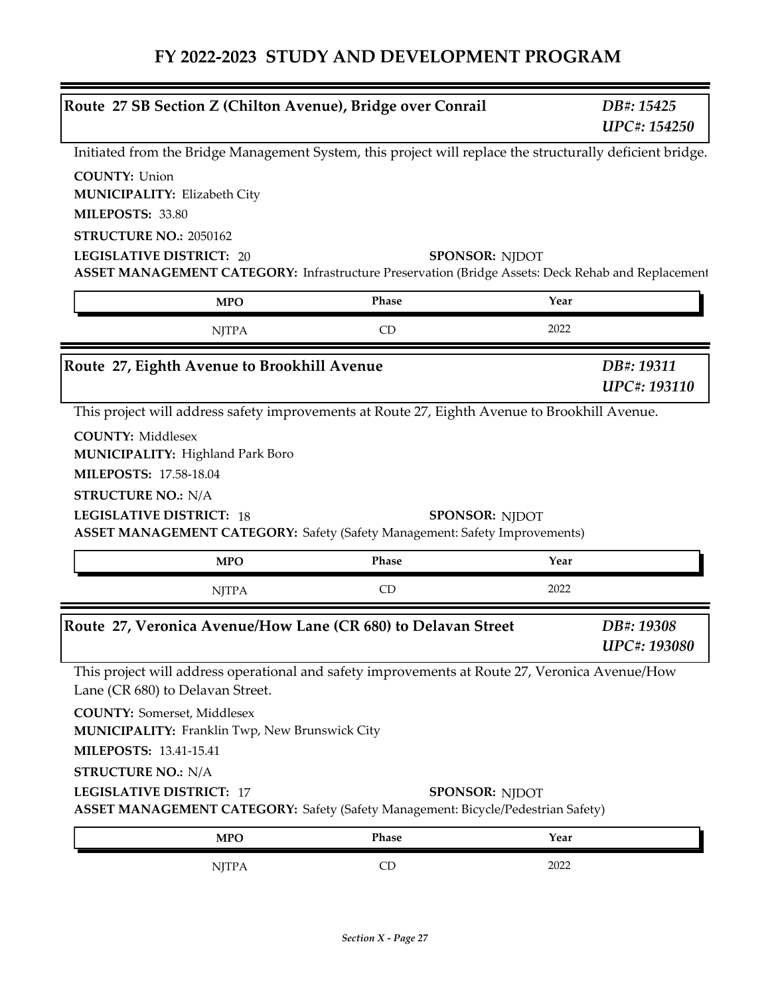| Route 27 SB Section Z (Chilton Avenue), Bridge over Conrail                                                                                                                                                                                                                                     |       |                       | DB#: 15425<br><b>UPC#: 154250</b> |
|-------------------------------------------------------------------------------------------------------------------------------------------------------------------------------------------------------------------------------------------------------------------------------------------------|-------|-----------------------|-----------------------------------|
| Initiated from the Bridge Management System, this project will replace the structurally deficient bridge.                                                                                                                                                                                       |       |                       |                                   |
| <b>COUNTY: Union</b><br><b>MUNICIPALITY: Elizabeth City</b><br>MILEPOSTS: 33.80<br>STRUCTURE NO.: 2050162                                                                                                                                                                                       |       |                       |                                   |
| <b>LEGISLATIVE DISTRICT: 20</b><br>ASSET MANAGEMENT CATEGORY: Infrastructure Preservation (Bridge Assets: Deck Rehab and Replacement                                                                                                                                                            |       | <b>SPONSOR: NJDOT</b> |                                   |
| <b>MPO</b>                                                                                                                                                                                                                                                                                      | Phase | Year                  |                                   |
| <b>NJTPA</b>                                                                                                                                                                                                                                                                                    | CD    | 2022                  |                                   |
| Route 27, Eighth Avenue to Brookhill Avenue                                                                                                                                                                                                                                                     |       |                       | DB#: 19311<br>UPC#: 193110        |
| <b>MUNICIPALITY: Highland Park Boro</b><br><b>MILEPOSTS: 17.58-18.04</b><br><b>STRUCTURE NO.: N/A</b><br><b>LEGISLATIVE DISTRICT: 18</b><br><b>ASSET MANAGEMENT CATEGORY:</b> Safety (Safety Management: Safety Improvements)                                                                   |       | <b>SPONSOR: NJDOT</b> |                                   |
| <b>MPO</b>                                                                                                                                                                                                                                                                                      | Phase | Year                  |                                   |
| <b>NJTPA</b>                                                                                                                                                                                                                                                                                    | CD    | 2022                  |                                   |
| Route 27, Veronica Avenue/How Lane (CR 680) to Delavan Street                                                                                                                                                                                                                                   |       |                       | DB#: 19308<br>UPC#: 193080        |
| This project will address operational and safety improvements at Route 27, Veronica Avenue/How<br>Lane (CR 680) to Delavan Street.<br><b>COUNTY:</b> Somerset, Middlesex<br><b>MUNICIPALITY: Franklin Twp, New Brunswick City</b><br><b>MILEPOSTS: 13.41-15.41</b><br><b>STRUCTURE NO.: N/A</b> |       |                       |                                   |
| <b>LEGISLATIVE DISTRICT: 17</b><br><b>ASSET MANAGEMENT CATEGORY: Safety (Safety Management: Bicycle/Pedestrian Safety)</b>                                                                                                                                                                      |       | <b>SPONSOR: NJDOT</b> |                                   |
| <b>MPO</b>                                                                                                                                                                                                                                                                                      | Phase | Year                  |                                   |
| <b>NJTPA</b>                                                                                                                                                                                                                                                                                    | CD    | 2022                  |                                   |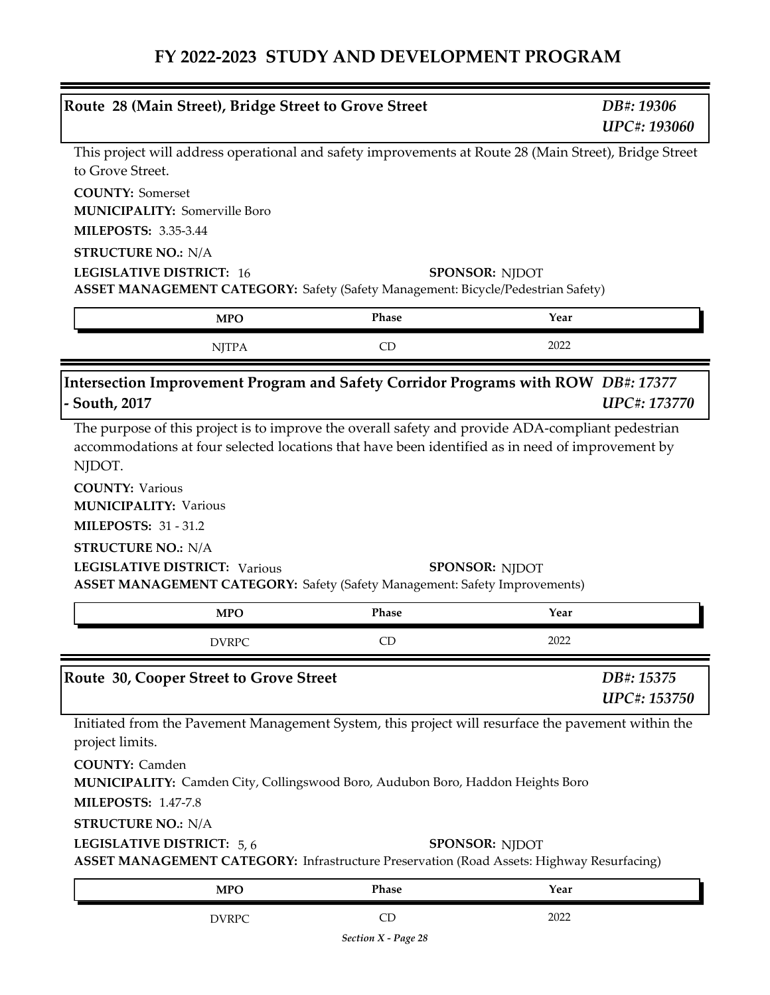| Route 28 (Main Street), Bridge Street to Grove Street                                                                                                                                                           |                    | DB#: 19306                        |
|-----------------------------------------------------------------------------------------------------------------------------------------------------------------------------------------------------------------|--------------------|-----------------------------------|
|                                                                                                                                                                                                                 |                    | UPC#: 193060                      |
| This project will address operational and safety improvements at Route 28 (Main Street), Bridge Street<br>to Grove Street.                                                                                      |                    |                                   |
| <b>COUNTY: Somerset</b>                                                                                                                                                                                         |                    |                                   |
| <b>MUNICIPALITY: Somerville Boro</b>                                                                                                                                                                            |                    |                                   |
| <b>MILEPOSTS: 3.35-3.44</b>                                                                                                                                                                                     |                    |                                   |
| <b>STRUCTURE NO.: N/A</b>                                                                                                                                                                                       |                    |                                   |
| <b>LEGISLATIVE DISTRICT: 16</b><br><b>ASSET MANAGEMENT CATEGORY:</b> Safety (Safety Management: Bicycle/Pedestrian Safety)                                                                                      |                    | <b>SPONSOR: NJDOT</b>             |
| <b>MPO</b>                                                                                                                                                                                                      | Phase              | Year                              |
| <b>NJTPA</b>                                                                                                                                                                                                    | <b>CD</b>          | 2022                              |
|                                                                                                                                                                                                                 |                    |                                   |
| Intersection Improvement Program and Safety Corridor Programs with ROW DB#: 17377<br>- South, 2017                                                                                                              |                    | <b>UPC#: 173770</b>               |
| The purpose of this project is to improve the overall safety and provide ADA-compliant pedestrian<br>accommodations at four selected locations that have been identified as in need of improvement by<br>NJDOT. |                    |                                   |
| <b>COUNTY: Various</b><br><b>MUNICIPALITY: Various</b><br><b>MILEPOSTS: 31 - 31.2</b>                                                                                                                           |                    |                                   |
| <b>STRUCTURE NO.: N/A</b><br><b>LEGISLATIVE DISTRICT: Various</b><br><b>ASSET MANAGEMENT CATEGORY:</b> Safety (Safety Management: Safety Improvements)                                                          |                    | <b>SPONSOR: NJDOT</b>             |
|                                                                                                                                                                                                                 |                    |                                   |
|                                                                                                                                                                                                                 |                    |                                   |
| <b>MPO</b><br><b>DVRPC</b>                                                                                                                                                                                      | <b>Phase</b><br>CD | Year<br>2022                      |
|                                                                                                                                                                                                                 |                    |                                   |
| Route 30, Cooper Street to Grove Street                                                                                                                                                                         |                    | DB#: 15375<br><b>UPC#: 153750</b> |
| Initiated from the Pavement Management System, this project will resurface the pavement within the                                                                                                              |                    |                                   |
| project limits.                                                                                                                                                                                                 |                    |                                   |
| <b>COUNTY: Camden</b><br>MUNICIPALITY: Camden City, Collingswood Boro, Audubon Boro, Haddon Heights Boro                                                                                                        |                    |                                   |
| <b>MILEPOSTS: 1.47-7.8</b>                                                                                                                                                                                      |                    |                                   |
| <b>STRUCTURE NO.: N/A</b>                                                                                                                                                                                       |                    |                                   |
| LEGISLATIVE DISTRICT: 5,6<br><b>ASSET MANAGEMENT CATEGORY:</b> Infrastructure Preservation (Road Assets: Highway Resurfacing)                                                                                   |                    | <b>SPONSOR: NJDOT</b>             |
| <b>MPO</b>                                                                                                                                                                                                      | Phase              | Year                              |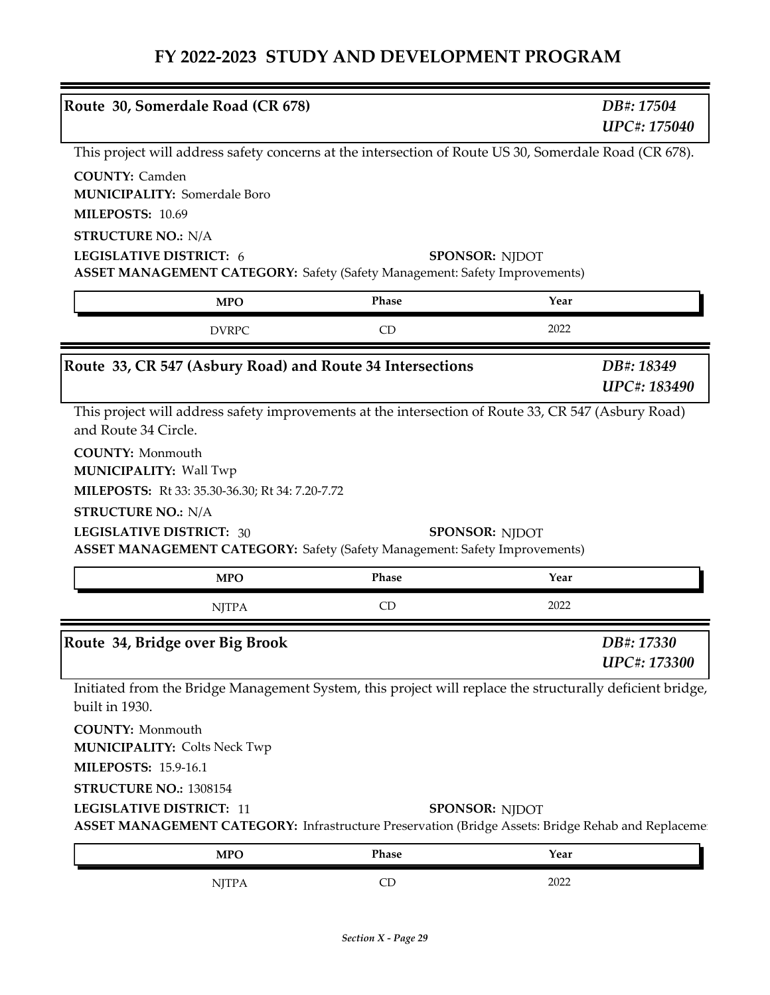| Route 30, Somerdale Road (CR 678)                                                                                                                                                                                                          |       | DB#: 17504            | <b>UPC#: 175040</b> |
|--------------------------------------------------------------------------------------------------------------------------------------------------------------------------------------------------------------------------------------------|-------|-----------------------|---------------------|
| This project will address safety concerns at the intersection of Route US 30, Somerdale Road (CR 678).                                                                                                                                     |       |                       |                     |
| <b>COUNTY: Camden</b><br><b>MUNICIPALITY: Somerdale Boro</b><br>MILEPOSTS: 10.69                                                                                                                                                           |       |                       |                     |
| <b>STRUCTURE NO.: N/A</b><br>LEGISLATIVE DISTRICT: 6<br><b>ASSET MANAGEMENT CATEGORY:</b> Safety (Safety Management: Safety Improvements)                                                                                                  |       | <b>SPONSOR: NJDOT</b> |                     |
| <b>MPO</b>                                                                                                                                                                                                                                 | Phase | Year                  |                     |
| <b>DVRPC</b>                                                                                                                                                                                                                               | CD    | 2022                  |                     |
| Route 33, CR 547 (Asbury Road) and Route 34 Intersections                                                                                                                                                                                  |       | DB#: 18349            | UPC#: 183490        |
| This project will address safety improvements at the intersection of Route 33, CR 547 (Asbury Road)<br>and Route 34 Circle.<br><b>COUNTY: Monmouth</b><br><b>MUNICIPALITY: Wall Twp</b><br>MILEPOSTS: Rt 33: 35.30-36.30; Rt 34: 7.20-7.72 |       |                       |                     |
| <b>STRUCTURE NO.: N/A</b><br><b>LEGISLATIVE DISTRICT: 30</b><br><b>ASSET MANAGEMENT CATEGORY:</b> Safety (Safety Management: Safety Improvements)                                                                                          |       | <b>SPONSOR: NJDOT</b> |                     |
| <b>MPO</b>                                                                                                                                                                                                                                 | Phase | Year                  |                     |
| <b>NJTPA</b>                                                                                                                                                                                                                               | CD    | 2022                  |                     |
| Route 34, Bridge over Big Brook                                                                                                                                                                                                            |       | DB#: 17330            | <b>UPC#: 173300</b> |
| Initiated from the Bridge Management System, this project will replace the structurally deficient bridge,<br>built in 1930.                                                                                                                |       |                       |                     |
| <b>COUNTY: Monmouth</b><br><b>MUNICIPALITY: Colts Neck Twp</b>                                                                                                                                                                             |       |                       |                     |
| <b>MILEPOSTS: 15.9-16.1</b>                                                                                                                                                                                                                |       |                       |                     |
| STRUCTURE NO.: 1308154                                                                                                                                                                                                                     |       |                       |                     |
| <b>LEGISLATIVE DISTRICT: 11</b><br>ASSET MANAGEMENT CATEGORY: Infrastructure Preservation (Bridge Assets: Bridge Rehab and Replaceme                                                                                                       |       | <b>SPONSOR: NJDOT</b> |                     |
| <b>MPO</b>                                                                                                                                                                                                                                 | Phase | Year                  |                     |
| <b>NJTPA</b>                                                                                                                                                                                                                               | CD    | 2022                  |                     |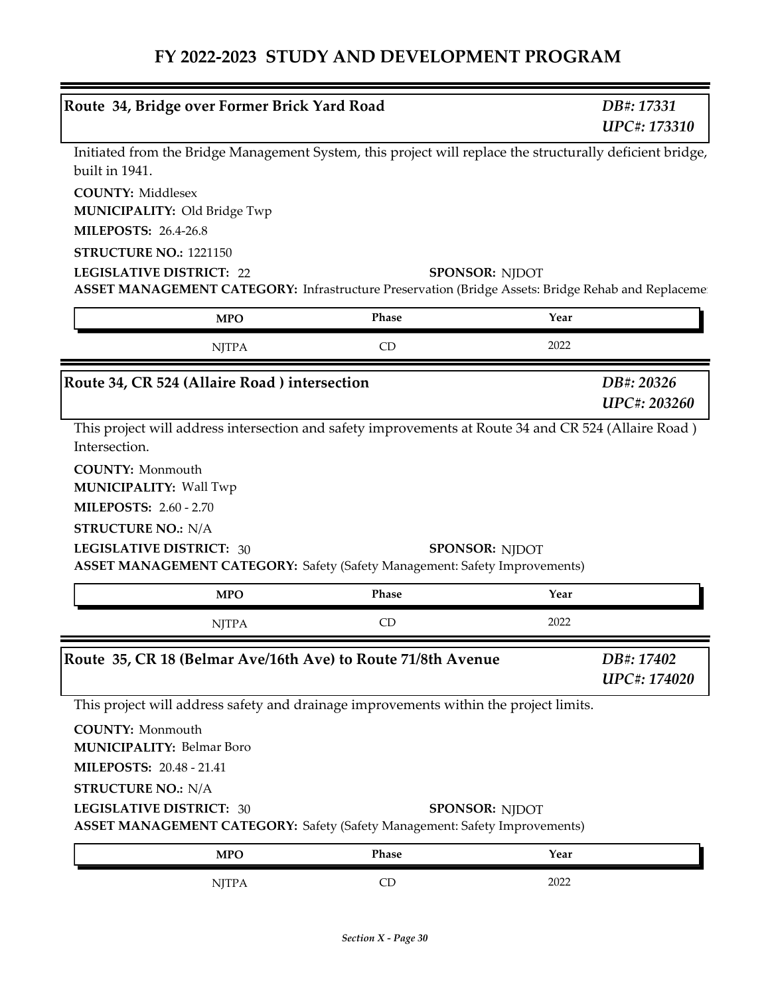|                                                                                                                                                   | Route 34, Bridge over Former Brick Yard Road | DB#: 17331<br><b>UPC#: 173310</b> |  |
|---------------------------------------------------------------------------------------------------------------------------------------------------|----------------------------------------------|-----------------------------------|--|
| Initiated from the Bridge Management System, this project will replace the structurally deficient bridge,<br>built in 1941.                       |                                              |                                   |  |
| <b>COUNTY: Middlesex</b><br><b>MUNICIPALITY: Old Bridge Twp</b>                                                                                   |                                              |                                   |  |
| <b>MILEPOSTS: 26.4-26.8</b>                                                                                                                       |                                              |                                   |  |
| STRUCTURE NO.: 1221150                                                                                                                            |                                              |                                   |  |
| <b>LEGISLATIVE DISTRICT: 22</b><br>ASSET MANAGEMENT CATEGORY: Infrastructure Preservation (Bridge Assets: Bridge Rehab and Replacemen             |                                              | <b>SPONSOR: NJDOT</b>             |  |
| <b>MPO</b>                                                                                                                                        | <b>Phase</b>                                 | Year                              |  |
| <b>NJTPA</b>                                                                                                                                      | CD                                           | 2022                              |  |
| Route 34, CR 524 (Allaire Road) intersection                                                                                                      |                                              | DB#: 20326<br><b>UPC#: 203260</b> |  |
| <b>MILEPOSTS: 2.60 - 2.70</b>                                                                                                                     |                                              |                                   |  |
| <b>STRUCTURE NO.: N/A</b><br><b>LEGISLATIVE DISTRICT: 30</b><br><b>ASSET MANAGEMENT CATEGORY:</b> Safety (Safety Management: Safety Improvements) |                                              | <b>SPONSOR: NJDOT</b>             |  |
| <b>MPO</b>                                                                                                                                        | <b>Phase</b>                                 | Year                              |  |
| <b>NJTPA</b>                                                                                                                                      | CD                                           | 2022                              |  |
|                                                                                                                                                   |                                              | DB#: 17402<br><b>UPC#: 174020</b> |  |
| This project will address safety and drainage improvements within the project limits.                                                             |                                              |                                   |  |
| <b>COUNTY: Monmouth</b><br><b>MUNICIPALITY: Belmar Boro</b>                                                                                       |                                              |                                   |  |
| <b>MILEPOSTS: 20.48 - 21.41</b>                                                                                                                   |                                              |                                   |  |
| <b>STRUCTURE NO.: N/A</b>                                                                                                                         |                                              |                                   |  |
| <b>LEGISLATIVE DISTRICT: 30</b><br><b>ASSET MANAGEMENT CATEGORY:</b> Safety (Safety Management: Safety Improvements)                              |                                              | <b>SPONSOR: NJDOT</b>             |  |
| Route 35, CR 18 (Belmar Ave/16th Ave) to Route 71/8th Avenue<br><b>MPO</b>                                                                        | Phase                                        | Year                              |  |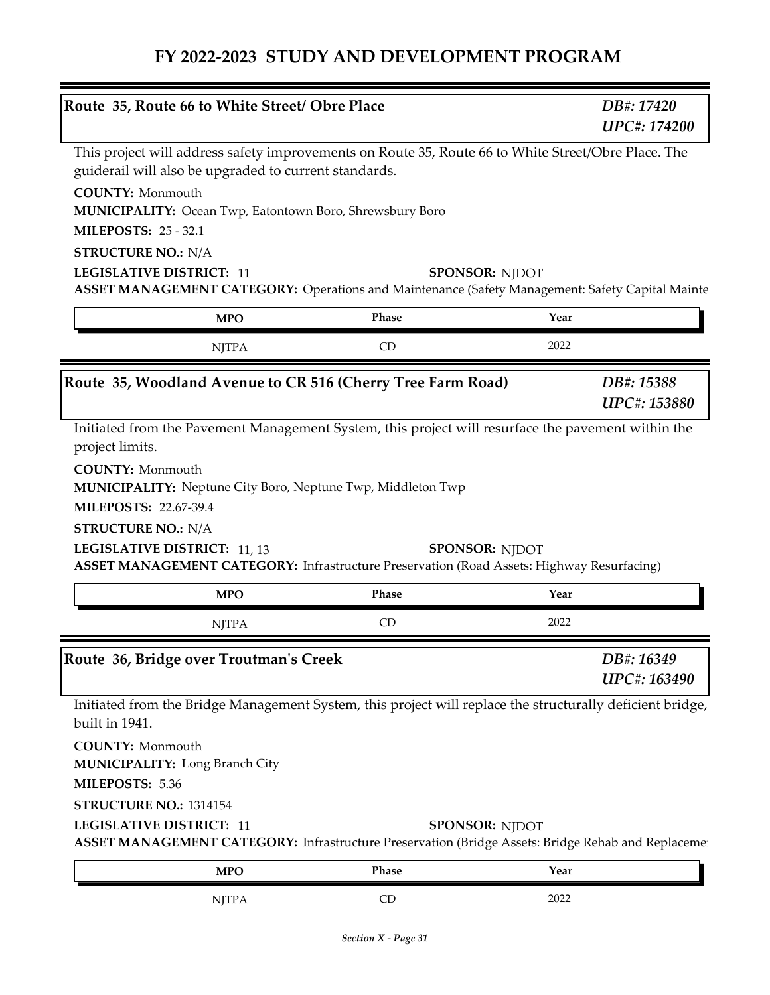| Route 35, Route 66 to White Street/ Obre Place                                                                                                                                             |                       | DB#: 17420<br><b>UPC#: 174200</b> |
|--------------------------------------------------------------------------------------------------------------------------------------------------------------------------------------------|-----------------------|-----------------------------------|
| This project will address safety improvements on Route 35, Route 66 to White Street/Obre Place. The<br>guiderail will also be upgraded to current standards.                               |                       |                                   |
| <b>COUNTY: Monmouth</b><br>MUNICIPALITY: Ocean Twp, Eatontown Boro, Shrewsbury Boro                                                                                                        |                       |                                   |
| <b>MILEPOSTS: 25 - 32.1</b>                                                                                                                                                                |                       |                                   |
| <b>STRUCTURE NO.: N/A</b>                                                                                                                                                                  |                       |                                   |
| <b>LEGISLATIVE DISTRICT: 11</b>                                                                                                                                                            | <b>SPONSOR: NJDOT</b> |                                   |
| ASSET MANAGEMENT CATEGORY: Operations and Maintenance (Safety Management: Safety Capital Mainte                                                                                            |                       |                                   |
| <b>MPO</b>                                                                                                                                                                                 | Phase                 | Year                              |
| <b>NJTPA</b>                                                                                                                                                                               | CD                    | 2022                              |
| Route 35, Woodland Avenue to CR 516 (Cherry Tree Farm Road)                                                                                                                                |                       | DB#: 15388<br><b>UPC#: 153880</b> |
| Initiated from the Pavement Management System, this project will resurface the pavement within the<br>project limits.                                                                      |                       |                                   |
| <b>COUNTY: Monmouth</b><br><b>MUNICIPALITY:</b> Neptune City Boro, Neptune Twp, Middleton Twp<br><b>MILEPOSTS: 22.67-39.4</b><br><b>STRUCTURE NO.: N/A</b><br>LEGISLATIVE DISTRICT: 11, 13 | <b>SPONSOR: NIDOT</b> |                                   |
| <b>ASSET MANAGEMENT CATEGORY:</b> Infrastructure Preservation (Road Assets: Highway Resurfacing)<br><b>MPO</b>                                                                             | Phase                 | Year                              |
| <b>NJTPA</b>                                                                                                                                                                               | CD                    | 2022                              |
| Route 36, Bridge over Troutman's Creek                                                                                                                                                     |                       | DB#: 16349<br>UPC#: 163490        |
| Initiated from the Bridge Management System, this project will replace the structurally deficient bridge,<br>built in 1941.                                                                |                       |                                   |
| <b>COUNTY: Monmouth</b><br><b>MUNICIPALITY: Long Branch City</b>                                                                                                                           |                       |                                   |
| MILEPOSTS: 5.36                                                                                                                                                                            |                       |                                   |
| STRUCTURE NO.: 1314154                                                                                                                                                                     |                       |                                   |
| <b>LEGISLATIVE DISTRICT: 11</b><br>ASSET MANAGEMENT CATEGORY: Infrastructure Preservation (Bridge Assets: Bridge Rehab and Replaceme                                                       | <b>SPONSOR: NJDOT</b> |                                   |

NJTPA CD 2022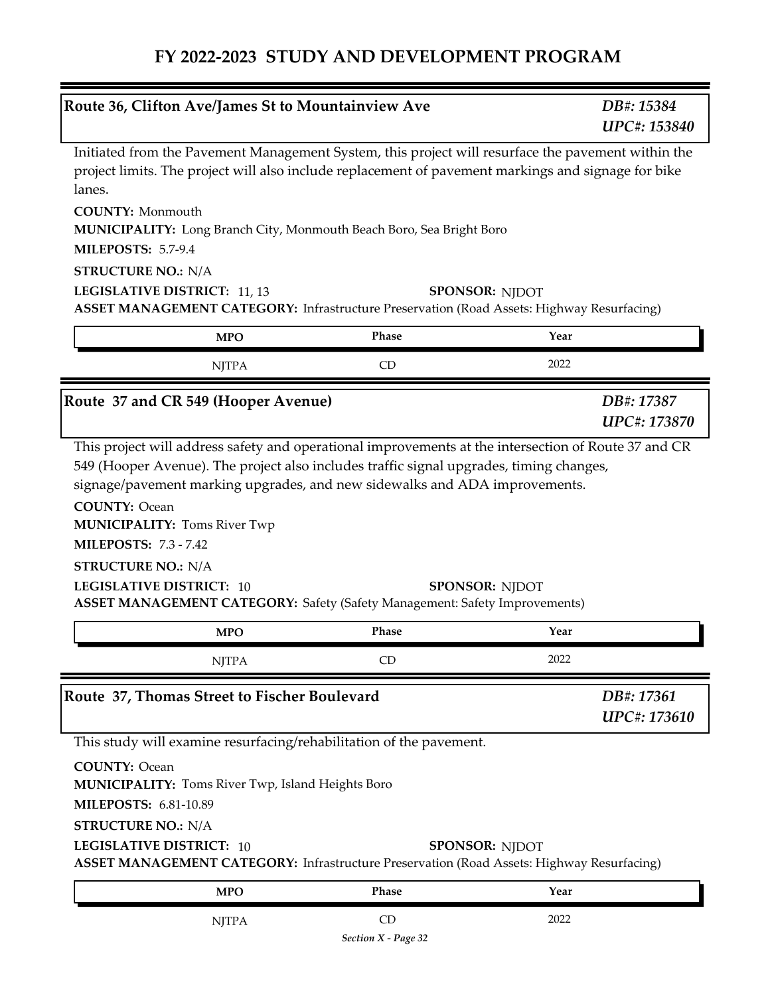| Route 36, Clifton Ave/James St to Mountainview Ave                                                                                                                                                                                               |                           | DB#: 15384<br><b>UPC#: 153840</b> |
|--------------------------------------------------------------------------------------------------------------------------------------------------------------------------------------------------------------------------------------------------|---------------------------|-----------------------------------|
| Initiated from the Pavement Management System, this project will resurface the pavement within the<br>project limits. The project will also include replacement of pavement markings and signage for bike<br>lanes.                              |                           |                                   |
| <b>COUNTY: Monmouth</b><br>MUNICIPALITY: Long Branch City, Monmouth Beach Boro, Sea Bright Boro<br><b>MILEPOSTS: 5.7-9.4</b>                                                                                                                     |                           |                                   |
| <b>STRUCTURE NO.: N/A</b>                                                                                                                                                                                                                        |                           |                                   |
| LEGISLATIVE DISTRICT: 11, 13<br><b>ASSET MANAGEMENT CATEGORY:</b> Infrastructure Preservation (Road Assets: Highway Resurfacing)                                                                                                                 |                           | <b>SPONSOR: NJDOT</b>             |
| <b>MPO</b>                                                                                                                                                                                                                                       | Phase                     | Year                              |
| <b>NJTPA</b>                                                                                                                                                                                                                                     | CD                        | 2022                              |
| Route 37 and CR 549 (Hooper Avenue)                                                                                                                                                                                                              |                           | DB#: 17387<br><b>UPC#: 173870</b> |
| <b>COUNTY: Ocean</b><br><b>MUNICIPALITY: Toms River Twp</b><br><b>MILEPOSTS: 7.3 - 7.42</b><br><b>STRUCTURE NO.: N/A</b><br><b>LEGISLATIVE DISTRICT: 10</b><br><b>ASSET MANAGEMENT CATEGORY:</b> Safety (Safety Management: Safety Improvements) |                           | <b>SPONSOR: NJDOT</b>             |
| <b>MPO</b>                                                                                                                                                                                                                                       | Phase                     | Year                              |
| <b>NJTPA</b>                                                                                                                                                                                                                                     | CD                        | 2022                              |
| Route 37, Thomas Street to Fischer Boulevard                                                                                                                                                                                                     |                           | DB#: 17361<br>UPC#: 173610        |
| This study will examine resurfacing/rehabilitation of the pavement.<br><b>COUNTY: Ocean</b><br><b>MUNICIPALITY:</b> Toms River Twp, Island Heights Boro<br><b>MILEPOSTS: 6.81-10.89</b><br><b>STRUCTURE NO.: N/A</b>                             |                           |                                   |
| <b>LEGISLATIVE DISTRICT: 10</b><br><b>ASSET MANAGEMENT CATEGORY:</b> Infrastructure Preservation (Road Assets: Highway Resurfacing)                                                                                                              |                           | <b>SPONSOR: NJDOT</b>             |
| <b>MPO</b>                                                                                                                                                                                                                                       | Phase                     | Year                              |
| <b>NJTPA</b>                                                                                                                                                                                                                                     | CD<br>Section X - Page 32 | 2022                              |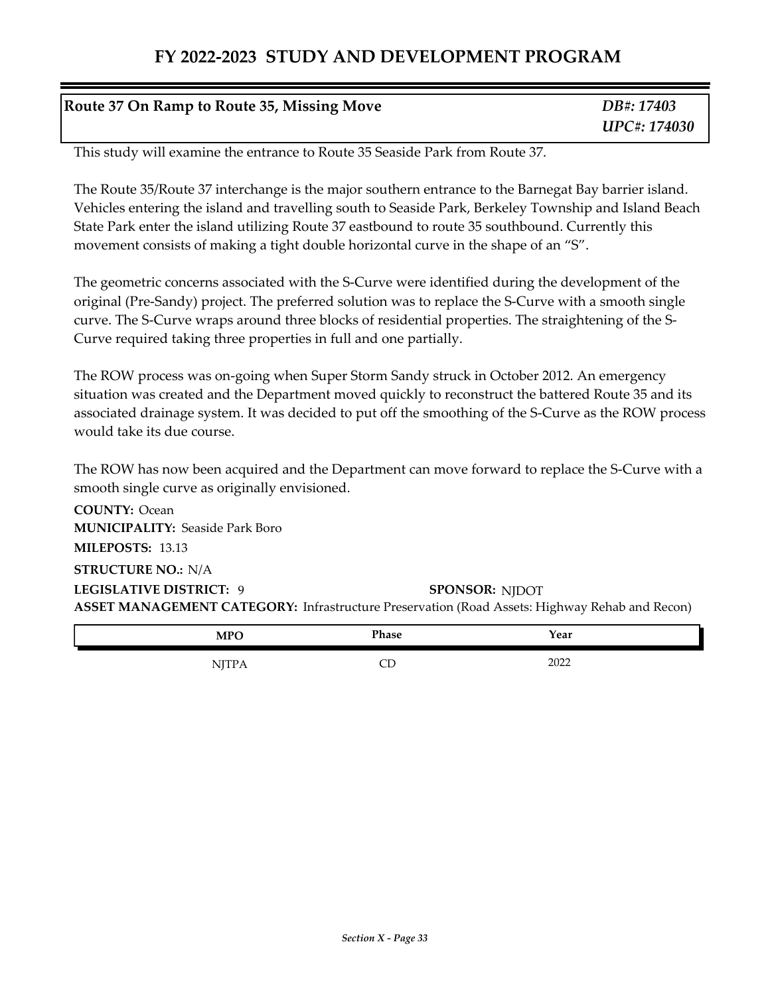#### **Route 37 On Ramp to Route 35, Missing Move**

*DB#: 17403 UPC#: 174030*

This study will examine the entrance to Route 35 Seaside Park from Route 37.

The Route 35/Route 37 interchange is the major southern entrance to the Barnegat Bay barrier island. Vehicles entering the island and travelling south to Seaside Park, Berkeley Township and Island Beach State Park enter the island utilizing Route 37 eastbound to route 35 southbound. Currently this movement consists of making a tight double horizontal curve in the shape of an "S".

The geometric concerns associated with the S-Curve were identified during the development of the original (Pre-Sandy) project. The preferred solution was to replace the S-Curve with a smooth single curve. The S-Curve wraps around three blocks of residential properties. The straightening of the S-Curve required taking three properties in full and one partially.

The ROW process was on-going when Super Storm Sandy struck in October 2012. An emergency situation was created and the Department moved quickly to reconstruct the battered Route 35 and its associated drainage system. It was decided to put off the smoothing of the S-Curve as the ROW process would take its due course.

The ROW has now been acquired and the Department can move forward to replace the S-Curve with a smooth single curve as originally envisioned.

**ASSET MANAGEMENT CATEGORY:** Infrastructure Preservation (Road Assets: Highway Rehab and Recon) **COUNTY:** Ocean **LEGISLATIVE DISTRICT:** 9**MILEPOSTS:** 13.13 **STRUCTURE NO.:** N/A **MUNICIPALITY: Seaside Park Boro SPONSOR: NJDOT** 

| <b>MPO</b>       | <b>Phase</b> | Year         |
|------------------|--------------|--------------|
| , <b>, , , ,</b> | ᄕ            | 2022<br>ZUZZ |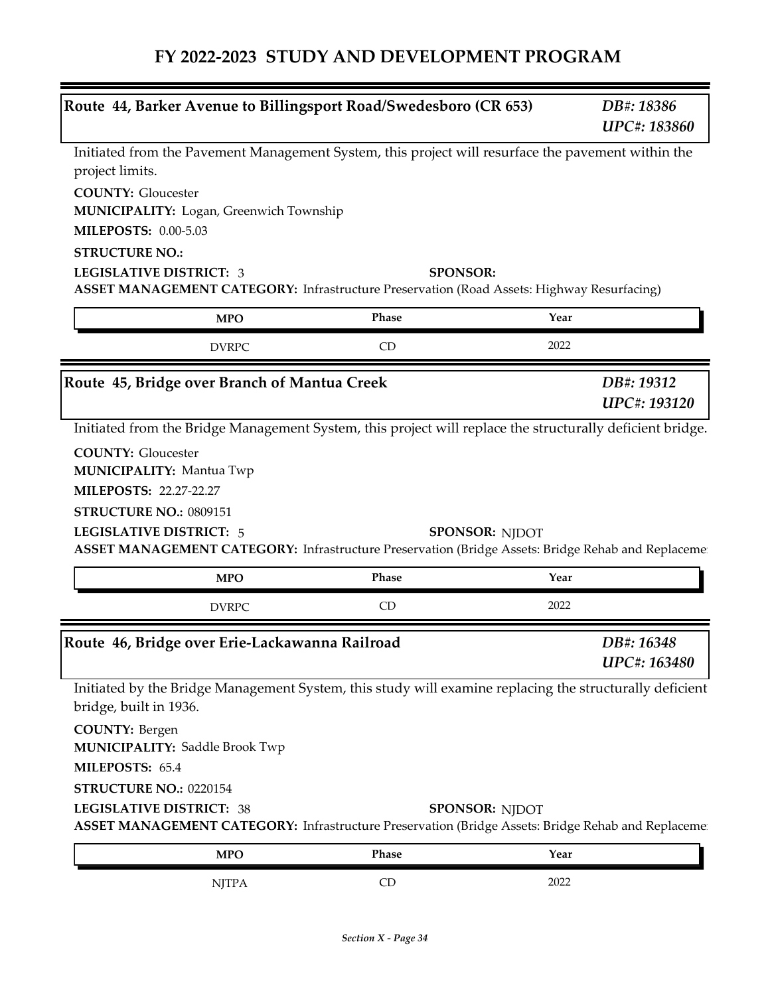|                                                                                                                                                                                        | Route 44, Barker Avenue to Billingsport Road/Swedesboro (CR 653) |                       | DB#: 18386<br>UPC#: 183860 |
|----------------------------------------------------------------------------------------------------------------------------------------------------------------------------------------|------------------------------------------------------------------|-----------------------|----------------------------|
| Initiated from the Pavement Management System, this project will resurface the pavement within the<br>project limits.                                                                  |                                                                  |                       |                            |
| <b>COUNTY: Gloucester</b><br>MUNICIPALITY: Logan, Greenwich Township                                                                                                                   |                                                                  |                       |                            |
| <b>MILEPOSTS: 0.00-5.03</b><br><b>STRUCTURE NO.:</b>                                                                                                                                   |                                                                  |                       |                            |
| <b>LEGISLATIVE DISTRICT: 3</b><br><b>ASSET MANAGEMENT CATEGORY:</b> Infrastructure Preservation (Road Assets: Highway Resurfacing)                                                     | <b>SPONSOR:</b>                                                  |                       |                            |
| <b>MPO</b>                                                                                                                                                                             | Phase                                                            | Year                  |                            |
| <b>DVRPC</b>                                                                                                                                                                           | CD                                                               | 2022                  |                            |
| Route 45, Bridge over Branch of Mantua Creek                                                                                                                                           |                                                                  |                       | DB#: 19312<br>UPC#: 193120 |
| Initiated from the Bridge Management System, this project will replace the structurally deficient bridge.                                                                              |                                                                  |                       |                            |
| <b>COUNTY: Gloucester</b>                                                                                                                                                              |                                                                  |                       |                            |
| <b>MUNICIPALITY: Mantua Twp</b>                                                                                                                                                        |                                                                  |                       |                            |
| <b>MILEPOSTS: 22.27-22.27</b>                                                                                                                                                          |                                                                  |                       |                            |
|                                                                                                                                                                                        |                                                                  |                       |                            |
|                                                                                                                                                                                        |                                                                  |                       |                            |
| STRUCTURE NO.: 0809151                                                                                                                                                                 |                                                                  |                       |                            |
| <b>LEGISLATIVE DISTRICT: 5</b><br>ASSET MANAGEMENT CATEGORY: Infrastructure Preservation (Bridge Assets: Bridge Rehab and Replaceme:                                                   |                                                                  | <b>SPONSOR: NJDOT</b> |                            |
| <b>MPO</b>                                                                                                                                                                             | Phase                                                            | Year                  |                            |
| <b>DVRPC</b>                                                                                                                                                                           | CD                                                               | 2022                  |                            |
|                                                                                                                                                                                        |                                                                  |                       | DB#: 16348                 |
|                                                                                                                                                                                        |                                                                  |                       | UPC#: 163480               |
| Initiated by the Bridge Management System, this study will examine replacing the structurally deficient<br>bridge, built in 1936.                                                      |                                                                  |                       |                            |
| <b>COUNTY: Bergen</b><br><b>MUNICIPALITY: Saddle Brook Twp</b>                                                                                                                         |                                                                  |                       |                            |
| MILEPOSTS: 65.4                                                                                                                                                                        |                                                                  |                       |                            |
| STRUCTURE NO.: 0220154                                                                                                                                                                 |                                                                  |                       |                            |
| Route 46, Bridge over Erie-Lackawanna Railroad<br><b>LEGISLATIVE DISTRICT: 38</b><br>ASSET MANAGEMENT CATEGORY: Infrastructure Preservation (Bridge Assets: Bridge Rehab and Replaceme |                                                                  | <b>SPONSOR: NIDOT</b> |                            |
| <b>MPO</b>                                                                                                                                                                             | Phase                                                            | Year                  |                            |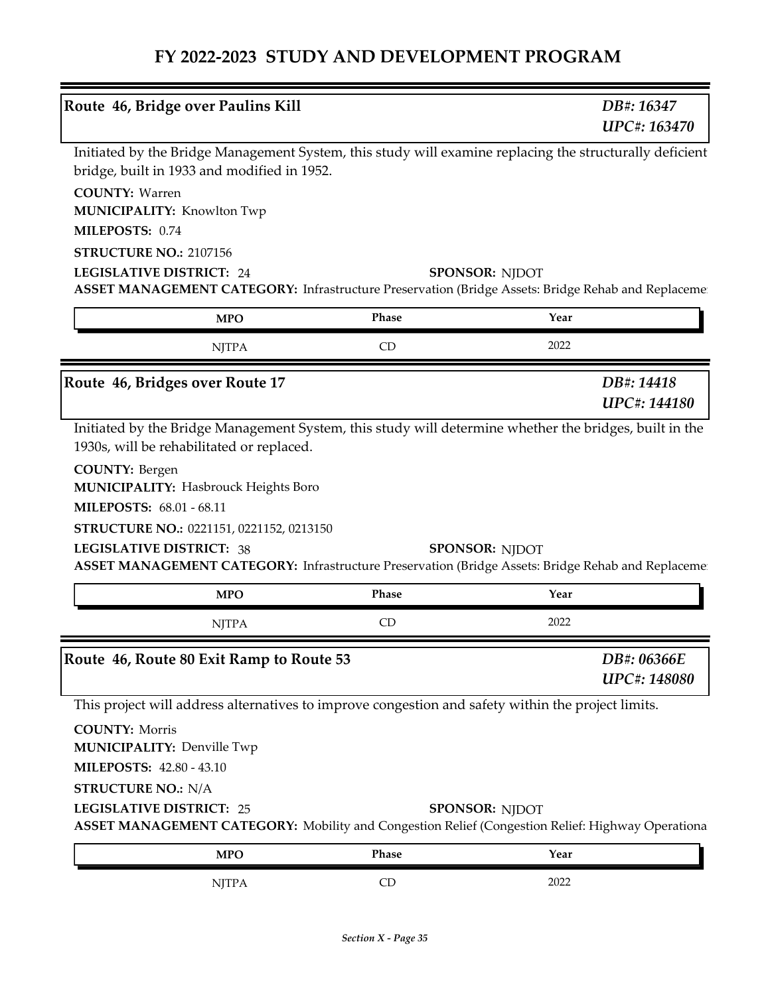| Route 46, Bridge over Paulins Kill                                                                                                                                                                                                                                |       | DB#: 16347                         |
|-------------------------------------------------------------------------------------------------------------------------------------------------------------------------------------------------------------------------------------------------------------------|-------|------------------------------------|
|                                                                                                                                                                                                                                                                   |       | UPC#: 163470                       |
| Initiated by the Bridge Management System, this study will examine replacing the structurally deficient<br>bridge, built in 1933 and modified in 1952.<br><b>COUNTY: Warren</b><br><b>MUNICIPALITY: Knowlton Twp</b><br>MILEPOSTS: 0.74<br>STRUCTURE NO.: 2107156 |       |                                    |
| <b>LEGISLATIVE DISTRICT: 24</b>                                                                                                                                                                                                                                   |       | <b>SPONSOR: NJDOT</b>              |
| ASSET MANAGEMENT CATEGORY: Infrastructure Preservation (Bridge Assets: Bridge Rehab and Replaceme:                                                                                                                                                                |       |                                    |
| <b>MPO</b>                                                                                                                                                                                                                                                        | Phase | Year                               |
| <b>NJTPA</b>                                                                                                                                                                                                                                                      | CD    | 2022                               |
| Route 46, Bridges over Route 17                                                                                                                                                                                                                                   |       | DB#: 14418<br>UPC#: 144180         |
| Initiated by the Bridge Management System, this study will determine whether the bridges, built in the<br>1930s, will be rehabilitated or replaced.<br><b>COUNTY: Bergen</b>                                                                                      |       |                                    |
| <b>MUNICIPALITY: Hasbrouck Heights Boro</b><br><b>MILEPOSTS: 68.01 - 68.11</b>                                                                                                                                                                                    |       |                                    |
| STRUCTURE NO.: 0221151, 0221152, 0213150<br><b>LEGISLATIVE DISTRICT: 38</b><br>ASSET MANAGEMENT CATEGORY: Infrastructure Preservation (Bridge Assets: Bridge Rehab and Replaceme                                                                                  |       | <b>SPONSOR: NJDOT</b>              |
| <b>MPO</b>                                                                                                                                                                                                                                                        | Phase | Year                               |
|                                                                                                                                                                                                                                                                   |       |                                    |
| <b>NJTPA</b>                                                                                                                                                                                                                                                      | CD    | 2022                               |
|                                                                                                                                                                                                                                                                   |       | DB#: 06366E<br><b>UPC#: 148080</b> |
| This project will address alternatives to improve congestion and safety within the project limits.                                                                                                                                                                |       |                                    |
| <b>COUNTY: Morris</b><br><b>MUNICIPALITY: Denville Twp</b>                                                                                                                                                                                                        |       |                                    |
| <b>MILEPOSTS: 42.80 - 43.10</b><br><b>STRUCTURE NO.: N/A</b>                                                                                                                                                                                                      |       |                                    |
| <b>LEGISLATIVE DISTRICT: 25</b><br>ASSET MANAGEMENT CATEGORY: Mobility and Congestion Relief (Congestion Relief: Highway Operationa                                                                                                                               |       | <b>SPONSOR: NJDOT</b>              |
| Route 46, Route 80 Exit Ramp to Route 53<br><b>MPO</b>                                                                                                                                                                                                            | Phase | Year                               |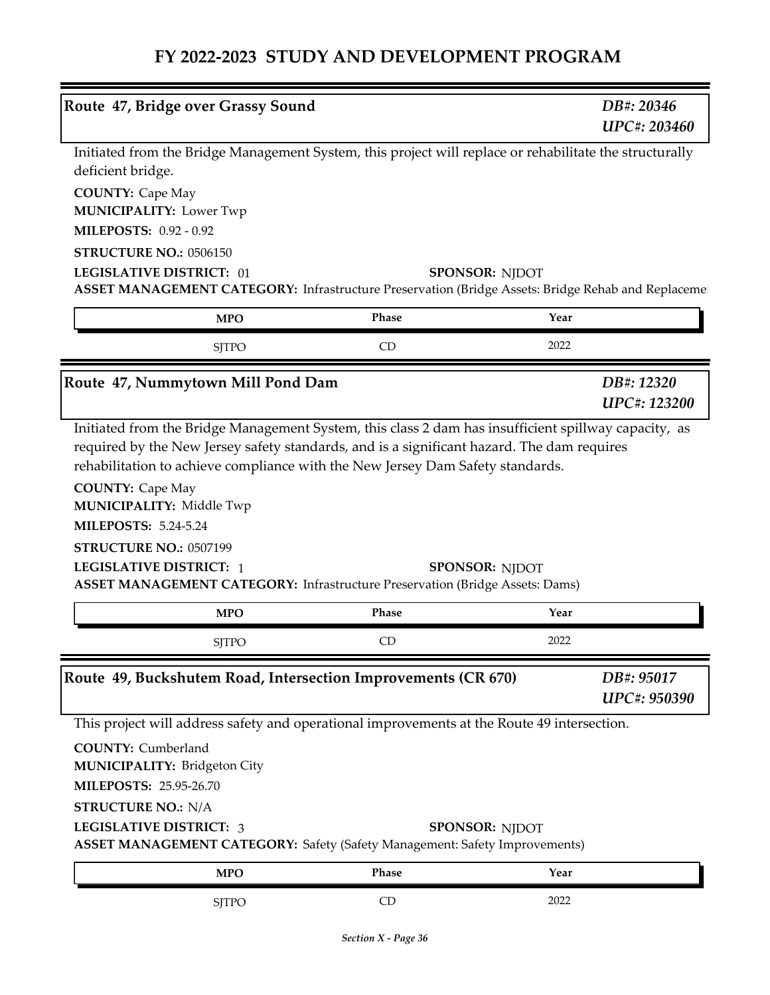| Route 47, Bridge over Grassy Sound                                                                                                                                                                                |       |                       | DB#: 20346<br><b>UPC#: 203460</b> |
|-------------------------------------------------------------------------------------------------------------------------------------------------------------------------------------------------------------------|-------|-----------------------|-----------------------------------|
| Initiated from the Bridge Management System, this project will replace or rehabilitate the structurally<br>deficient bridge.                                                                                      |       |                       |                                   |
| <b>COUNTY: Cape May</b><br><b>MUNICIPALITY: Lower Twp</b>                                                                                                                                                         |       |                       |                                   |
| <b>MILEPOSTS: 0.92 - 0.92</b>                                                                                                                                                                                     |       |                       |                                   |
| STRUCTURE NO.: 0506150                                                                                                                                                                                            |       |                       |                                   |
| <b>LEGISLATIVE DISTRICT: 01</b><br>ASSET MANAGEMENT CATEGORY: Infrastructure Preservation (Bridge Assets: Bridge Rehab and Replaceme:                                                                             |       | <b>SPONSOR: NJDOT</b> |                                   |
| <b>MPO</b>                                                                                                                                                                                                        | Phase | Year                  |                                   |
| <b>SJTPO</b>                                                                                                                                                                                                      | CD    | 2022                  |                                   |
| Route 47, Nummytown Mill Pond Dam                                                                                                                                                                                 |       |                       | DB#: 12320<br><b>UPC#: 123200</b> |
| <b>MUNICIPALITY: Middle Twp</b><br><b>MILEPOSTS: 5.24-5.24</b><br>STRUCTURE NO.: 0507199<br><b>LEGISLATIVE DISTRICT: 1</b><br><b>ASSET MANAGEMENT CATEGORY:</b> Infrastructure Preservation (Bridge Assets: Dams) |       | <b>SPONSOR: NJDOT</b> |                                   |
| <b>MPO</b>                                                                                                                                                                                                        |       |                       |                                   |
|                                                                                                                                                                                                                   | Phase | Year                  |                                   |
| <b>SJTPO</b>                                                                                                                                                                                                      | CD    | 2022                  |                                   |
|                                                                                                                                                                                                                   |       |                       | DB#: 95017<br>UPC#: 950390        |
| This project will address safety and operational improvements at the Route 49 intersection.                                                                                                                       |       |                       |                                   |
| <b>COUNTY: Cumberland</b><br><b>MUNICIPALITY: Bridgeton City</b>                                                                                                                                                  |       |                       |                                   |
| MILEPOSTS: 25.95-26.70                                                                                                                                                                                            |       |                       |                                   |
| <b>STRUCTURE NO.: N/A</b><br><b>LEGISLATIVE DISTRICT: 3</b><br><b>ASSET MANAGEMENT CATEGORY:</b> Safety (Safety Management: Safety Improvements)                                                                  |       | <b>SPONSOR: NJDOT</b> |                                   |
| Route 49, Buckshutem Road, Intersection Improvements (CR 670)<br><b>MPO</b>                                                                                                                                       | Phase | Year                  |                                   |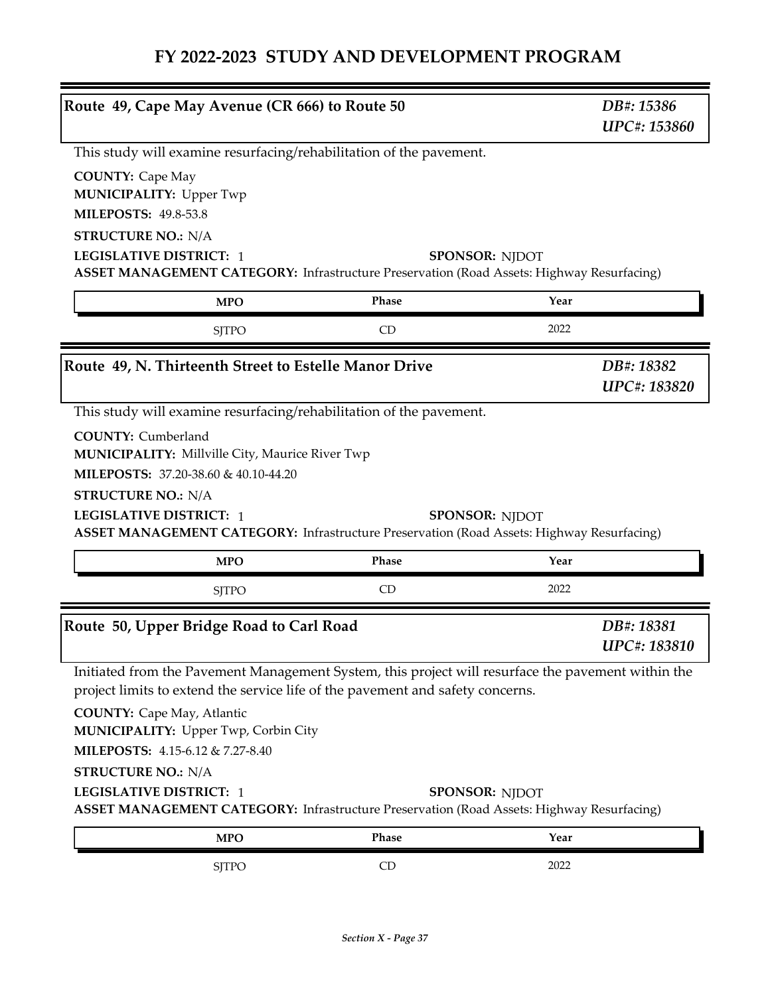| Route 49, Cape May Avenue (CR 666) to Route 50                                                                                                                                                                                                                    |       | DB#: 15386<br><b>UPC#: 153860</b> |
|-------------------------------------------------------------------------------------------------------------------------------------------------------------------------------------------------------------------------------------------------------------------|-------|-----------------------------------|
| This study will examine resurfacing/rehabilitation of the pavement.                                                                                                                                                                                               |       |                                   |
| <b>COUNTY: Cape May</b><br><b>MUNICIPALITY: Upper Twp</b><br><b>MILEPOSTS: 49.8-53.8</b><br><b>STRUCTURE NO.: N/A</b><br><b>LEGISLATIVE DISTRICT: 1</b>                                                                                                           |       | <b>SPONSOR: NJDOT</b>             |
| ASSET MANAGEMENT CATEGORY: Infrastructure Preservation (Road Assets: Highway Resurfacing)                                                                                                                                                                         |       |                                   |
| <b>MPO</b>                                                                                                                                                                                                                                                        | Phase | Year                              |
| <b>SITPO</b>                                                                                                                                                                                                                                                      | CD    | 2022                              |
| Route 49, N. Thirteenth Street to Estelle Manor Drive                                                                                                                                                                                                             |       | DB#: 18382<br>UPC#: 183820        |
| <b>MUNICIPALITY:</b> Millville City, Maurice River Twp<br>MILEPOSTS: 37.20-38.60 & 40.10-44.20<br><b>STRUCTURE NO.: N/A</b><br><b>LEGISLATIVE DISTRICT: 1</b><br><b>ASSET MANAGEMENT CATEGORY:</b> Infrastructure Preservation (Road Assets: Highway Resurfacing) |       | <b>SPONSOR: NJDOT</b>             |
| <b>MPO</b>                                                                                                                                                                                                                                                        | Phase | Year                              |
| <b>SJTPO</b>                                                                                                                                                                                                                                                      | CD    | 2022                              |
| Route 50, Upper Bridge Road to Carl Road                                                                                                                                                                                                                          |       | DB#: 18381<br><b>UPC#: 183810</b> |
| Initiated from the Pavement Management System, this project will resurface the pavement within the<br>project limits to extend the service life of the pavement and safety concerns.                                                                              |       |                                   |
| <b>COUNTY:</b> Cape May, Atlantic<br>MUNICIPALITY: Upper Twp, Corbin City<br>MILEPOSTS: 4.15-6.12 & 7.27-8.40<br><b>STRUCTURE NO.: N/A</b>                                                                                                                        |       |                                   |
|                                                                                                                                                                                                                                                                   |       |                                   |
| <b>LEGISLATIVE DISTRICT: 1</b><br><b>ASSET MANAGEMENT CATEGORY:</b> Infrastructure Preservation (Road Assets: Highway Resurfacing)                                                                                                                                |       | <b>SPONSOR: NIDOT</b>             |
| <b>MPO</b>                                                                                                                                                                                                                                                        | Phase | Year                              |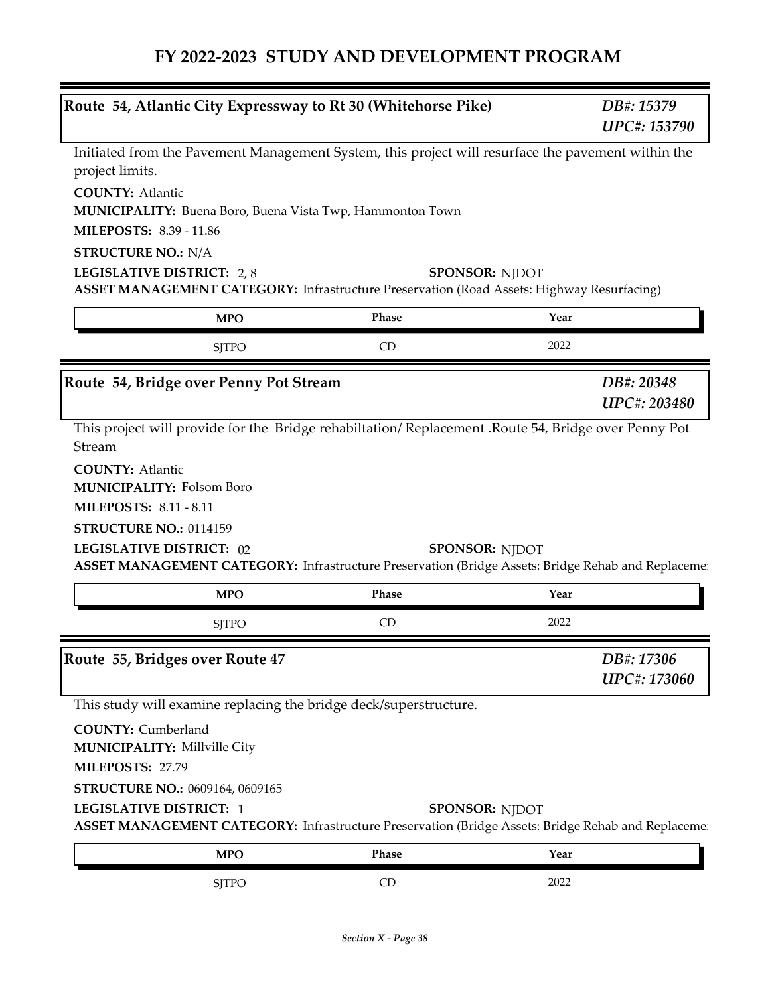$\equiv$ 

| Route 54, Atlantic City Expressway to Rt 30 (Whitehorse Pike)                                                                                                          |              | DB#: 15379<br><b>UPC#: 153790</b>                                                                  |
|------------------------------------------------------------------------------------------------------------------------------------------------------------------------|--------------|----------------------------------------------------------------------------------------------------|
| Initiated from the Pavement Management System, this project will resurface the pavement within the<br>project limits.                                                  |              |                                                                                                    |
| <b>COUNTY: Atlantic</b><br><b>MUNICIPALITY:</b> Buena Boro, Buena Vista Twp, Hammonton Town<br><b>MILEPOSTS: 8.39 - 11.86</b>                                          |              |                                                                                                    |
| <b>STRUCTURE NO.: N/A</b>                                                                                                                                              |              |                                                                                                    |
| LEGISLATIVE DISTRICT: 2,8<br><b>ASSET MANAGEMENT CATEGORY:</b> Infrastructure Preservation (Road Assets: Highway Resurfacing)                                          |              | <b>SPONSOR: NJDOT</b>                                                                              |
| <b>MPO</b>                                                                                                                                                             | Phase        | Year                                                                                               |
| <b>SJTPO</b>                                                                                                                                                           | CD           | 2022                                                                                               |
| Route 54, Bridge over Penny Pot Stream                                                                                                                                 |              | DB#: 20348<br><b>UPC#: 203480</b>                                                                  |
| <b>MILEPOSTS: 8.11 - 8.11</b><br>STRUCTURE NO.: 0114159<br><b>LEGISLATIVE DISTRICT: 02</b>                                                                             |              | <b>SPONSOR: NJDOT</b>                                                                              |
|                                                                                                                                                                        |              | ASSET MANAGEMENT CATEGORY: Infrastructure Preservation (Bridge Assets: Bridge Rehab and Replacemen |
| <b>MPO</b>                                                                                                                                                             | Phase        | Year                                                                                               |
| <b>SJTPO</b>                                                                                                                                                           | CD           | 2022                                                                                               |
|                                                                                                                                                                        |              | DB#: 17306                                                                                         |
|                                                                                                                                                                        |              | <b>UPC#: 173060</b>                                                                                |
| This study will examine replacing the bridge deck/superstructure.                                                                                                      |              |                                                                                                    |
| <b>COUNTY:</b> Cumberland<br><b>MUNICIPALITY: Millville City</b>                                                                                                       |              |                                                                                                    |
| MILEPOSTS: 27.79                                                                                                                                                       |              |                                                                                                    |
| STRUCTURE NO.: 0609164, 0609165<br><b>LEGISLATIVE DISTRICT: 1</b><br>ASSET MANAGEMENT CATEGORY: Infrastructure Preservation (Bridge Assets: Bridge Rehab and Replaceme |              | <b>SPONSOR: NJDOT</b>                                                                              |
| Route 55, Bridges over Route 47<br><b>MPO</b>                                                                                                                          | <b>Phase</b> | Year                                                                                               |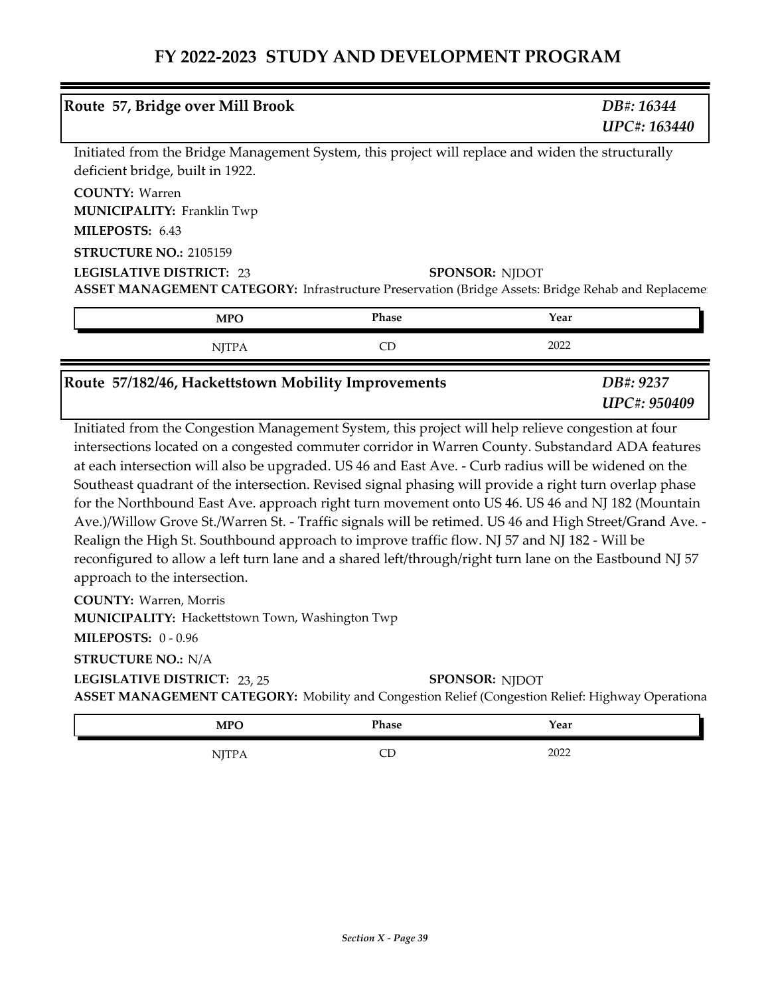| Route 57, Bridge over Mill Brook                                                                                                                                                                                                                                                                                                                                                                                                                                                                                                                                                                                                                                                                                                                                                                                                                                                                                      |       | DB#: 16344<br>UPC#: 163440 |
|-----------------------------------------------------------------------------------------------------------------------------------------------------------------------------------------------------------------------------------------------------------------------------------------------------------------------------------------------------------------------------------------------------------------------------------------------------------------------------------------------------------------------------------------------------------------------------------------------------------------------------------------------------------------------------------------------------------------------------------------------------------------------------------------------------------------------------------------------------------------------------------------------------------------------|-------|----------------------------|
| Initiated from the Bridge Management System, this project will replace and widen the structurally<br>deficient bridge, built in 1922.                                                                                                                                                                                                                                                                                                                                                                                                                                                                                                                                                                                                                                                                                                                                                                                 |       |                            |
| <b>COUNTY: Warren</b><br><b>MUNICIPALITY: Franklin Twp</b>                                                                                                                                                                                                                                                                                                                                                                                                                                                                                                                                                                                                                                                                                                                                                                                                                                                            |       |                            |
| MILEPOSTS: 6.43                                                                                                                                                                                                                                                                                                                                                                                                                                                                                                                                                                                                                                                                                                                                                                                                                                                                                                       |       |                            |
| STRUCTURE NO.: 2105159                                                                                                                                                                                                                                                                                                                                                                                                                                                                                                                                                                                                                                                                                                                                                                                                                                                                                                |       |                            |
| <b>LEGISLATIVE DISTRICT: 23</b><br>ASSET MANAGEMENT CATEGORY: Infrastructure Preservation (Bridge Assets: Bridge Rehab and Replaceme                                                                                                                                                                                                                                                                                                                                                                                                                                                                                                                                                                                                                                                                                                                                                                                  |       | <b>SPONSOR: NJDOT</b>      |
| <b>MPO</b>                                                                                                                                                                                                                                                                                                                                                                                                                                                                                                                                                                                                                                                                                                                                                                                                                                                                                                            | Phase | Year                       |
| <b>NJTPA</b>                                                                                                                                                                                                                                                                                                                                                                                                                                                                                                                                                                                                                                                                                                                                                                                                                                                                                                          | CD    | 2022                       |
| Route 57/182/46, Hackettstown Mobility Improvements                                                                                                                                                                                                                                                                                                                                                                                                                                                                                                                                                                                                                                                                                                                                                                                                                                                                   |       | DB#: 9237<br>UPC#: 950409  |
| Initiated from the Congestion Management System, this project will help relieve congestion at four<br>intersections located on a congested commuter corridor in Warren County. Substandard ADA features<br>at each intersection will also be upgraded. US 46 and East Ave. - Curb radius will be widened on the<br>Southeast quadrant of the intersection. Revised signal phasing will provide a right turn overlap phase<br>for the Northbound East Ave. approach right turn movement onto US 46. US 46 and NJ 182 (Mountain<br>Ave.)/Willow Grove St./Warren St. - Traffic signals will be retimed. US 46 and High Street/Grand Ave. -<br>Realign the High St. Southbound approach to improve traffic flow. NJ 57 and NJ 182 - Will be<br>reconfigured to allow a left turn lane and a shared left/through/right turn lane on the Eastbound NJ 57<br>approach to the intersection.<br><b>COUNTY: Warren, Morris</b> |       |                            |
| MUNICIPALITY: Hackettstown Town, Washington Twp<br><b>MILEPOSTS: 0-0.96</b>                                                                                                                                                                                                                                                                                                                                                                                                                                                                                                                                                                                                                                                                                                                                                                                                                                           |       |                            |
| <b>STRUCTURE NO.: N/A</b>                                                                                                                                                                                                                                                                                                                                                                                                                                                                                                                                                                                                                                                                                                                                                                                                                                                                                             |       |                            |

**ASSET MANAGEMENT CATEGORY:** Mobility and Congestion Relief (Congestion Relief: Highway Operationa **LEGISLATIVE DISTRICT:** 23, 25**SPONSOR: NJDOT** 

| <b>MPO</b> | Phase | Year |
|------------|-------|------|
| NJTPA      | ىب    | 2022 |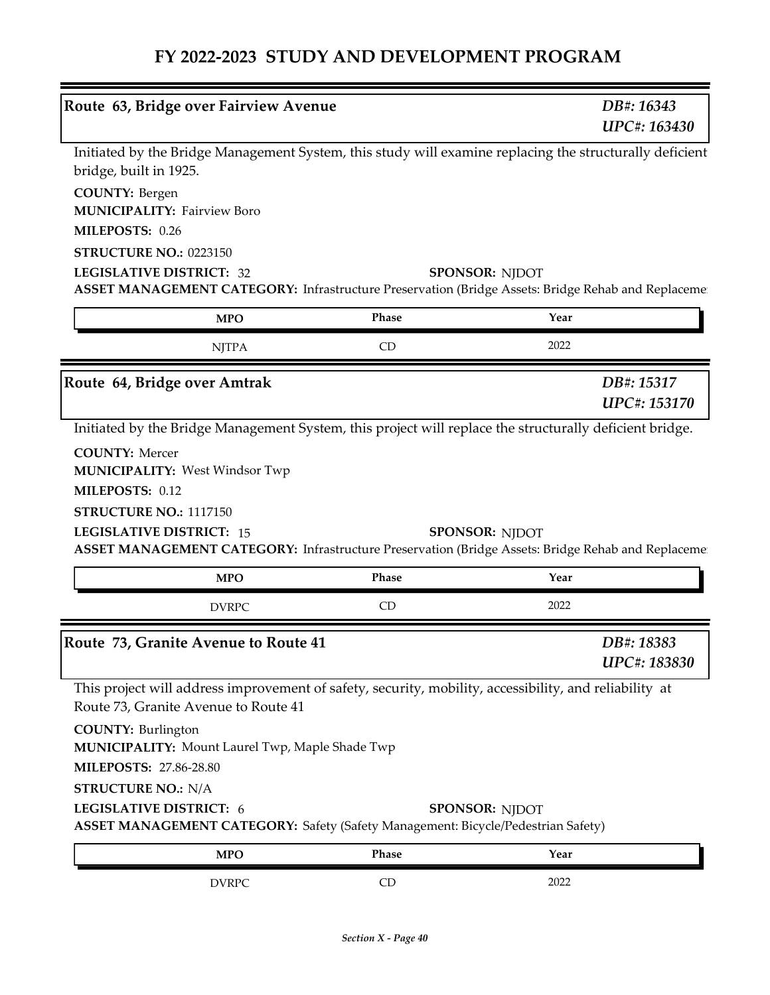| Route 63, Bridge over Fairview Avenue                                                                                                                                                  |       | DB#: 16343<br>UPC#: 163430 |
|----------------------------------------------------------------------------------------------------------------------------------------------------------------------------------------|-------|----------------------------|
| Initiated by the Bridge Management System, this study will examine replacing the structurally deficient<br>bridge, built in 1925.                                                      |       |                            |
| <b>COUNTY: Bergen</b><br><b>MUNICIPALITY: Fairview Boro</b>                                                                                                                            |       |                            |
| MILEPOSTS: 0.26                                                                                                                                                                        |       |                            |
| <b>STRUCTURE NO.: 0223150</b><br><b>LEGISLATIVE DISTRICT: 32</b>                                                                                                                       |       |                            |
| ASSET MANAGEMENT CATEGORY: Infrastructure Preservation (Bridge Assets: Bridge Rehab and Replacemen                                                                                     |       | <b>SPONSOR: NJDOT</b>      |
| <b>MPO</b>                                                                                                                                                                             | Phase | Year                       |
| <b>NJTPA</b>                                                                                                                                                                           | CD    | 2022                       |
| Route 64, Bridge over Amtrak                                                                                                                                                           |       | DB#: 15317                 |
|                                                                                                                                                                                        |       | UPC#: 153170               |
| Initiated by the Bridge Management System, this project will replace the structurally deficient bridge.                                                                                |       |                            |
|                                                                                                                                                                                        |       |                            |
| <b>COUNTY: Mercer</b><br><b>MUNICIPALITY: West Windsor Twp</b>                                                                                                                         |       |                            |
| MILEPOSTS: 0.12                                                                                                                                                                        |       |                            |
| STRUCTURE NO.: 1117150<br><b>LEGISLATIVE DISTRICT: 15</b>                                                                                                                              |       | <b>SPONSOR: NJDOT</b>      |
| ASSET MANAGEMENT CATEGORY: Infrastructure Preservation (Bridge Assets: Bridge Rehab and Replaceme                                                                                      |       |                            |
| <b>MPO</b>                                                                                                                                                                             | Phase | Year                       |
| <b>DVRPC</b>                                                                                                                                                                           | CD    | 2022                       |
|                                                                                                                                                                                        |       | DB#: 18383<br>UPC#: 183830 |
| Route 73, Granite Avenue to Route 41<br>This project will address improvement of safety, security, mobility, accessibility, and reliability at<br>Route 73, Granite Avenue to Route 41 |       |                            |
| <b>COUNTY: Burlington</b><br><b>MUNICIPALITY: Mount Laurel Twp, Maple Shade Twp</b>                                                                                                    |       |                            |
| <b>MILEPOSTS: 27.86-28.80</b>                                                                                                                                                          |       |                            |
| <b>STRUCTURE NO.: N/A</b>                                                                                                                                                              |       |                            |
| LEGISLATIVE DISTRICT: 6<br><b>ASSET MANAGEMENT CATEGORY:</b> Safety (Safety Management: Bicycle/Pedestrian Safety)                                                                     |       | <b>SPONSOR: NJDOT</b>      |
| <b>MPO</b>                                                                                                                                                                             | Phase | Year                       |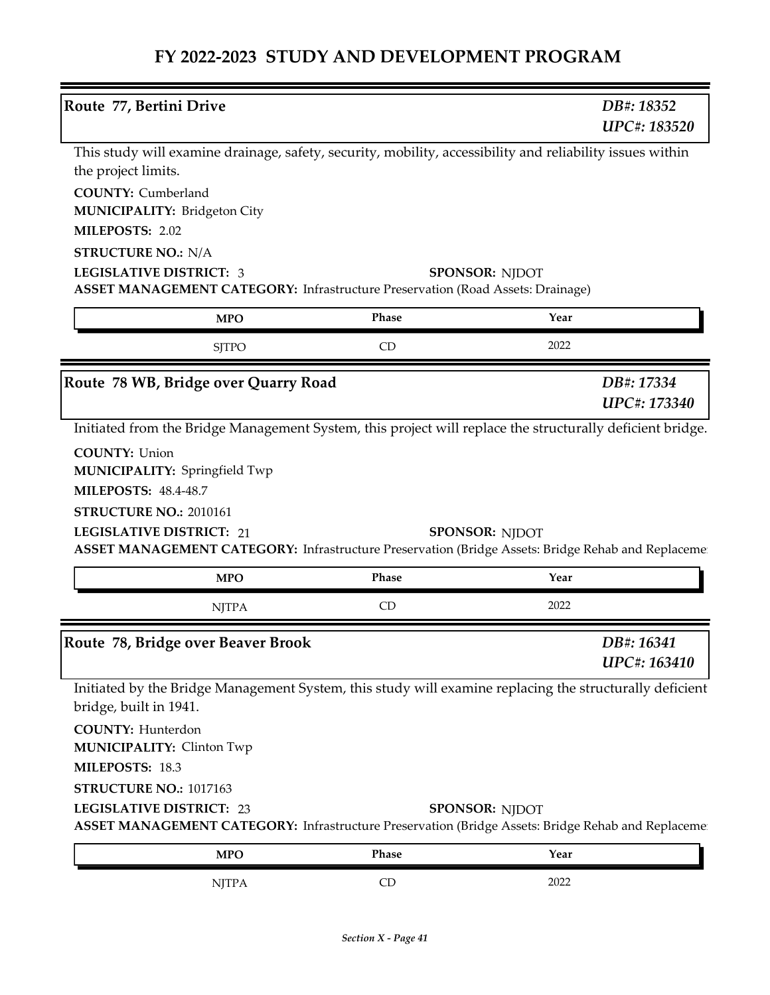| Route 77, Bertini Drive                                                                                                               |              |                       |                     |
|---------------------------------------------------------------------------------------------------------------------------------------|--------------|-----------------------|---------------------|
|                                                                                                                                       |              | DB#: 18352            |                     |
|                                                                                                                                       |              |                       | <b>UPC#: 183520</b> |
| This study will examine drainage, safety, security, mobility, accessibility and reliability issues within                             |              |                       |                     |
| the project limits.                                                                                                                   |              |                       |                     |
| <b>COUNTY:</b> Cumberland                                                                                                             |              |                       |                     |
| MUNICIPALITY: Bridgeton City                                                                                                          |              |                       |                     |
| MILEPOSTS: 2.02                                                                                                                       |              |                       |                     |
| <b>STRUCTURE NO.: N/A</b>                                                                                                             |              |                       |                     |
| <b>LEGISLATIVE DISTRICT: 3</b><br><b>ASSET MANAGEMENT CATEGORY:</b> Infrastructure Preservation (Road Assets: Drainage)               |              | <b>SPONSOR: NJDOT</b> |                     |
|                                                                                                                                       |              |                       |                     |
| <b>MPO</b>                                                                                                                            | <b>Phase</b> | Year                  |                     |
| <b>SJTPO</b>                                                                                                                          | CD           | 2022                  |                     |
| Route 78 WB, Bridge over Quarry Road                                                                                                  |              | DB#: 17334            |                     |
|                                                                                                                                       |              |                       | UPC#: 173340        |
| Initiated from the Bridge Management System, this project will replace the structurally deficient bridge.                             |              |                       |                     |
|                                                                                                                                       |              |                       |                     |
| <b>COUNTY: Union</b><br><b>MUNICIPALITY: Springfield Twp</b>                                                                          |              |                       |                     |
| <b>MILEPOSTS: 48.4-48.7</b>                                                                                                           |              |                       |                     |
|                                                                                                                                       |              |                       |                     |
|                                                                                                                                       |              |                       |                     |
| STRUCTURE NO.: 2010161                                                                                                                |              |                       |                     |
| <b>LEGISLATIVE DISTRICT: 21</b><br>ASSET MANAGEMENT CATEGORY: Infrastructure Preservation (Bridge Assets: Bridge Rehab and Replaceme  |              | <b>SPONSOR: NJDOT</b> |                     |
| <b>MPO</b>                                                                                                                            | Phase        | Year                  |                     |
|                                                                                                                                       | CD           | 2022                  |                     |
| <b>NJTPA</b>                                                                                                                          |              |                       |                     |
| Route 78, Bridge over Beaver Brook                                                                                                    |              | DB#: 16341            |                     |
|                                                                                                                                       |              |                       | UPC#: 163410        |
| Initiated by the Bridge Management System, this study will examine replacing the structurally deficient                               |              |                       |                     |
| bridge, built in 1941.                                                                                                                |              |                       |                     |
| <b>COUNTY: Hunterdon</b>                                                                                                              |              |                       |                     |
| <b>MUNICIPALITY: Clinton Twp</b>                                                                                                      |              |                       |                     |
| MILEPOSTS: 18.3                                                                                                                       |              |                       |                     |
| STRUCTURE NO.: 1017163                                                                                                                |              |                       |                     |
| <b>LEGISLATIVE DISTRICT: 23</b><br>ASSET MANAGEMENT CATEGORY: Infrastructure Preservation (Bridge Assets: Bridge Rehab and Replaceme: |              | <b>SPONSOR: NJDOT</b> |                     |
| <b>MPO</b>                                                                                                                            | Phase        | Year                  |                     |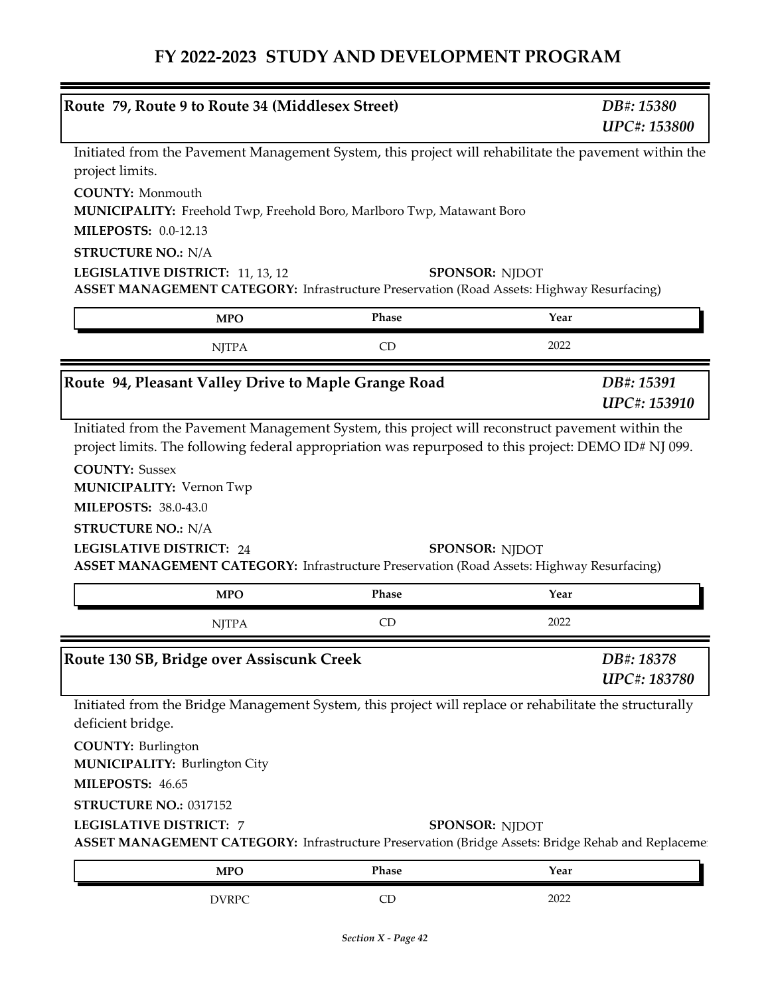| Route 79, Route 9 to Route 34 (Middlesex Street)                                                                                                                                                                                                            |                       |      | DB#: 15380                 |
|-------------------------------------------------------------------------------------------------------------------------------------------------------------------------------------------------------------------------------------------------------------|-----------------------|------|----------------------------|
|                                                                                                                                                                                                                                                             |                       |      | <b>UPC#: 153800</b>        |
| Initiated from the Pavement Management System, this project will rehabilitate the pavement within the                                                                                                                                                       |                       |      |                            |
| project limits.                                                                                                                                                                                                                                             |                       |      |                            |
| <b>COUNTY: Monmouth</b>                                                                                                                                                                                                                                     |                       |      |                            |
| MUNICIPALITY: Freehold Twp, Freehold Boro, Marlboro Twp, Matawant Boro                                                                                                                                                                                      |                       |      |                            |
| <b>MILEPOSTS: 0.0-12.13</b>                                                                                                                                                                                                                                 |                       |      |                            |
| <b>STRUCTURE NO.: N/A</b>                                                                                                                                                                                                                                   |                       |      |                            |
| LEGISLATIVE DISTRICT: 11, 13, 12<br>ASSET MANAGEMENT CATEGORY: Infrastructure Preservation (Road Assets: Highway Resurfacing)                                                                                                                               | <b>SPONSOR: NJDOT</b> |      |                            |
|                                                                                                                                                                                                                                                             | <b>Phase</b>          | Year |                            |
| <b>MPO</b>                                                                                                                                                                                                                                                  |                       |      |                            |
| <b>NJTPA</b>                                                                                                                                                                                                                                                | CD                    | 2022 |                            |
| Route 94, Pleasant Valley Drive to Maple Grange Road                                                                                                                                                                                                        |                       |      | DB#: 15391                 |
|                                                                                                                                                                                                                                                             |                       |      | UPC#: 153910               |
|                                                                                                                                                                                                                                                             |                       |      |                            |
| <b>COUNTY: Sussex</b><br><b>ASSET MANAGEMENT CATEGORY:</b> Infrastructure Preservation (Road Assets: Highway Resurfacing)                                                                                                                                   | <b>SPONSOR: NJDOT</b> |      |                            |
| <b>MUNICIPALITY: Vernon Twp</b><br><b>MILEPOSTS: 38.0-43.0</b><br><b>STRUCTURE NO.: N/A</b><br><b>MPO</b>                                                                                                                                                   | Phase                 | Year |                            |
| <b>NJTPA</b>                                                                                                                                                                                                                                                | CD                    | 2022 |                            |
|                                                                                                                                                                                                                                                             |                       |      |                            |
|                                                                                                                                                                                                                                                             |                       |      | DB#: 18378<br>UPC#: 183780 |
|                                                                                                                                                                                                                                                             |                       |      |                            |
| deficient bridge.                                                                                                                                                                                                                                           |                       |      |                            |
| <b>COUNTY: Burlington</b>                                                                                                                                                                                                                                   |                       |      |                            |
|                                                                                                                                                                                                                                                             |                       |      |                            |
|                                                                                                                                                                                                                                                             |                       |      |                            |
| <b>MUNICIPALITY: Burlington City</b><br>STRUCTURE NO.: 0317152                                                                                                                                                                                              |                       |      |                            |
| ASSET MANAGEMENT CATEGORY: Infrastructure Preservation (Bridge Assets: Bridge Rehab and Replaceme                                                                                                                                                           | <b>SPONSOR: NJDOT</b> |      |                            |
| <b>LEGISLATIVE DISTRICT: 24</b><br>Route 130 SB, Bridge over Assiscunk Creek<br>Initiated from the Bridge Management System, this project will replace or rehabilitate the structurally<br>MILEPOSTS: 46.65<br><b>LEGISLATIVE DISTRICT: 7</b><br><b>MPO</b> | Phase                 | Year |                            |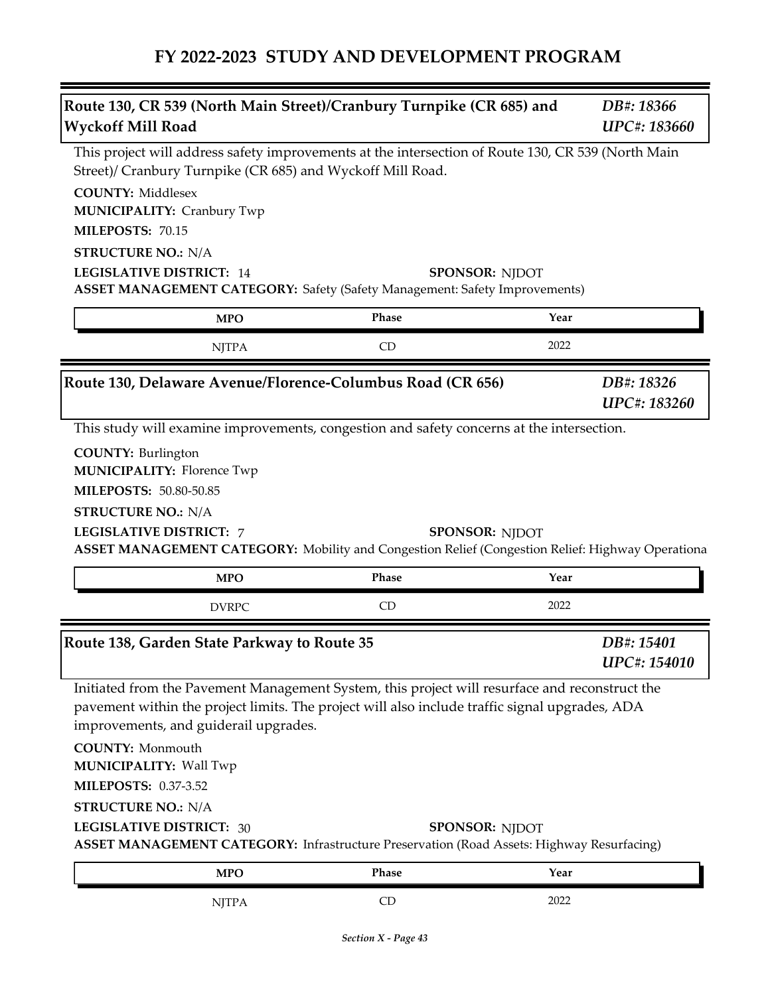|                                                                                                                                                                                                                                                                                                                                                                                                                                                                         | DB#: 18366                        |
|-------------------------------------------------------------------------------------------------------------------------------------------------------------------------------------------------------------------------------------------------------------------------------------------------------------------------------------------------------------------------------------------------------------------------------------------------------------------------|-----------------------------------|
| <b>Wyckoff Mill Road</b>                                                                                                                                                                                                                                                                                                                                                                                                                                                | <b>UPC#: 183660</b>               |
| This project will address safety improvements at the intersection of Route 130, CR 539 (North Main<br>Street)/ Cranbury Turnpike (CR 685) and Wyckoff Mill Road.                                                                                                                                                                                                                                                                                                        |                                   |
| <b>COUNTY: Middlesex</b>                                                                                                                                                                                                                                                                                                                                                                                                                                                |                                   |
| <b>MUNICIPALITY: Cranbury Twp</b>                                                                                                                                                                                                                                                                                                                                                                                                                                       |                                   |
| MILEPOSTS: 70.15                                                                                                                                                                                                                                                                                                                                                                                                                                                        |                                   |
| <b>STRUCTURE NO.: N/A</b>                                                                                                                                                                                                                                                                                                                                                                                                                                               |                                   |
| <b>LEGISLATIVE DISTRICT: 14</b><br><b>SPONSOR: NJDOT</b><br><b>ASSET MANAGEMENT CATEGORY:</b> Safety (Safety Management: Safety Improvements)                                                                                                                                                                                                                                                                                                                           |                                   |
| Phase<br>Year<br><b>MPO</b>                                                                                                                                                                                                                                                                                                                                                                                                                                             |                                   |
| 2022<br>CD<br><b>NJTPA</b>                                                                                                                                                                                                                                                                                                                                                                                                                                              |                                   |
| Route 130, Delaware Avenue/Florence-Columbus Road (CR 656)                                                                                                                                                                                                                                                                                                                                                                                                              | DB#: 18326                        |
|                                                                                                                                                                                                                                                                                                                                                                                                                                                                         | <b>UPC#: 183260</b>               |
| This study will examine improvements, congestion and safety concerns at the intersection.                                                                                                                                                                                                                                                                                                                                                                               |                                   |
|                                                                                                                                                                                                                                                                                                                                                                                                                                                                         |                                   |
| <b>COUNTY: Burlington</b><br><b>MUNICIPALITY: Florence Twp</b>                                                                                                                                                                                                                                                                                                                                                                                                          |                                   |
| MILEPOSTS: 50.80-50.85                                                                                                                                                                                                                                                                                                                                                                                                                                                  |                                   |
|                                                                                                                                                                                                                                                                                                                                                                                                                                                                         |                                   |
| <b>STRUCTURE NO.: N/A</b><br><b>LEGISLATIVE DISTRICT: 7</b><br><b>SPONSOR: NJDOT</b>                                                                                                                                                                                                                                                                                                                                                                                    |                                   |
| ASSET MANAGEMENT CATEGORY: Mobility and Congestion Relief (Congestion Relief: Highway Operationa)                                                                                                                                                                                                                                                                                                                                                                       |                                   |
|                                                                                                                                                                                                                                                                                                                                                                                                                                                                         |                                   |
| Phase<br>Year<br><b>MPO</b>                                                                                                                                                                                                                                                                                                                                                                                                                                             |                                   |
| 2022<br>CD<br><b>DVRPC</b>                                                                                                                                                                                                                                                                                                                                                                                                                                              |                                   |
|                                                                                                                                                                                                                                                                                                                                                                                                                                                                         |                                   |
|                                                                                                                                                                                                                                                                                                                                                                                                                                                                         | DB#: 15401<br><b>UPC#: 154010</b> |
| Initiated from the Pavement Management System, this project will resurface and reconstruct the                                                                                                                                                                                                                                                                                                                                                                          |                                   |
|                                                                                                                                                                                                                                                                                                                                                                                                                                                                         |                                   |
|                                                                                                                                                                                                                                                                                                                                                                                                                                                                         |                                   |
|                                                                                                                                                                                                                                                                                                                                                                                                                                                                         |                                   |
|                                                                                                                                                                                                                                                                                                                                                                                                                                                                         |                                   |
|                                                                                                                                                                                                                                                                                                                                                                                                                                                                         |                                   |
|                                                                                                                                                                                                                                                                                                                                                                                                                                                                         |                                   |
| Route 138, Garden State Parkway to Route 35<br>pavement within the project limits. The project will also include traffic signal upgrades, ADA<br>improvements, and guiderail upgrades.<br><b>COUNTY: Monmouth</b><br>MUNICIPALITY: Wall Twp<br><b>MILEPOSTS: 0.37-3.52</b><br><b>STRUCTURE NO.: N/A</b><br><b>LEGISLATIVE DISTRICT: 30</b><br><b>SPONSOR: NJDOT</b><br><b>ASSET MANAGEMENT CATEGORY:</b> Infrastructure Preservation (Road Assets: Highway Resurfacing) |                                   |
| Phase<br><b>MPO</b><br>Year                                                                                                                                                                                                                                                                                                                                                                                                                                             |                                   |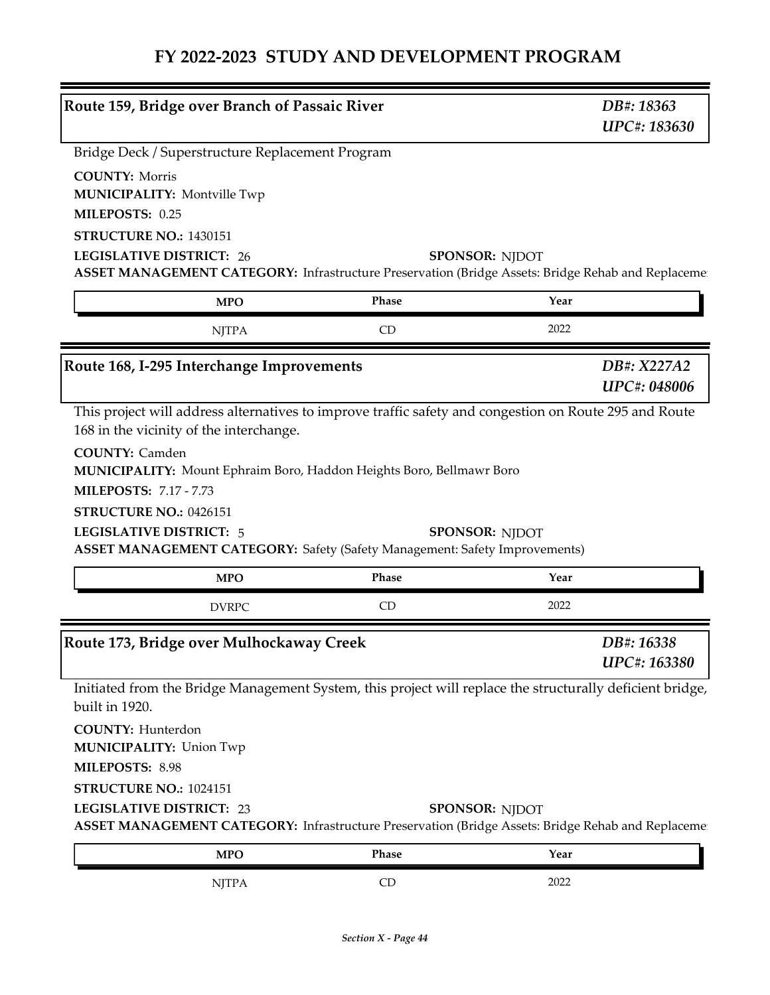| Route 159, Bridge over Branch of Passaic River                                                                                                                                 |       | DB#: 18363<br>UPC#: 183630         |  |
|--------------------------------------------------------------------------------------------------------------------------------------------------------------------------------|-------|------------------------------------|--|
| Bridge Deck / Superstructure Replacement Program                                                                                                                               |       |                                    |  |
| <b>COUNTY: Morris</b><br><b>MUNICIPALITY: Montville Twp</b>                                                                                                                    |       |                                    |  |
| MILEPOSTS: 0.25                                                                                                                                                                |       |                                    |  |
| STRUCTURE NO.: 1430151                                                                                                                                                         |       |                                    |  |
| <b>LEGISLATIVE DISTRICT: 26</b><br>ASSET MANAGEMENT CATEGORY: Infrastructure Preservation (Bridge Assets: Bridge Rehab and Replacemen                                          |       | <b>SPONSOR: NJDOT</b>              |  |
| <b>MPO</b>                                                                                                                                                                     | Phase | Year                               |  |
| <b>NJTPA</b>                                                                                                                                                                   | CD    | 2022                               |  |
| Route 168, I-295 Interchange Improvements                                                                                                                                      |       | DB#: X227A2<br><b>UPC#: 048006</b> |  |
| This project will address alternatives to improve traffic safety and congestion on Route 295 and Route<br>168 in the vicinity of the interchange.                              |       |                                    |  |
| <b>COUNTY: Camden</b><br>MUNICIPALITY: Mount Ephraim Boro, Haddon Heights Boro, Bellmawr Boro                                                                                  |       |                                    |  |
| <b>MILEPOSTS: 7.17 - 7.73</b><br>STRUCTURE NO.: 0426151<br><b>LEGISLATIVE DISTRICT: 5</b><br><b>ASSET MANAGEMENT CATEGORY:</b> Safety (Safety Management: Safety Improvements) |       | <b>SPONSOR: NJDOT</b>              |  |
| <b>MPO</b>                                                                                                                                                                     | Phase | Year                               |  |
| <b>DVRPC</b>                                                                                                                                                                   | CD    | 2022                               |  |
| Route 173, Bridge over Mulhockaway Creek                                                                                                                                       |       | DB#: 16338<br>UPC#: 163380         |  |
| Initiated from the Bridge Management System, this project will replace the structurally deficient bridge,<br>built in 1920.                                                    |       |                                    |  |
| <b>COUNTY: Hunterdon</b><br><b>MUNICIPALITY: Union Twp</b>                                                                                                                     |       |                                    |  |
| MILEPOSTS: 8.98                                                                                                                                                                |       |                                    |  |
| STRUCTURE NO.: 1024151                                                                                                                                                         |       |                                    |  |
| <b>LEGISLATIVE DISTRICT: 23</b><br>ASSET MANAGEMENT CATEGORY: Infrastructure Preservation (Bridge Assets: Bridge Rehab and Replaceme                                           |       | <b>SPONSOR: NJDOT</b>              |  |
| <b>MPO</b>                                                                                                                                                                     | Phase | Year                               |  |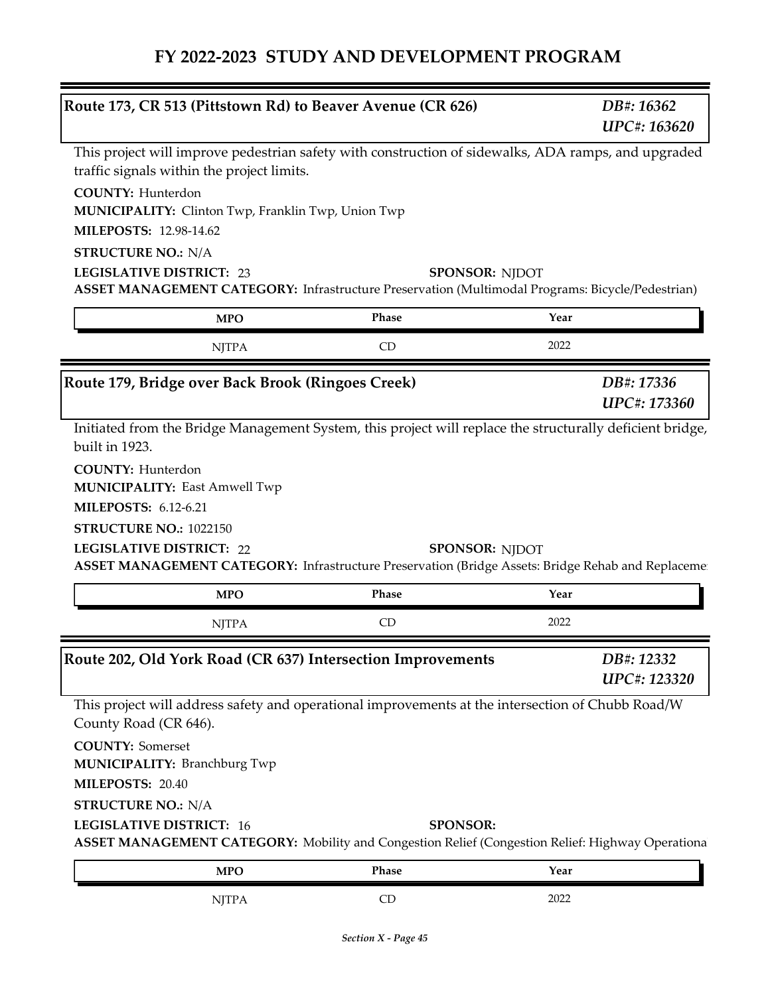|                                                                                                                                                                  | Route 173, CR 513 (Pittstown Rd) to Beaver Avenue (CR 626) | DB#: 16362<br>UPC#: 163620        |  |
|------------------------------------------------------------------------------------------------------------------------------------------------------------------|------------------------------------------------------------|-----------------------------------|--|
| This project will improve pedestrian safety with construction of sidewalks, ADA ramps, and upgraded<br>traffic signals within the project limits.                |                                                            |                                   |  |
| <b>COUNTY: Hunterdon</b><br>MUNICIPALITY: Clinton Twp, Franklin Twp, Union Twp                                                                                   |                                                            |                                   |  |
| MILEPOSTS: 12.98-14.62                                                                                                                                           |                                                            |                                   |  |
| <b>STRUCTURE NO.: N/A</b><br><b>LEGISLATIVE DISTRICT: 23</b>                                                                                                     | <b>SPONSOR: NJDOT</b>                                      |                                   |  |
| ASSET MANAGEMENT CATEGORY: Infrastructure Preservation (Multimodal Programs: Bicycle/Pedestrian)                                                                 |                                                            |                                   |  |
| <b>MPO</b>                                                                                                                                                       | Phase                                                      | Year                              |  |
| <b>NJTPA</b>                                                                                                                                                     | CD                                                         | 2022                              |  |
| Route 179, Bridge over Back Brook (Ringoes Creek)                                                                                                                |                                                            | DB#: 17336<br><b>UPC#: 173360</b> |  |
| Initiated from the Bridge Management System, this project will replace the structurally deficient bridge,<br>built in 1923.                                      |                                                            |                                   |  |
| <b>COUNTY: Hunterdon</b><br><b>MUNICIPALITY: East Amwell Twp</b>                                                                                                 |                                                            |                                   |  |
| <b>MILEPOSTS: 6.12-6.21</b>                                                                                                                                      |                                                            |                                   |  |
|                                                                                                                                                                  |                                                            |                                   |  |
| STRUCTURE NO.: 1022150                                                                                                                                           |                                                            |                                   |  |
| <b>LEGISLATIVE DISTRICT: 22</b><br>ASSET MANAGEMENT CATEGORY: Infrastructure Preservation (Bridge Assets: Bridge Rehab and Replaceme:                            | <b>SPONSOR: NJDOT</b>                                      |                                   |  |
| <b>MPO</b>                                                                                                                                                       | Phase                                                      | Year                              |  |
| <b>NJTPA</b>                                                                                                                                                     | CD                                                         | 2022                              |  |
| Route 202, Old York Road (CR 637) Intersection Improvements                                                                                                      |                                                            | DB#: 12332<br><b>UPC#: 123320</b> |  |
| This project will address safety and operational improvements at the intersection of Chubb Road/W<br>County Road (CR 646).                                       |                                                            |                                   |  |
| <b>COUNTY: Somerset</b>                                                                                                                                          |                                                            |                                   |  |
| <b>MUNICIPALITY: Branchburg Twp</b>                                                                                                                              |                                                            |                                   |  |
| MILEPOSTS: 20.40                                                                                                                                                 |                                                            |                                   |  |
| <b>STRUCTURE NO.: N/A</b><br><b>LEGISLATIVE DISTRICT: 16</b><br>ASSET MANAGEMENT CATEGORY: Mobility and Congestion Relief (Congestion Relief: Highway Operationa | <b>SPONSOR:</b>                                            |                                   |  |
| <b>MPO</b>                                                                                                                                                       | Phase                                                      | Year                              |  |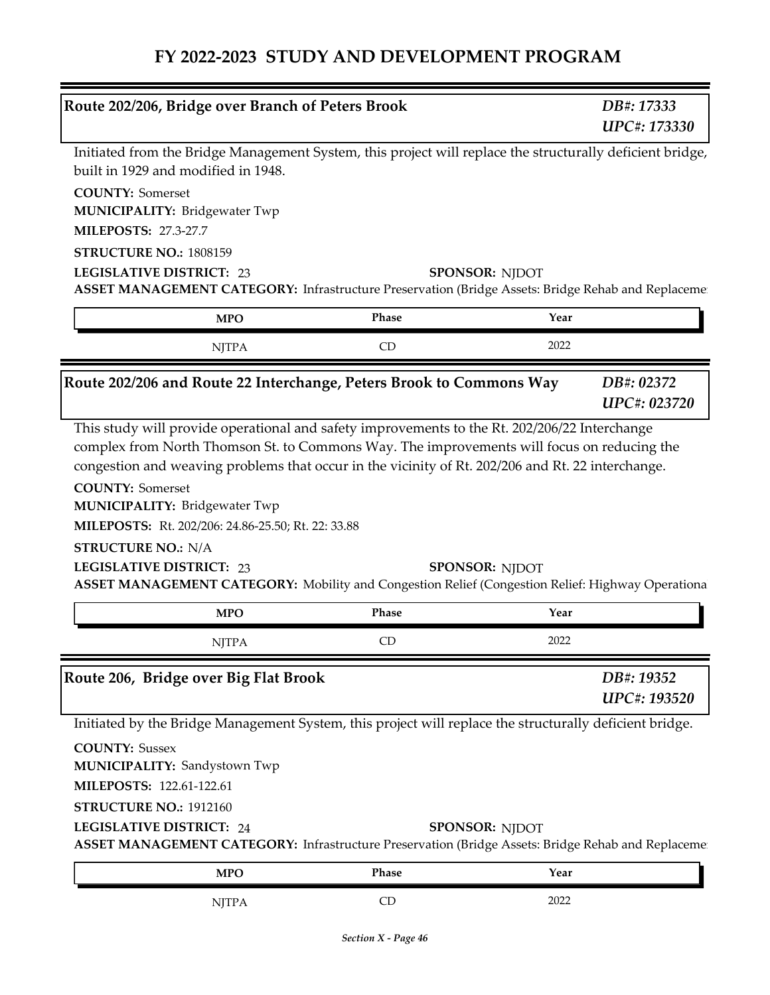| Route 202/206, Bridge over Branch of Peters Brook                                                                                                                                                                                                                                          |       |                       | DB#: 17333<br>UPC#: 173330                                                                        |
|--------------------------------------------------------------------------------------------------------------------------------------------------------------------------------------------------------------------------------------------------------------------------------------------|-------|-----------------------|---------------------------------------------------------------------------------------------------|
| Initiated from the Bridge Management System, this project will replace the structurally deficient bridge,<br>built in 1929 and modified in 1948.                                                                                                                                           |       |                       |                                                                                                   |
| <b>COUNTY: Somerset</b><br><b>MUNICIPALITY: Bridgewater Twp</b>                                                                                                                                                                                                                            |       |                       |                                                                                                   |
| <b>MILEPOSTS: 27.3-27.7</b>                                                                                                                                                                                                                                                                |       |                       |                                                                                                   |
| STRUCTURE NO.: 1808159<br><b>LEGISLATIVE DISTRICT: 23</b>                                                                                                                                                                                                                                  |       | <b>SPONSOR: NJDOT</b> |                                                                                                   |
| ASSET MANAGEMENT CATEGORY: Infrastructure Preservation (Bridge Assets: Bridge Rehab and Replaceme:                                                                                                                                                                                         |       |                       |                                                                                                   |
| <b>MPO</b>                                                                                                                                                                                                                                                                                 | Phase | Year                  |                                                                                                   |
| <b>NJTPA</b>                                                                                                                                                                                                                                                                               | CD    | 2022                  |                                                                                                   |
| Route 202/206 and Route 22 Interchange, Peters Brook to Commons Way                                                                                                                                                                                                                        |       |                       | DB#: 02372<br><b>UPC#: 023720</b>                                                                 |
|                                                                                                                                                                                                                                                                                            |       |                       | congestion and weaving problems that occur in the vicinity of Rt. 202/206 and Rt. 22 interchange. |
| <b>COUNTY: Somerset</b><br><b>MUNICIPALITY: Bridgewater Twp</b><br>MILEPOSTS: Rt. 202/206: 24.86-25.50; Rt. 22: 33.88<br><b>STRUCTURE NO.: N/A</b><br><b>LEGISLATIVE DISTRICT: 23</b><br>ASSET MANAGEMENT CATEGORY: Mobility and Congestion Relief (Congestion Relief: Highway Operational |       | <b>SPONSOR: NIDOT</b> |                                                                                                   |
| <b>MPO</b>                                                                                                                                                                                                                                                                                 | Phase | Year                  |                                                                                                   |
| NJTPA                                                                                                                                                                                                                                                                                      | CD    | 2022                  |                                                                                                   |
| Route 206, Bridge over Big Flat Brook                                                                                                                                                                                                                                                      |       |                       | DB#: 19352<br>UPC#: 193520                                                                        |
|                                                                                                                                                                                                                                                                                            |       |                       |                                                                                                   |
| Initiated by the Bridge Management System, this project will replace the structurally deficient bridge.<br><b>COUNTY: Sussex</b><br><b>MUNICIPALITY: Sandystown Twp</b>                                                                                                                    |       |                       |                                                                                                   |
| MILEPOSTS: 122.61-122.61                                                                                                                                                                                                                                                                   |       |                       |                                                                                                   |
|                                                                                                                                                                                                                                                                                            |       |                       |                                                                                                   |
| STRUCTURE NO.: 1912160<br><b>LEGISLATIVE DISTRICT: 24</b><br>ASSET MANAGEMENT CATEGORY: Infrastructure Preservation (Bridge Assets: Bridge Rehab and Replaceme:                                                                                                                            |       | <b>SPONSOR: NJDOT</b> |                                                                                                   |
| <b>MPO</b>                                                                                                                                                                                                                                                                                 | Phase | Year                  |                                                                                                   |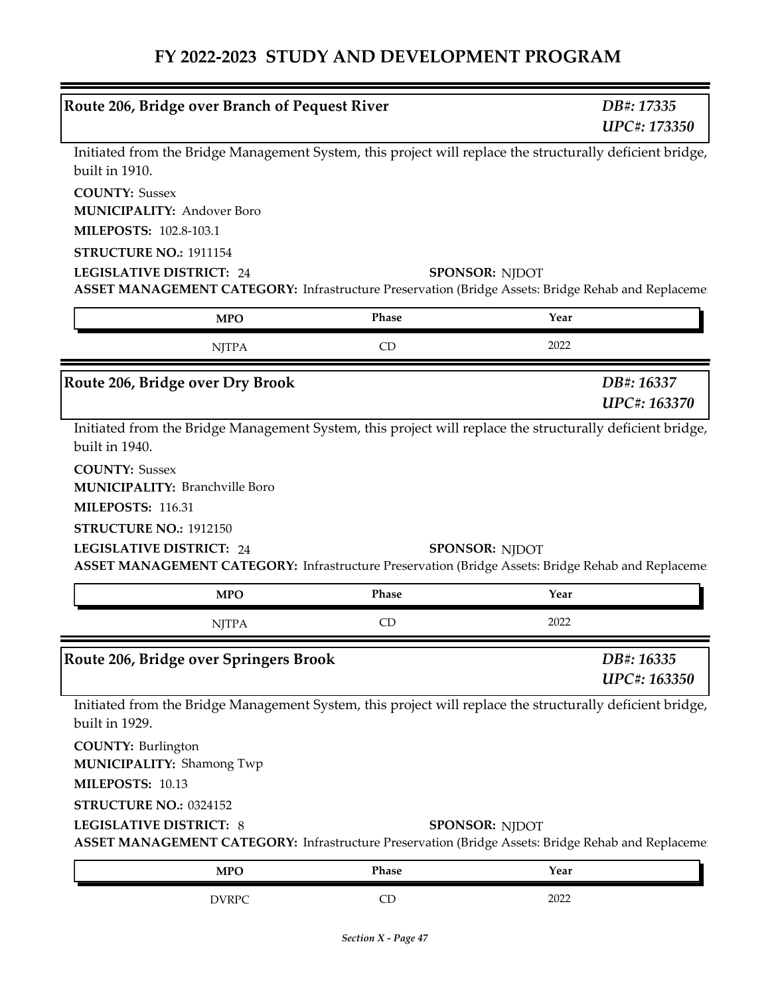| Route 206, Bridge over Branch of Pequest River                                                                                                                                                |           | DB#: 17335<br>UPC#: 173350 |
|-----------------------------------------------------------------------------------------------------------------------------------------------------------------------------------------------|-----------|----------------------------|
| Initiated from the Bridge Management System, this project will replace the structurally deficient bridge,<br>built in 1910.                                                                   |           |                            |
| <b>COUNTY: Sussex</b>                                                                                                                                                                         |           |                            |
| <b>MUNICIPALITY: Andover Boro</b>                                                                                                                                                             |           |                            |
| <b>MILEPOSTS: 102.8-103.1</b>                                                                                                                                                                 |           |                            |
| STRUCTURE NO.: 1911154                                                                                                                                                                        |           |                            |
| <b>LEGISLATIVE DISTRICT: 24</b><br>ASSET MANAGEMENT CATEGORY: Infrastructure Preservation (Bridge Assets: Bridge Rehab and Replaceme:                                                         |           | <b>SPONSOR: NJDOT</b>      |
| <b>MPO</b>                                                                                                                                                                                    | Phase     | Year                       |
| <b>NJTPA</b>                                                                                                                                                                                  | CD        | 2022                       |
| Route 206, Bridge over Dry Brook                                                                                                                                                              |           | DB#: 16337<br>UPC#: 163370 |
| Initiated from the Bridge Management System, this project will replace the structurally deficient bridge,<br>built in 1940.<br><b>COUNTY: Sussex</b><br><b>MUNICIPALITY: Branchville Boro</b> |           |                            |
| MILEPOSTS: 116.31                                                                                                                                                                             |           |                            |
| STRUCTURE NO.: 1912150                                                                                                                                                                        |           |                            |
| <b>LEGISLATIVE DISTRICT: 24</b><br>ASSET MANAGEMENT CATEGORY: Infrastructure Preservation (Bridge Assets: Bridge Rehab and Replacemen                                                         |           | <b>SPONSOR: NJDOT</b>      |
|                                                                                                                                                                                               |           |                            |
| <b>MPO</b>                                                                                                                                                                                    | Phase     | Year                       |
| <b>NJTPA</b>                                                                                                                                                                                  | <b>CD</b> | 2022                       |
|                                                                                                                                                                                               |           | DB#: 16335<br>UPC#: 163350 |
| Initiated from the Bridge Management System, this project will replace the structurally deficient bridge,<br>built in 1929.                                                                   |           |                            |
| <b>COUNTY: Burlington</b><br><b>MUNICIPALITY: Shamong Twp</b>                                                                                                                                 |           |                            |
| MILEPOSTS: 10.13                                                                                                                                                                              |           |                            |
| STRUCTURE NO.: 0324152                                                                                                                                                                        |           |                            |
| <b>LEGISLATIVE DISTRICT: 8</b><br>ASSET MANAGEMENT CATEGORY: Infrastructure Preservation (Bridge Assets: Bridge Rehab and Replaceme                                                           |           | <b>SPONSOR: NJDOT</b>      |
| Route 206, Bridge over Springers Brook<br><b>MPO</b>                                                                                                                                          | Phase     | Year                       |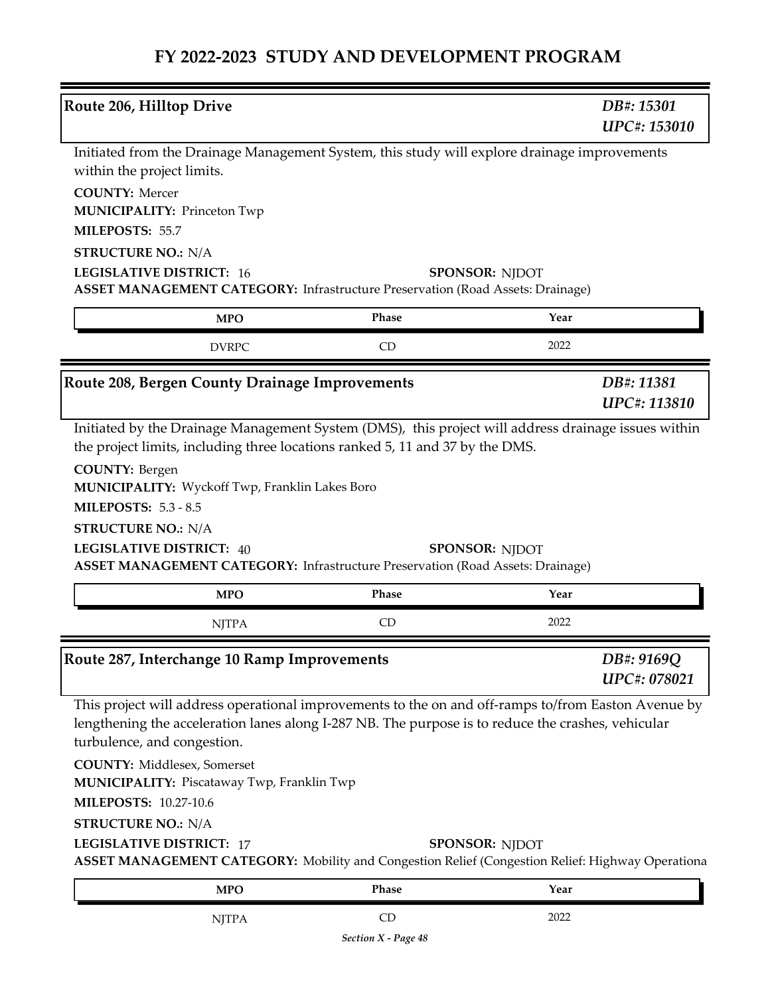| Route 206, Hilltop Drive                                                                                                                                                                                                                                                                                                                                     |       | DB#: 15301<br><b>UPC#: 153010</b> |
|--------------------------------------------------------------------------------------------------------------------------------------------------------------------------------------------------------------------------------------------------------------------------------------------------------------------------------------------------------------|-------|-----------------------------------|
| Initiated from the Drainage Management System, this study will explore drainage improvements<br>within the project limits.<br><b>COUNTY: Mercer</b><br><b>MUNICIPALITY: Princeton Twp</b><br>MILEPOSTS: 55.7                                                                                                                                                 |       |                                   |
| <b>STRUCTURE NO.: N/A</b><br><b>LEGISLATIVE DISTRICT: 16</b>                                                                                                                                                                                                                                                                                                 |       | <b>SPONSOR: NJDOT</b>             |
| <b>ASSET MANAGEMENT CATEGORY:</b> Infrastructure Preservation (Road Assets: Drainage)                                                                                                                                                                                                                                                                        |       |                                   |
| <b>MPO</b>                                                                                                                                                                                                                                                                                                                                                   | Phase | Year                              |
| <b>DVRPC</b>                                                                                                                                                                                                                                                                                                                                                 | CD    | 2022                              |
| Route 208, Bergen County Drainage Improvements                                                                                                                                                                                                                                                                                                               |       | DB#: 11381<br><b>UPC#: 113810</b> |
| the project limits, including three locations ranked 5, 11 and 37 by the DMS.<br><b>COUNTY: Bergen</b><br>MUNICIPALITY: Wyckoff Twp, Franklin Lakes Boro<br><b>MILEPOSTS: 5.3 - 8.5</b>                                                                                                                                                                      |       |                                   |
| <b>STRUCTURE NO.: N/A</b><br><b>LEGISLATIVE DISTRICT: 40</b><br><b>ASSET MANAGEMENT CATEGORY:</b> Infrastructure Preservation (Road Assets: Drainage)                                                                                                                                                                                                        |       | <b>SPONSOR: NJDOT</b>             |
| <b>MPO</b>                                                                                                                                                                                                                                                                                                                                                   | Phase | Year                              |
| <b>NJTPA</b>                                                                                                                                                                                                                                                                                                                                                 | CD    | 2022                              |
| Route 287, Interchange 10 Ramp Improvements                                                                                                                                                                                                                                                                                                                  |       | DB#: 9169Q<br>UPC#: 078021        |
| This project will address operational improvements to the on and off-ramps to/from Easton Avenue by<br>lengthening the acceleration lanes along I-287 NB. The purpose is to reduce the crashes, vehicular<br>turbulence, and congestion.<br><b>COUNTY: Middlesex, Somerset</b><br>MUNICIPALITY: Piscataway Twp, Franklin Twp<br><b>MILEPOSTS: 10.27-10.6</b> |       |                                   |
| <b>STRUCTURE NO.: N/A</b>                                                                                                                                                                                                                                                                                                                                    |       |                                   |
| <b>LEGISLATIVE DISTRICT: 17</b><br>ASSET MANAGEMENT CATEGORY: Mobility and Congestion Relief (Congestion Relief: Highway Operationa                                                                                                                                                                                                                          |       | <b>SPONSOR: NJDOT</b>             |
| <b>MPO</b>                                                                                                                                                                                                                                                                                                                                                   | Phase | Year                              |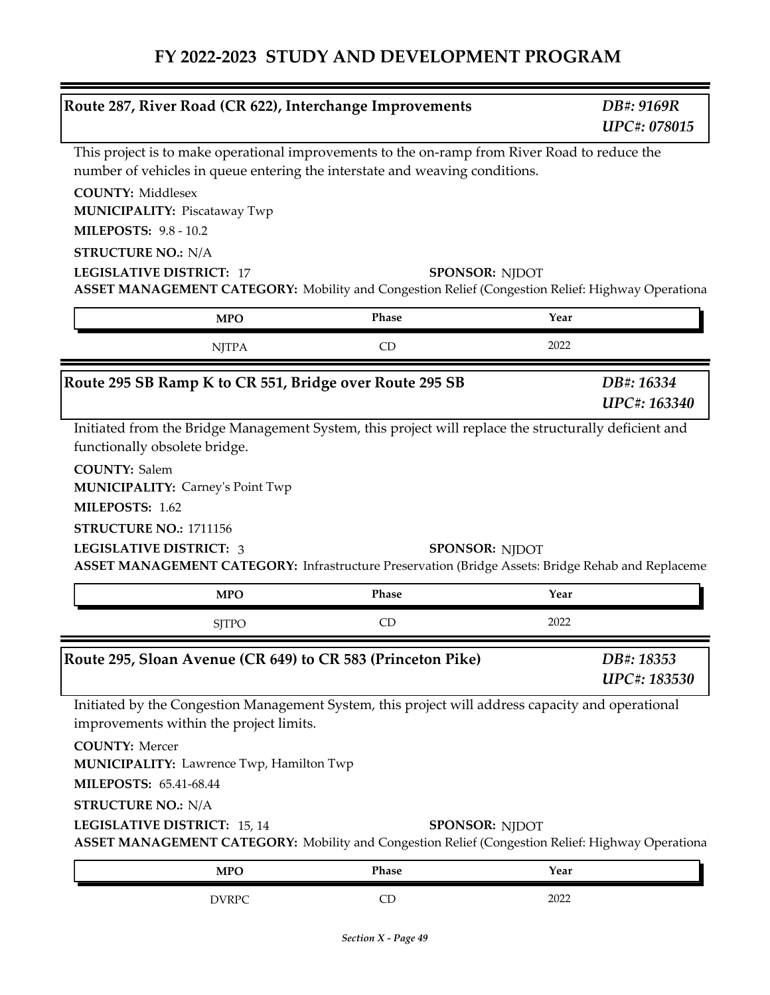| Route 287, River Road (CR 622), Interchange Improvements                                                                                                                     |           |                       | DB#: 9169R<br><b>UPC#: 078015</b> |
|------------------------------------------------------------------------------------------------------------------------------------------------------------------------------|-----------|-----------------------|-----------------------------------|
| This project is to make operational improvements to the on-ramp from River Road to reduce the<br>number of vehicles in queue entering the interstate and weaving conditions. |           |                       |                                   |
| <b>COUNTY: Middlesex</b><br><b>MUNICIPALITY: Piscataway Twp</b><br><b>MILEPOSTS: 9.8 - 10.2</b>                                                                              |           |                       |                                   |
|                                                                                                                                                                              |           |                       |                                   |
| <b>STRUCTURE NO.: N/A</b><br><b>LEGISLATIVE DISTRICT: 17</b>                                                                                                                 |           | SPONSOR: NJDOT        |                                   |
| ASSET MANAGEMENT CATEGORY: Mobility and Congestion Relief (Congestion Relief: Highway Operationa                                                                             |           |                       |                                   |
| <b>MPO</b>                                                                                                                                                                   | Phase     | Year                  |                                   |
| <b>NJTPA</b>                                                                                                                                                                 | CD        | 2022                  |                                   |
| Route 295 SB Ramp K to CR 551, Bridge over Route 295 SB                                                                                                                      |           |                       | DB#: 16334                        |
|                                                                                                                                                                              |           |                       | <b>UPC#: 163340</b>               |
| STRUCTURE NO.: 1711156<br><b>LEGISLATIVE DISTRICT: 3</b><br>ASSET MANAGEMENT CATEGORY: Infrastructure Preservation (Bridge Assets: Bridge Rehab and Replaceme:               |           | <b>SPONSOR: NJDOT</b> |                                   |
| <b>MPO</b>                                                                                                                                                                   | Phase     | Year                  |                                   |
| <b>SJTPO</b>                                                                                                                                                                 | <b>CD</b> | 2022                  |                                   |
| Route 295, Sloan Avenue (CR 649) to CR 583 (Princeton Pike)                                                                                                                  |           |                       | DB#: 18353<br>UPC#: 183530        |
| Initiated by the Congestion Management System, this project will address capacity and operational                                                                            |           |                       |                                   |
| improvements within the project limits.                                                                                                                                      |           |                       |                                   |
| <b>COUNTY: Mercer</b><br>MUNICIPALITY: Lawrence Twp, Hamilton Twp                                                                                                            |           |                       |                                   |
| <b>MILEPOSTS: 65.41-68.44</b>                                                                                                                                                |           |                       |                                   |
| <b>STRUCTURE NO.: N/A</b>                                                                                                                                                    |           |                       |                                   |
| LEGISLATIVE DISTRICT: 15, 14<br>ASSET MANAGEMENT CATEGORY: Mobility and Congestion Relief (Congestion Relief: Highway Operationa                                             |           | <b>SPONSOR: NJDOT</b> |                                   |
| <b>MPO</b>                                                                                                                                                                   | Phase     | Year                  |                                   |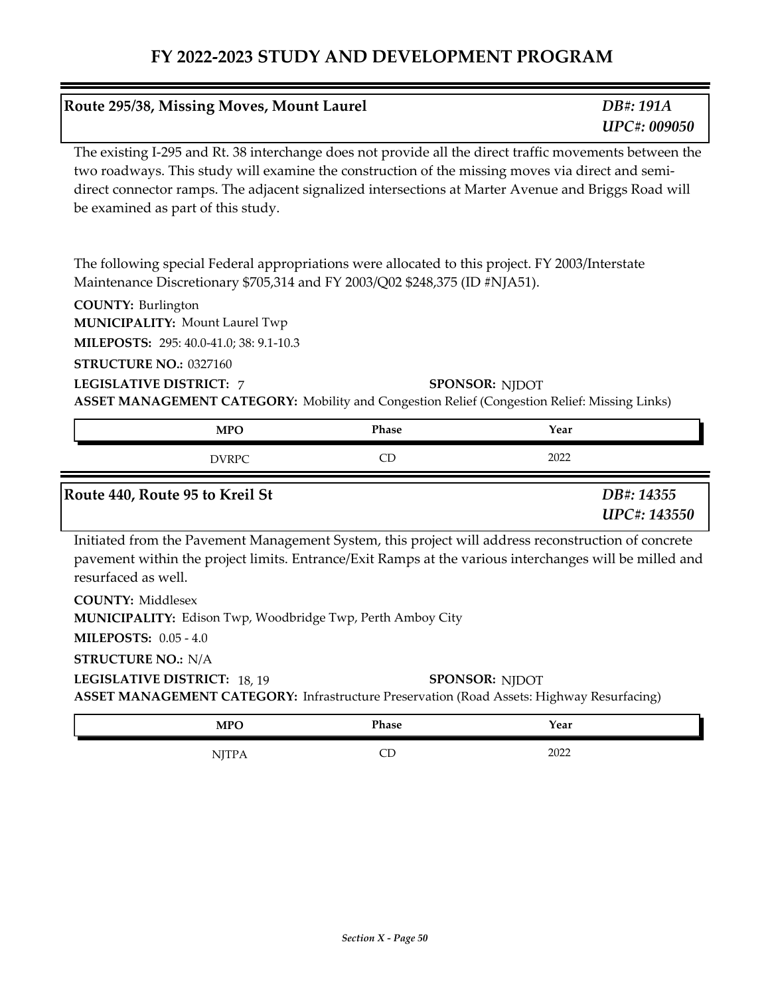| Route 295/38, Missing Moves, Mount Laurel                                                                                                                                                                                                                                                                                                                      |                       | DB#: 191A<br><b>UPC#: 009050</b>  |
|----------------------------------------------------------------------------------------------------------------------------------------------------------------------------------------------------------------------------------------------------------------------------------------------------------------------------------------------------------------|-----------------------|-----------------------------------|
| The existing I-295 and Rt. 38 interchange does not provide all the direct traffic movements between the<br>two roadways. This study will examine the construction of the missing moves via direct and semi-<br>direct connector ramps. The adjacent signalized intersections at Marter Avenue and Briggs Road will<br>be examined as part of this study.       |                       |                                   |
| The following special Federal appropriations were allocated to this project. FY 2003/Interstate<br>Maintenance Discretionary \$705,314 and FY 2003/Q02 \$248,375 (ID #NJA51).<br><b>COUNTY: Burlington</b><br><b>MUNICIPALITY: Mount Laurel Twp</b><br>MILEPOSTS: 295: 40.0-41.0; 38: 9.1-10.3                                                                 |                       |                                   |
| STRUCTURE NO.: 0327160<br><b>LEGISLATIVE DISTRICT: 7</b><br><b>ASSET MANAGEMENT CATEGORY:</b> Mobility and Congestion Relief (Congestion Relief: Missing Links)                                                                                                                                                                                                | <b>SPONSOR: NJDOT</b> |                                   |
| <b>MPO</b>                                                                                                                                                                                                                                                                                                                                                     | Phase                 | Year                              |
| <b>DVRPC</b>                                                                                                                                                                                                                                                                                                                                                   | CD                    | 2022                              |
| Route 440, Route 95 to Kreil St                                                                                                                                                                                                                                                                                                                                |                       | DB#: 14355<br><b>UPC#: 143550</b> |
| Initiated from the Pavement Management System, this project will address reconstruction of concrete<br>pavement within the project limits. Entrance/Exit Ramps at the various interchanges will be milled and<br>resurfaced as well.<br><b>COUNTY: Middlesex</b><br>MUNICIPALITY: Edison Twp, Woodbridge Twp, Perth Amboy City<br><b>MILEPOSTS: 0.05 - 4.0</b> |                       |                                   |
| <b>STRUCTURE NO.: N/A</b><br>LEGISLATIVE DISTRICT: 18, 19<br>ASSET MANAGEMENT CATEGORY: Infrastructure Preservation (Road Assets: Highway Resurfacing)                                                                                                                                                                                                         | <b>SPONSOR: NJDOT</b> |                                   |

| <b>MPO</b>              | Phase                  | Year |
|-------------------------|------------------------|------|
| $TTD$ .<br>$\mathbf{u}$ | $\mathop{\mathsf{CD}}$ | 2022 |